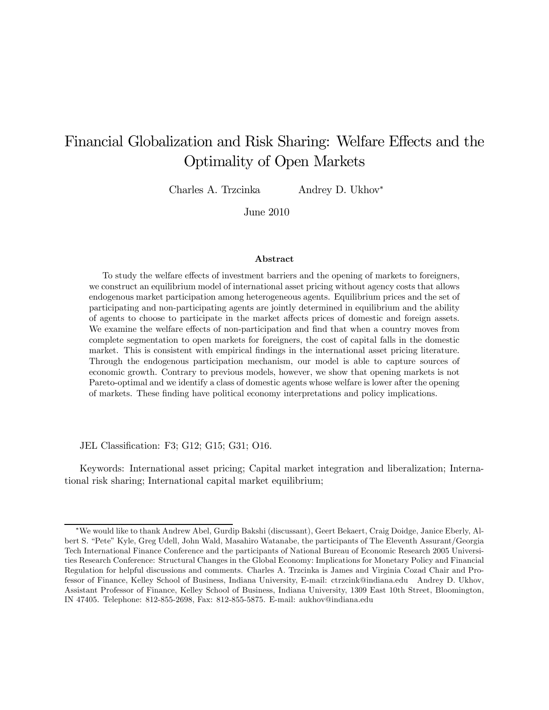# Financial Globalization and Risk Sharing: Welfare Effects and the Optimality of Open Markets

Charles A. Trzcinka Andrey D. Ukhov<sup>∗</sup>

June 2010

#### Abstract

To study the welfare effects of investment barriers and the opening of markets to foreigners, we construct an equilibrium model of international asset pricing without agency costs that allows endogenous market participation among heterogeneous agents. Equilibrium prices and the set of participating and non-participating agents are jointly determined in equilibrium and the ability of agents to choose to participate in the market affects prices of domestic and foreign assets. We examine the welfare effects of non-participation and find that when a country moves from complete segmentation to open markets for foreigners, the cost of capital falls in the domestic market. This is consistent with empirical findings in the international asset pricing literature. Through the endogenous participation mechanism, our model is able to capture sources of economic growth. Contrary to previous models, however, we show that opening markets is not Pareto-optimal and we identify a class of domestic agents whose welfare is lower after the opening of markets. These finding have political economy interpretations and policy implications.

JEL Classification: F3; G12; G15; G31; O16.

Keywords: International asset pricing; Capital market integration and liberalization; International risk sharing; International capital market equilibrium;

<sup>∗</sup>We would like to thank Andrew Abel, Gurdip Bakshi (discussant), Geert Bekaert, Craig Doidge, Janice Eberly, Albert S. "Pete" Kyle, Greg Udell, John Wald, Masahiro Watanabe, the participants of The Eleventh Assurant/Georgia Tech International Finance Conference and the participants of National Bureau of Economic Research 2005 Universities Research Conference: Structural Changes in the Global Economy: Implications for Monetary Policy and Financial Regulation for helpful discussions and comments. Charles A. Trzcinka is James and Virginia Cozad Chair and Professor of Finance, Kelley School of Business, Indiana University, E-mail: ctrzcink@indiana.edu Andrey D. Ukhov, Assistant Professor of Finance, Kelley School of Business, Indiana University, 1309 East 10th Street, Bloomington, IN 47405. Telephone: 812-855-2698, Fax: 812-855-5875. E-mail: aukhov@indiana.edu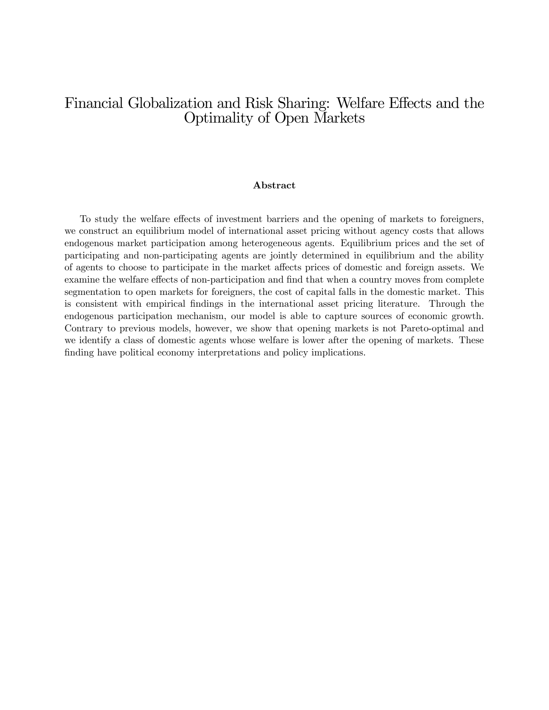# Financial Globalization and Risk Sharing: Welfare Effects and the Optimality of Open Markets

### Abstract

To study the welfare effects of investment barriers and the opening of markets to foreigners, we construct an equilibrium model of international asset pricing without agency costs that allows endogenous market participation among heterogeneous agents. Equilibrium prices and the set of participating and non-participating agents are jointly determined in equilibrium and the ability of agents to choose to participate in the market affects prices of domestic and foreign assets. We examine the welfare effects of non-participation and find that when a country moves from complete segmentation to open markets for foreigners, the cost of capital falls in the domestic market. This is consistent with empirical findings in the international asset pricing literature. Through the endogenous participation mechanism, our model is able to capture sources of economic growth. Contrary to previous models, however, we show that opening markets is not Pareto-optimal and we identify a class of domestic agents whose welfare is lower after the opening of markets. These finding have political economy interpretations and policy implications.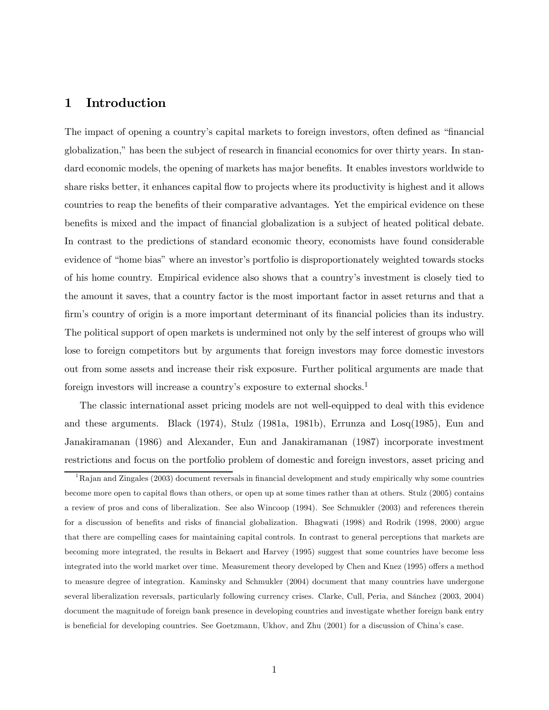# 1 Introduction

The impact of opening a country's capital markets to foreign investors, often defined as "financial globalization," has been the subject of research in financial economics for over thirty years. In standard economic models, the opening of markets has major benefits. It enables investors worldwide to share risks better, it enhances capital flow to projects where its productivity is highest and it allows countries to reap the benefits of their comparative advantages. Yet the empirical evidence on these benefits is mixed and the impact of financial globalization is a subject of heated political debate. In contrast to the predictions of standard economic theory, economists have found considerable evidence of "home bias" where an investor's portfolio is disproportionately weighted towards stocks of his home country. Empirical evidence also shows that a country's investment is closely tied to the amount it saves, that a country factor is the most important factor in asset returns and that a firm's country of origin is a more important determinant of its financial policies than its industry. The political support of open markets is undermined not only by the self interest of groups who will lose to foreign competitors but by arguments that foreign investors may force domestic investors out from some assets and increase their risk exposure. Further political arguments are made that foreign investors will increase a country's exposure to external shocks.1

The classic international asset pricing models are not well-equipped to deal with this evidence and these arguments. Black (1974), Stulz (1981a, 1981b), Errunza and Losq(1985), Eun and Janakiramanan (1986) and Alexander, Eun and Janakiramanan (1987) incorporate investment restrictions and focus on the portfolio problem of domestic and foreign investors, asset pricing and

 ${}^{1}$ Rajan and Zingales (2003) document reversals in financial development and study empirically why some countries become more open to capital flows than others, or open up at some times rather than at others. Stulz (2005) contains a review of pros and cons of liberalization. See also Wincoop (1994). See Schmukler (2003) and references therein for a discussion of benefits and risks of financial globalization. Bhagwati (1998) and Rodrik (1998, 2000) argue that there are compelling cases for maintaining capital controls. In contrast to general perceptions that markets are becoming more integrated, the results in Bekaert and Harvey (1995) suggest that some countries have become less integrated into the world market over time. Measurement theory developed by Chen and Knez (1995) offers a method to measure degree of integration. Kaminsky and Schmukler (2004) document that many countries have undergone several liberalization reversals, particularly following currency crises. Clarke, Cull, Peria, and Sánchez (2003, 2004) document the magnitude of foreign bank presence in developing countries and investigate whether foreign bank entry is beneficial for developing countries. See Goetzmann, Ukhov, and Zhu (2001) for a discussion of China's case.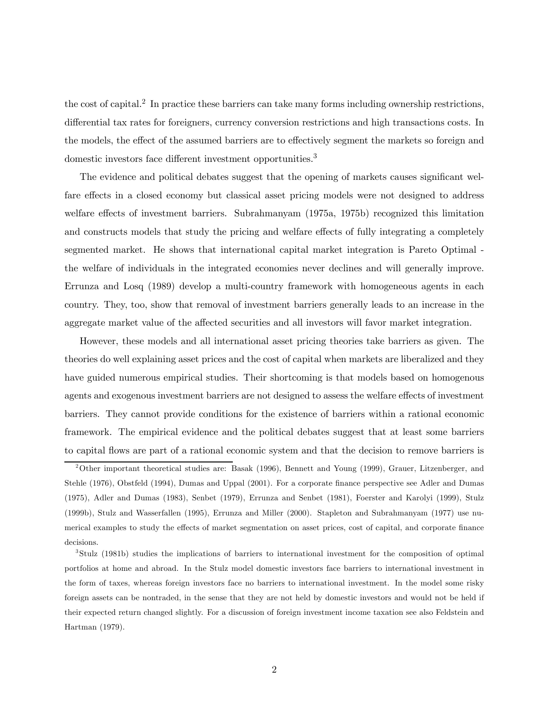the cost of capital.2 In practice these barriers can take many forms including ownership restrictions, differential tax rates for foreigners, currency conversion restrictions and high transactions costs. In the models, the effect of the assumed barriers are to effectively segment the markets so foreign and domestic investors face different investment opportunities.<sup>3</sup>

The evidence and political debates suggest that the opening of markets causes significant welfare effects in a closed economy but classical asset pricing models were not designed to address welfare effects of investment barriers. Subrahmanyam (1975a, 1975b) recognized this limitation and constructs models that study the pricing and welfare effects of fully integrating a completely segmented market. He shows that international capital market integration is Pareto Optimal the welfare of individuals in the integrated economies never declines and will generally improve. Errunza and Losq (1989) develop a multi-country framework with homogeneous agents in each country. They, too, show that removal of investment barriers generally leads to an increase in the aggregate market value of the affected securities and all investors will favor market integration.

However, these models and all international asset pricing theories take barriers as given. The theories do well explaining asset prices and the cost of capital when markets are liberalized and they have guided numerous empirical studies. Their shortcoming is that models based on homogenous agents and exogenous investment barriers are not designed to assess the welfare effects of investment barriers. They cannot provide conditions for the existence of barriers within a rational economic framework. The empirical evidence and the political debates suggest that at least some barriers to capital flows are part of a rational economic system and that the decision to remove barriers is

<sup>&</sup>lt;sup>2</sup>Other important theoretical studies are: Basak (1996), Bennett and Young (1999), Grauer, Litzenberger, and Stehle (1976), Obstfeld (1994), Dumas and Uppal (2001). For a corporate finance perspective see Adler and Dumas (1975), Adler and Dumas (1983), Senbet (1979), Errunza and Senbet (1981), Foerster and Karolyi (1999), Stulz (1999b), Stulz and Wasserfallen (1995), Errunza and Miller (2000). Stapleton and Subrahmanyam (1977) use numerical examples to study the effects of market segmentation on asset prices, cost of capital, and corporate finance decisions.

<sup>3</sup>Stulz (1981b) studies the implications of barriers to international investment for the composition of optimal portfolios at home and abroad. In the Stulz model domestic investors face barriers to international investment in the form of taxes, whereas foreign investors face no barriers to international investment. In the model some risky foreign assets can be nontraded, in the sense that they are not held by domestic investors and would not be held if their expected return changed slightly. For a discussion of foreign investment income taxation see also Feldstein and Hartman (1979).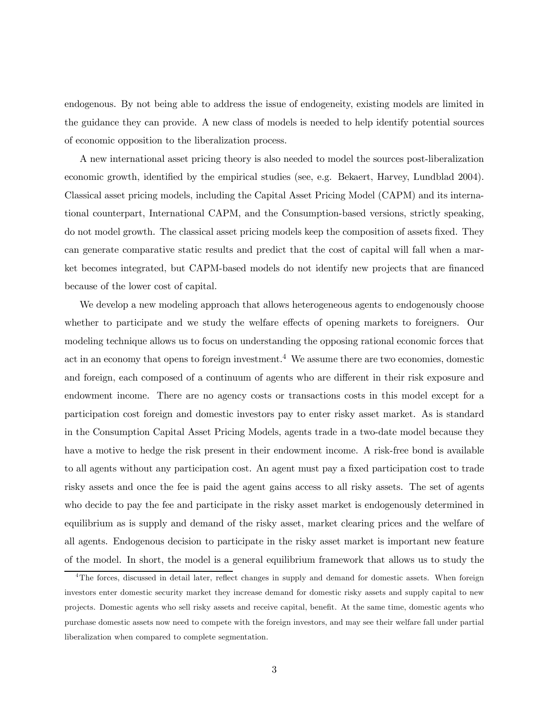endogenous. By not being able to address the issue of endogeneity, existing models are limited in the guidance they can provide. A new class of models is needed to help identify potential sources of economic opposition to the liberalization process.

A new international asset pricing theory is also needed to model the sources post-liberalization economic growth, identified by the empirical studies (see, e.g. Bekaert, Harvey, Lundblad 2004). Classical asset pricing models, including the Capital Asset Pricing Model (CAPM) and its international counterpart, International CAPM, and the Consumption-based versions, strictly speaking, do not model growth. The classical asset pricing models keep the composition of assets fixed. They can generate comparative static results and predict that the cost of capital will fall when a market becomes integrated, but CAPM-based models do not identify new projects that are financed because of the lower cost of capital.

We develop a new modeling approach that allows heterogeneous agents to endogenously choose whether to participate and we study the welfare effects of opening markets to foreigners. Our modeling technique allows us to focus on understanding the opposing rational economic forces that act in an economy that opens to foreign investment.<sup>4</sup> We assume there are two economies, domestic and foreign, each composed of a continuum of agents who are different in their risk exposure and endowment income. There are no agency costs or transactions costs in this model except for a participation cost foreign and domestic investors pay to enter risky asset market. As is standard in the Consumption Capital Asset Pricing Models, agents trade in a two-date model because they have a motive to hedge the risk present in their endowment income. A risk-free bond is available to all agents without any participation cost. An agent must pay a fixed participation cost to trade risky assets and once the fee is paid the agent gains access to all risky assets. The set of agents who decide to pay the fee and participate in the risky asset market is endogenously determined in equilibrium as is supply and demand of the risky asset, market clearing prices and the welfare of all agents. Endogenous decision to participate in the risky asset market is important new feature of the model. In short, the model is a general equilibrium framework that allows us to study the

<sup>&</sup>lt;sup>4</sup>The forces, discussed in detail later, reflect changes in supply and demand for domestic assets. When foreign investors enter domestic security market they increase demand for domestic risky assets and supply capital to new projects. Domestic agents who sell risky assets and receive capital, benefit. At the same time, domestic agents who purchase domestic assets now need to compete with the foreign investors, and may see their welfare fall under partial liberalization when compared to complete segmentation.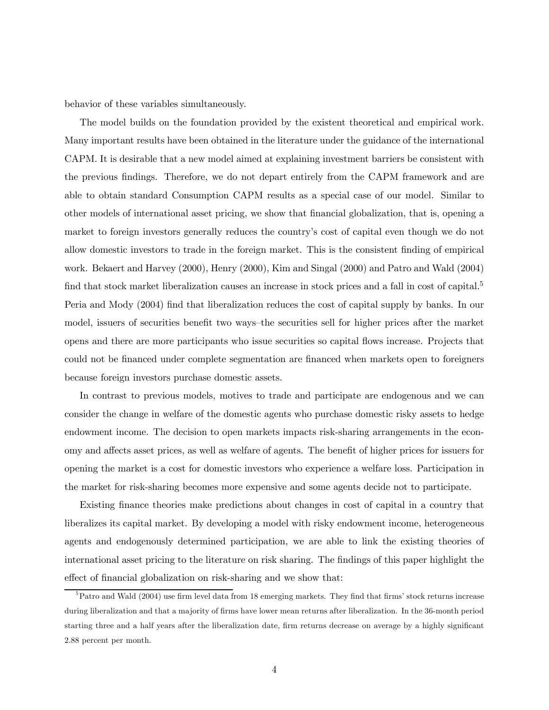behavior of these variables simultaneously.

The model builds on the foundation provided by the existent theoretical and empirical work. Many important results have been obtained in the literature under the guidance of the international CAPM. It is desirable that a new model aimed at explaining investment barriers be consistent with the previous findings. Therefore, we do not depart entirely from the CAPM framework and are able to obtain standard Consumption CAPM results as a special case of our model. Similar to other models of international asset pricing, we show that financial globalization, that is, opening a market to foreign investors generally reduces the country's cost of capital even though we do not allow domestic investors to trade in the foreign market. This is the consistent finding of empirical work. Bekaert and Harvey (2000), Henry (2000), Kim and Singal (2000) and Patro and Wald (2004) find that stock market liberalization causes an increase in stock prices and a fall in cost of capital.<sup>5</sup> Peria and Mody (2004) find that liberalization reduces the cost of capital supply by banks. In our model, issuers of securities benefit two ways—the securities sell for higher prices after the market opens and there are more participants who issue securities so capital flows increase. Projects that could not be financed under complete segmentation are financed when markets open to foreigners because foreign investors purchase domestic assets.

In contrast to previous models, motives to trade and participate are endogenous and we can consider the change in welfare of the domestic agents who purchase domestic risky assets to hedge endowment income. The decision to open markets impacts risk-sharing arrangements in the economy and affects asset prices, as well as welfare of agents. The benefit of higher prices for issuers for opening the market is a cost for domestic investors who experience a welfare loss. Participation in the market for risk-sharing becomes more expensive and some agents decide not to participate.

Existing finance theories make predictions about changes in cost of capital in a country that liberalizes its capital market. By developing a model with risky endowment income, heterogeneous agents and endogenously determined participation, we are able to link the existing theories of international asset pricing to the literature on risk sharing. The findings of this paper highlight the effect of financial globalization on risk-sharing and we show that:

 $5P_{\rm{0}}$  Patro and Wald (2004) use firm level data from 18 emerging markets. They find that firms' stock returns increase during liberalization and that a majority of firms have lower mean returns after liberalization. In the 36-month period starting three and a half years after the liberalization date, firm returns decrease on average by a highly significant 2.88 percent per month.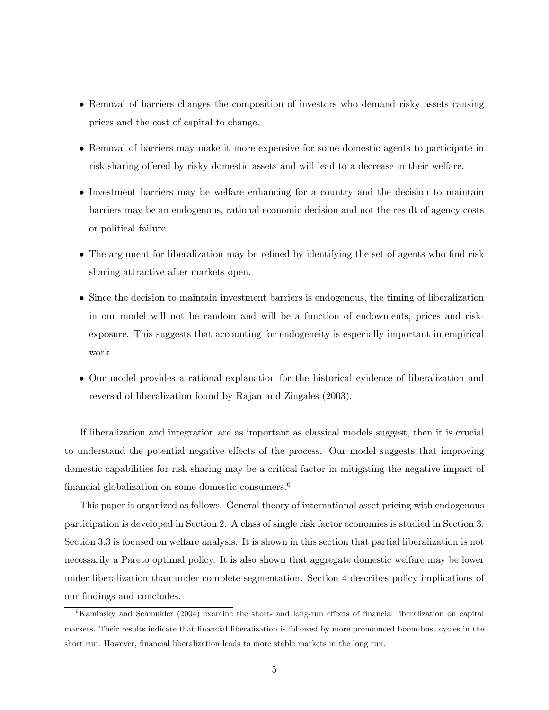- Removal of barriers changes the composition of investors who demand risky assets causing prices and the cost of capital to change.
- Removal of barriers may make it more expensive for some domestic agents to participate in risk-sharing offered by risky domestic assets and will lead to a decrease in their welfare.
- Investment barriers may be welfare enhancing for a country and the decision to maintain barriers may be an endogenous, rational economic decision and not the result of agency costs or political failure.
- The argument for liberalization may be refined by identifying the set of agents who find risk sharing attractive after markets open.
- Since the decision to maintain investment barriers is endogenous, the timing of liberalization in our model will not be random and will be a function of endowments, prices and riskexposure. This suggests that accounting for endogeneity is especially important in empirical work.
- Our model provides a rational explanation for the historical evidence of liberalization and reversal of liberalization found by Rajan and Zingales (2003).

If liberalization and integration are as important as classical models suggest, then it is crucial to understand the potential negative effects of the process. Our model suggests that improving domestic capabilities for risk-sharing may be a critical factor in mitigating the negative impact of financial globalization on some domestic consumers.<sup>6</sup>

This paper is organized as follows. General theory of international asset pricing with endogenous participation is developed in Section 2. A class of single risk factor economies is studied in Section 3. Section 3.3 is focused on welfare analysis. It is shown in this section that partial liberalization is not necessarily a Pareto optimal policy. It is also shown that aggregate domestic welfare may be lower under liberalization than under complete segmentation. Section 4 describes policy implications of our findings and concludes.

 ${}^{6}$ Kaminsky and Schmukler (2004) examine the short- and long-run effects of financial liberalization on capital markets. Their results indicate that financial liberalization is followed by more pronounced boom-bust cycles in the short run. However, financial liberalization leads to more stable markets in the long run.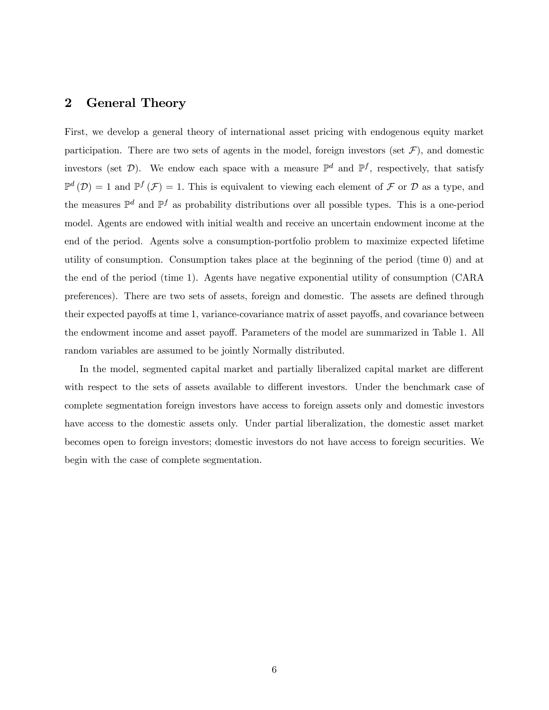# 2 General Theory

First, we develop a general theory of international asset pricing with endogenous equity market participation. There are two sets of agents in the model, foreign investors (set  $\mathcal{F}$ ), and domestic investors (set  $\mathcal{D}$ ). We endow each space with a measure  $\mathbb{P}^d$  and  $\mathbb{P}^f$ , respectively, that satisfy  $\mathbb{P}^{d}(\mathcal{D})=1$  and  $\mathbb{P}^{f}(\mathcal{F})=1$ . This is equivalent to viewing each element of F or D as a type, and the measures  $\mathbb{P}^d$  and  $\mathbb{P}^f$  as probability distributions over all possible types. This is a one-period model. Agents are endowed with initial wealth and receive an uncertain endowment income at the end of the period. Agents solve a consumption-portfolio problem to maximize expected lifetime utility of consumption. Consumption takes place at the beginning of the period (time 0) and at the end of the period (time 1). Agents have negative exponential utility of consumption (CARA preferences). There are two sets of assets, foreign and domestic. The assets are defined through their expected payoffs at time 1, variance-covariance matrix of asset payoffs, and covariance between the endowment income and asset payoff. Parameters of the model are summarized in Table 1. All random variables are assumed to be jointly Normally distributed.

In the model, segmented capital market and partially liberalized capital market are different with respect to the sets of assets available to different investors. Under the benchmark case of complete segmentation foreign investors have access to foreign assets only and domestic investors have access to the domestic assets only. Under partial liberalization, the domestic asset market becomes open to foreign investors; domestic investors do not have access to foreign securities. We begin with the case of complete segmentation.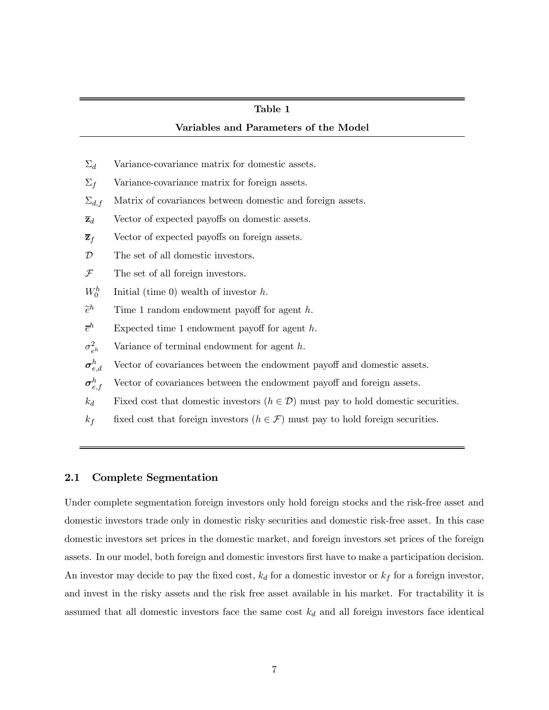### Table 1

### Variables and Parameters of the Model

- $\Sigma_d$  Variance-covariance matrix for domestic assets.
- $\Sigma_f$  Variance-covariance matrix for foreign assets.
- $\Sigma_{d.f}$  Matrix of covariances between domestic and foreign assets.
- $\overline{\mathbf{z}}_d$  Vector of expected payoffs on domestic assets.
- $\overline{\mathbf{z}}_f$  Vector of expected payoffs on foreign assets.
- $D$  The set of all domestic investors.
- $\mathcal F$  The set of all foreign investors.
- $W_0^h$ Initial (time 0) wealth of investor  $h$ .
- $\tilde{e}^h$  Time 1 random endowment payoff for agent h.
- $\bar{e}^h$  Expected time 1 endowment payoff for agent h.
- $\sigma_{ch}^2$ Variance of terminal endowment for agent  $h$ .
- $\boldsymbol{\sigma}_{e,d}^h$ Vector of covariances between the endowment payoff and domestic assets.
- $\boldsymbol{\sigma}_{e,f}^h$ Vector of covariances between the endowment payoff and foreign assets.
- $k_d$  Fixed cost that domestic investors  $(h \in \mathcal{D})$  must pay to hold domestic securities.
- $k_f$  fixed cost that foreign investors ( $h \in \mathcal{F}$ ) must pay to hold foreign securities.

### 2.1 Complete Segmentation

Under complete segmentation foreign investors only hold foreign stocks and the risk-free asset and domestic investors trade only in domestic risky securities and domestic risk-free asset. In this case domestic investors set prices in the domestic market, and foreign investors set prices of the foreign assets. In our model, both foreign and domestic investors first have to make a participation decision. An investor may decide to pay the fixed cost,  $k_d$  for a domestic investor or  $k_f$  for a foreign investor, and invest in the risky assets and the risk free asset available in his market. For tractability it is assumed that all domestic investors face the same cost  $k_d$  and all foreign investors face identical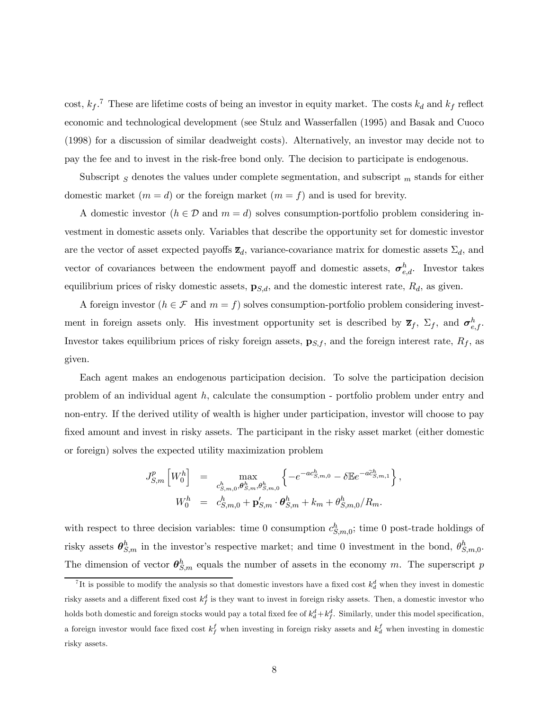cost,  $k_f$ .<sup>7</sup> These are lifetime costs of being an investor in equity market. The costs  $k_d$  and  $k_f$  reflect economic and technological development (see Stulz and Wasserfallen (1995) and Basak and Cuoco (1998) for a discussion of similar deadweight costs). Alternatively, an investor may decide not to pay the fee and to invest in the risk-free bond only. The decision to participate is endogenous.

Subscript  $S$  denotes the values under complete segmentation, and subscript  $m$  stands for either domestic market  $(m = d)$  or the foreign market  $(m = f)$  and is used for brevity.

A domestic investor  $(h \in \mathcal{D}$  and  $m = d)$  solves consumption-portfolio problem considering investment in domestic assets only. Variables that describe the opportunity set for domestic investor are the vector of asset expected payoffs  $\overline{\mathbf{z}}_d$ , variance-covariance matrix for domestic assets  $\Sigma_d$ , and vector of covariances between the endowment payoff and domestic assets,  $\sigma_{e,d}^h$ . Investor takes equilibrium prices of risky domestic assets,  $\mathbf{p}_{S,d}$ , and the domestic interest rate,  $R_d$ , as given.

A foreign investor  $(h \in \mathcal{F}$  and  $m = f)$  solves consumption-portfolio problem considering investment in foreign assets only. His investment opportunity set is described by  $\overline{\mathbf{z}}_f$ ,  $\Sigma_f$ , and  $\sigma_{e,f}^h$ . Investor takes equilibrium prices of risky foreign assets,  $\mathbf{p}_{S,f}$ , and the foreign interest rate,  $R_f$ , as given.

Each agent makes an endogenous participation decision. To solve the participation decision problem of an individual agent h, calculate the consumption - portfolio problem under entry and non-entry. If the derived utility of wealth is higher under participation, investor will choose to pay fixed amount and invest in risky assets. The participant in the risky asset market (either domestic or foreign) solves the expected utility maximization problem

$$
J_{S,m}^{p} \left[W_{0}^{h}\right] = \max_{c_{S,m,0}^{h}, \theta_{S,m}^{h}, \theta_{S,m,0}^{h}} \left\{-e^{-ac_{S,m,0}^{h}} - \delta \mathbb{E}e^{-a\tilde{c}_{S,m,1}^{h}}\right\},
$$
  

$$
W_{0}^{h} = c_{S,m,0}^{h} + \mathbf{p}'_{S,m} \cdot \boldsymbol{\theta}_{S,m}^{h} + k_{m} + \theta_{S,m,0}^{h}/R_{m}.
$$

with respect to three decision variables: time 0 consumption  $c_{S,m,0}^h$ ; time 0 post-trade holdings of risky assets  $\theta_{S,m}^h$  in the investor's respective market; and time 0 investment in the bond,  $\theta_{S,m,0}^h$ . The dimension of vector  $\theta_{S,m}^h$  equals the number of assets in the economy m. The superscript p

<sup>&</sup>lt;sup>7</sup>It is possible to modify the analysis so that domestic investors have a fixed cost  $k_d^d$  when they invest in domestic risky assets and a different fixed cost  $k_f^d$  is they want to invest in foreign risky assets. Then, a domestic investor who holds both domestic and foreign stocks would pay a total fixed fee of  $k_d^d + k_f^d$ . Similarly, under this model specification, a foreign investor would face fixed cost  $k_f^f$  when investing in foreign risky assets and  $k_d^f$  when investing in domestic risky assets.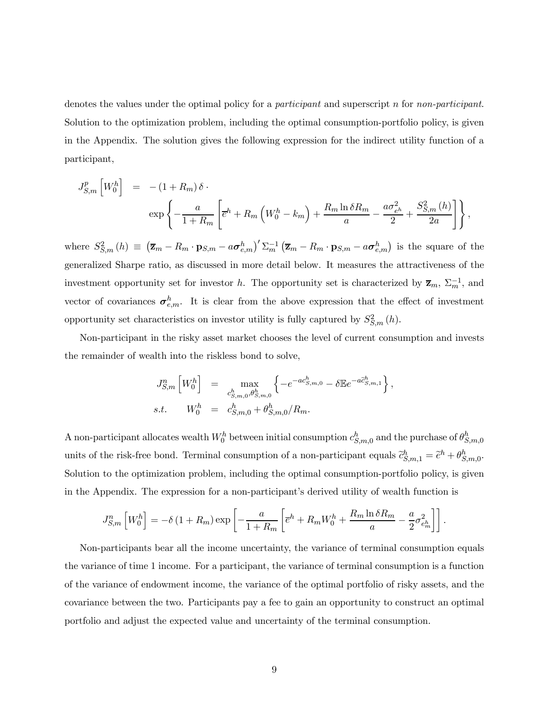denotes the values under the optimal policy for a participant and superscript n for non-participant. Solution to the optimization problem, including the optimal consumption-portfolio policy, is given in the Appendix. The solution gives the following expression for the indirect utility function of a participant,

$$
J_{S,m}^{p}\left[W_{0}^{h}\right] = -(1+R_{m})\delta \cdot
$$
  

$$
\exp\left\{-\frac{a}{1+R_{m}}\left[\overline{e}^{h}+R_{m}\left(W_{0}^{h}-k_{m}\right)+\frac{R_{m}\ln\delta R_{m}}{a}-\frac{a\sigma_{e^{h}}^{2}}{2}+\frac{S_{S,m}^{2}\left(h\right)}{2a}\right]\right\},\right\}
$$

where  $S_{S,m}^2(h) \equiv (\overline{\mathbf{z}}_m - R_m \cdot \mathbf{p}_{S,m} - a \boldsymbol{\sigma}_{e,m}^h)' \Sigma_m^{-1} (\overline{\mathbf{z}}_m - R_m \cdot \mathbf{p}_{S,m} - a \boldsymbol{\sigma}_{e,m}^h)$  is the square of the generalized Sharpe ratio, as discussed in more detail below. It measures the attractiveness of the investment opportunity set for investor h. The opportunity set is characterized by  $\overline{\mathbf{z}}_m$ ,  $\Sigma_m^{-1}$ , and vector of covariances  $\sigma_{e,m}^h$ . It is clear from the above expression that the effect of investment opportunity set characteristics on investor utility is fully captured by  $S_{S,m}^2(h)$ .

Non-participant in the risky asset market chooses the level of current consumption and invests the remainder of wealth into the riskless bond to solve,

$$
J_{S,m}^{n}\left[W_{0}^{h}\right] = \max_{\substack{c_{S,m,0}^{h}, \theta_{S,m,0}^{h} \\ c_{S,m,0}^{h} + \theta_{S,m,0}^{h}}} \left\{-e^{-ac_{S,m,0}^{h}} - \delta \mathbb{E}e^{-a\tilde{c}_{S,m,1}^{h}}\right\},
$$
  
s.t. 
$$
W_{0}^{h} = c_{S,m,0}^{h} + \theta_{S,m,0}^{h}/R_{m}.
$$

A non-participant allocates wealth  $W_0^h$  between initial consumption  $c_{S,m,0}^h$  and the purchase of  $\theta_{S,m,0}^h$ units of the risk-free bond. Terminal consumption of a non-participant equals  $\tilde{c}_{S,m,1}^h = \tilde{e}^h + \theta_{S,m,0}^h$ . Solution to the optimization problem, including the optimal consumption-portfolio policy, is given in the Appendix. The expression for a non-participant's derived utility of wealth function is

$$
J_{S,m}^{n}\left[W_{0}^{h}\right] = -\delta\left(1+R_{m}\right)\exp\left[-\frac{a}{1+R_{m}}\left[\overline{e}^{h}+R_{m}W_{0}^{h}+\frac{R_{m}\ln\delta R_{m}}{a}-\frac{a}{2}\sigma_{e_{m}^{h}}^{2}\right]\right].
$$

Non-participants bear all the income uncertainty, the variance of terminal consumption equals the variance of time 1 income. For a participant, the variance of terminal consumption is a function of the variance of endowment income, the variance of the optimal portfolio of risky assets, and the covariance between the two. Participants pay a fee to gain an opportunity to construct an optimal portfolio and adjust the expected value and uncertainty of the terminal consumption.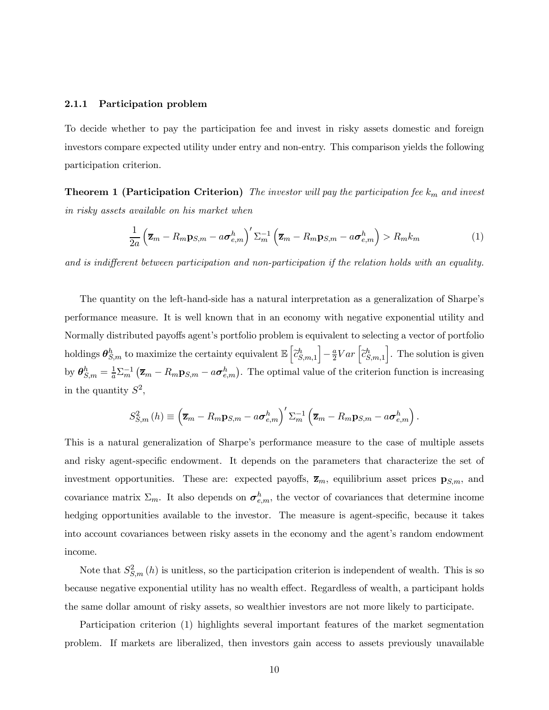#### 2.1.1 Participation problem

To decide whether to pay the participation fee and invest in risky assets domestic and foreign investors compare expected utility under entry and non-entry. This comparison yields the following participation criterion.

**Theorem 1 (Participation Criterion)** The investor will pay the participation fee  $k_m$  and invest in risky assets available on his market when

$$
\frac{1}{2a} \left( \overline{\mathbf{z}}_m - R_m \mathbf{p}_{S,m} - a \boldsymbol{\sigma}_{e,m}^h \right)' \Sigma_m^{-1} \left( \overline{\mathbf{z}}_m - R_m \mathbf{p}_{S,m} - a \boldsymbol{\sigma}_{e,m}^h \right) > R_m k_m \tag{1}
$$

and is indifferent between participation and non-participation if the relation holds with an equality.

The quantity on the left-hand-side has a natural interpretation as a generalization of Sharpe's performance measure. It is well known that in an economy with negative exponential utility and Normally distributed payoffs agent's portfolio problem is equivalent to selecting a vector of portfolio holdings  $\boldsymbol{\theta}_{S,m}^h$  to maximize the certainty equivalent  $\mathbb{E}\left[\tilde{c}_{S,m,1}^h\right]$  $\left]-\frac{a}{2}Var\left[\widetilde{c}_{S,m,1}^{h}\right]$ . The solution is given by  $\theta_{S,m}^h = \frac{1}{a} \sum_{m=1}^{-1} (\bar{\mathbf{z}}_m - R_m \mathbf{p}_{S,m} - a \sigma_{e,m}^h)$ . The optimal value of the criterion function is increasing in the quantity  $S^2$ ,

$$
S_{S,m}^{2}(h) \equiv \left(\overline{\mathbf{z}}_m - R_m \mathbf{p}_{S,m} - a \boldsymbol{\sigma}_{e,m}^h\right)' \Sigma_m^{-1} \left(\overline{\mathbf{z}}_m - R_m \mathbf{p}_{S,m} - a \boldsymbol{\sigma}_{e,m}^h\right).
$$

This is a natural generalization of Sharpe's performance measure to the case of multiple assets and risky agent-specific endowment. It depends on the parameters that characterize the set of investment opportunities. These are: expected payoffs,  $\overline{\mathbf{z}}_m$ , equilibrium asset prices  $\mathbf{p}_{S,m}$ , and covariance matrix  $\Sigma_m$ . It also depends on  $\sigma_{e,m}^h$ , the vector of covariances that determine income hedging opportunities available to the investor. The measure is agent-specific, because it takes into account covariances between risky assets in the economy and the agent's random endowment income.

Note that  $S_{S,m}^2(h)$  is unitless, so the participation criterion is independent of wealth. This is so because negative exponential utility has no wealth effect. Regardless of wealth, a participant holds the same dollar amount of risky assets, so wealthier investors are not more likely to participate.

Participation criterion (1) highlights several important features of the market segmentation problem. If markets are liberalized, then investors gain access to assets previously unavailable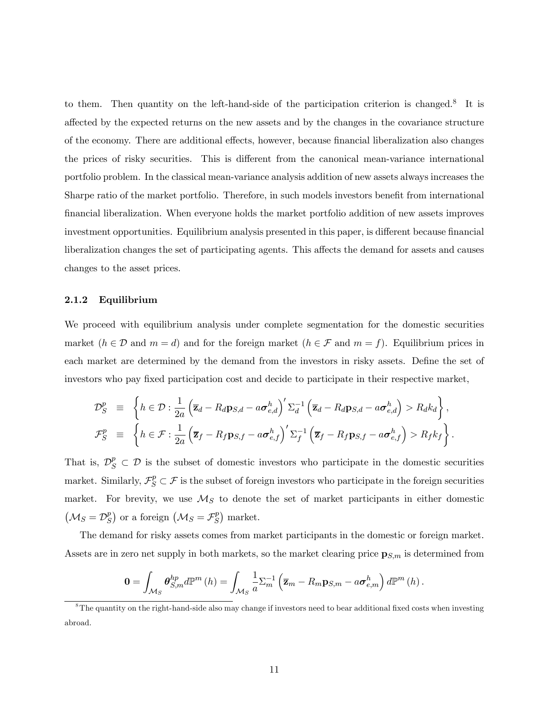to them. Then quantity on the left-hand-side of the participation criterion is changed.<sup>8</sup> It is affected by the expected returns on the new assets and by the changes in the covariance structure of the economy. There are additional effects, however, because financial liberalization also changes the prices of risky securities. This is different from the canonical mean-variance international portfolio problem. In the classical mean-variance analysis addition of new assets always increases the Sharpe ratio of the market portfolio. Therefore, in such models investors benefit from international financial liberalization. When everyone holds the market portfolio addition of new assets improves investment opportunities. Equilibrium analysis presented in this paper, is different because financial liberalization changes the set of participating agents. This affects the demand for assets and causes changes to the asset prices.

#### 2.1.2 Equilibrium

We proceed with equilibrium analysis under complete segmentation for the domestic securities market  $(h \in \mathcal{D}$  and  $m = d)$  and for the foreign market  $(h \in \mathcal{F}$  and  $m = f)$ . Equilibrium prices in each market are determined by the demand from the investors in risky assets. Define the set of investors who pay fixed participation cost and decide to participate in their respective market,

$$
\mathcal{D}_S^p \equiv \left\{ h \in \mathcal{D} : \frac{1}{2a} \left( \overline{\mathbf{z}}_d - R_d \mathbf{p}_{S,d} - a \sigma_{e,d}^h \right)' \Sigma_d^{-1} \left( \overline{\mathbf{z}}_d - R_d \mathbf{p}_{S,d} - a \sigma_{e,d}^h \right) > R_d k_d \right\},
$$
  

$$
\mathcal{F}_S^p \equiv \left\{ h \in \mathcal{F} : \frac{1}{2a} \left( \overline{\mathbf{z}}_f - R_f \mathbf{p}_{S,f} - a \sigma_{e,f}^h \right)' \Sigma_f^{-1} \left( \overline{\mathbf{z}}_f - R_f \mathbf{p}_{S,f} - a \sigma_{e,f}^h \right) > R_f k_f \right\}.
$$

That is,  $\mathcal{D}_{S}^{p} \subset \mathcal{D}$  is the subset of domestic investors who participate in the domestic securities market. Similarly,  $\mathcal{F}_{S}^{p} \subset \mathcal{F}$  is the subset of foreign investors who participate in the foreign securities market. For brevity, we use  $\mathcal{M}_S$  to denote the set of market participants in either domestic  $\left( \mathcal{M}_S = \mathcal{D}_S^p \right)$  or a foreign  $\left( \mathcal{M}_S = \mathcal{F}_S^p \right)$  market.

The demand for risky assets comes from market participants in the domestic or foreign market. Assets are in zero net supply in both markets, so the market clearing price  $\mathbf{p}_{S,m}$  is determined from

$$
\mathbf{0} = \int_{\mathcal{M}_S} \boldsymbol{\theta}_{S,m}^{hp} d\mathbb{P}^m(h) = \int_{\mathcal{M}_S} \frac{1}{a} \Sigma_m^{-1} \left( \overline{\mathbf{z}}_m - R_m \mathbf{p}_{S,m} - a \boldsymbol{\sigma}_{e,m}^h \right) d\mathbb{P}^m(h).
$$

<sup>8</sup>The quantity on the right-hand-side also may change if investors need to bear additional fixed costs when investing abroad.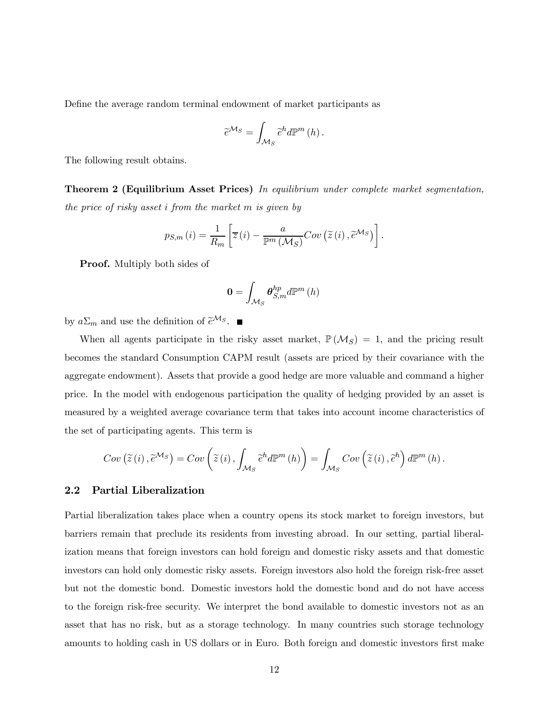Define the average random terminal endowment of market participants as

$$
\widetilde{e}^{\mathcal{M}_S} = \int_{\mathcal{M}_S} \widetilde{e}^h d\mathbb{P}^m(h).
$$

The following result obtains.

Theorem 2 (Equilibrium Asset Prices) In equilibrium under complete market segmentation, the price of risky asset i from the market m is given by

$$
p_{S,m}(i) = \frac{1}{R_m} \left[ \overline{z}(i) - \frac{a}{\mathbb{P}^m \left( \mathcal{M}_S \right)} Cov\left(\widetilde{z}(i), \widetilde{e}^{\mathcal{M}_S} \right) \right].
$$

Proof. Multiply both sides of

$$
\mathbf{0}=\int_{\mathcal{M}_{S}}\boldsymbol{\theta}_{S,m}^{hp}d\mathbb{P}^{m}\left(h\right)
$$

by  $a\Sigma_m$  and use the definition of  $\widetilde e^{{\mathcal M}_S}.~\blacksquare$ 

When all agents participate in the risky asset market,  $\mathbb{P}(\mathcal{M}_S)=1$ , and the pricing result becomes the standard Consumption CAPM result (assets are priced by their covariance with the aggregate endowment). Assets that provide a good hedge are more valuable and command a higher price. In the model with endogenous participation the quality of hedging provided by an asset is measured by a weighted average covariance term that takes into account income characteristics of the set of participating agents. This term is

$$
Cov\left(\widetilde{z}\left(i\right),\widetilde{e}^{\mathcal{M}_S}\right)=Cov\left(\widetilde{z}\left(i\right),\int_{\mathcal{M}_S}\widetilde{e}^h d\mathbb{P}^m\left(h\right)\right)=\int_{\mathcal{M}_S}Cov\left(\widetilde{z}\left(i\right),\widetilde{e}^h\right)d\mathbb{P}^m\left(h\right).
$$

#### 2.2 Partial Liberalization

Partial liberalization takes place when a country opens its stock market to foreign investors, but barriers remain that preclude its residents from investing abroad. In our setting, partial liberalization means that foreign investors can hold foreign and domestic risky assets and that domestic investors can hold only domestic risky assets. Foreign investors also hold the foreign risk-free asset but not the domestic bond. Domestic investors hold the domestic bond and do not have access to the foreign risk-free security. We interpret the bond available to domestic investors not as an asset that has no risk, but as a storage technology. In many countries such storage technology amounts to holding cash in US dollars or in Euro. Both foreign and domestic investors first make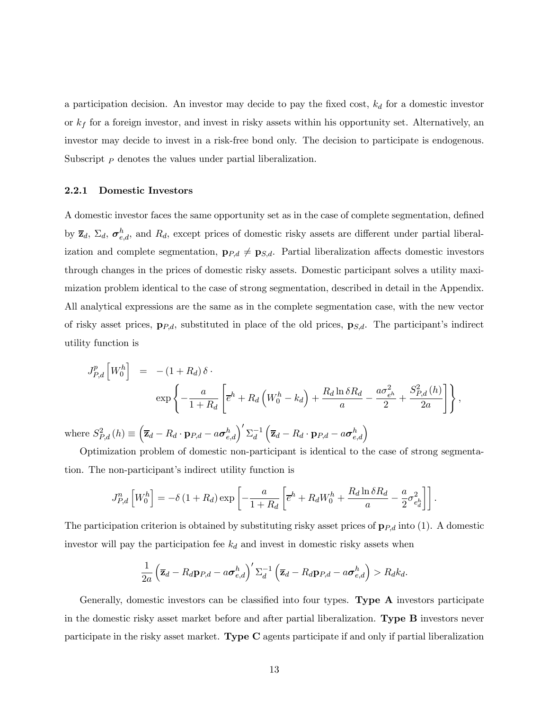a participation decision. An investor may decide to pay the fixed cost,  $k_d$  for a domestic investor or  $k_f$  for a foreign investor, and invest in risky assets within his opportunity set. Alternatively, an investor may decide to invest in a risk-free bond only. The decision to participate is endogenous. Subscript  $\mu$  denotes the values under partial liberalization.

#### 2.2.1 Domestic Investors

A domestic investor faces the same opportunity set as in the case of complete segmentation, defined by  $\bar{z}_d$ ,  $\Sigma_d$ ,  $\sigma_{e,d}^h$ , and  $R_d$ , except prices of domestic risky assets are different under partial liberalization and complete segmentation,  $\mathbf{p}_{P,d} \neq \mathbf{p}_{S,d}$ . Partial liberalization affects domestic investors through changes in the prices of domestic risky assets. Domestic participant solves a utility maximization problem identical to the case of strong segmentation, described in detail in the Appendix. All analytical expressions are the same as in the complete segmentation case, with the new vector of risky asset prices,  $\mathbf{p}_{P,d}$ , substituted in place of the old prices,  $\mathbf{p}_{S,d}$ . The participant's indirect utility function is

$$
J_{P,d}^p \left[ W_0^h \right] = -(1+R_d) \delta \cdot \exp\left\{-\frac{a}{1+R_d} \left[ \overline{e}^h + R_d \left( W_0^h - k_d \right) + \frac{R_d \ln \delta R_d}{a} - \frac{a \sigma_{e^h}^2}{2} + \frac{S_{P,d}^2(h)}{2a} \right] \right\},\,
$$

where  $S_{P,d}^2(h) \equiv \left(\overline{\mathbf{z}}_d - R_d \cdot \mathbf{p}_{P,d} - a \boldsymbol{\sigma}_{e,d}^h\right)' \Sigma_d^{-1}$  $\left(\mathbf{\overline{z}}_{d} - R_{d} \cdot \mathbf{p}_{P,d} - a \boldsymbol{\sigma}_{e,d}^{h}\right)$ 

Optimization problem of domestic non-participant is identical to the case of strong segmentation. The non-participant's indirect utility function is

$$
J_{P,d}^n \left[ W_0^h \right] = -\delta \left( 1 + R_d \right) \exp \left[ -\frac{a}{1 + R_d} \left[ \overline{e}^h + R_d W_0^h + \frac{R_d \ln \delta R_d}{a} - \frac{a}{2} \sigma_{e_d^h}^2 \right] \right].
$$

The participation criterion is obtained by substituting risky asset prices of  $\mathbf{p}_{P,d}$  into (1). A domestic investor will pay the participation fee  $k_d$  and invest in domestic risky assets when

$$
\frac{1}{2a}\left(\overline{\mathbf{z}}_d - R_d \mathbf{p}_{P,d} - a\boldsymbol{\sigma}_{e,d}^h\right)' \Sigma_d^{-1} \left(\overline{\mathbf{z}}_d - R_d \mathbf{p}_{P,d} - a\boldsymbol{\sigma}_{e,d}^h\right) > R_d k_d.
$$

Generally, domestic investors can be classified into four types. Type A investors participate in the domestic risky asset market before and after partial liberalization. Type B investors never participate in the risky asset market. Type C agents participate if and only if partial liberalization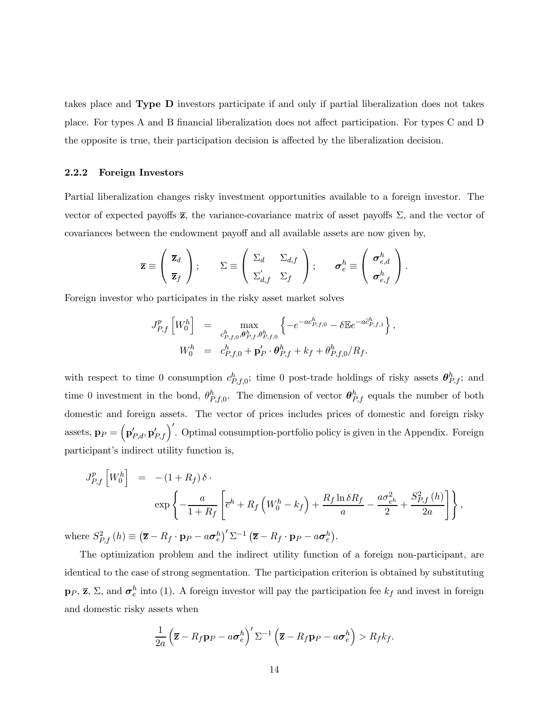takes place and Type D investors participate if and only if partial liberalization does not takes place. For types A and B financial liberalization does not affect participation. For types C and D the opposite is true, their participation decision is affected by the liberalization decision.

#### 2.2.2 Foreign Investors

Partial liberalization changes risky investment opportunities available to a foreign investor. The vector of expected payoffs  $\overline{z}$ , the variance-covariance matrix of asset payoffs  $\Sigma$ , and the vector of covariances between the endowment payoff and all available assets are now given by,

$$
\overline{\mathbf{z}} \equiv \left( \begin{array}{c} \overline{\mathbf{z}}_d \\ \overline{\mathbf{z}}_f \end{array} \right); \qquad \Sigma \equiv \left( \begin{array}{cc} \Sigma_d & \Sigma_{d,f} \\ \Sigma_{d,f}^{'} & \Sigma_f \end{array} \right); \qquad \sigma_e^h \equiv \left( \begin{array}{c} \sigma_{e,d}^h \\ \sigma_{e,f}^h \end{array} \right).
$$

Foreign investor who participates in the risky asset market solves

$$
J_{P,f}^{p} \left[ W_{0}^{h} \right] = \max_{c_{P,f,0}^{h}, \theta_{P,f}^{h}, \theta_{P,f,0}^{h}} \left\{ -e^{-ac_{P,f,0}^{h}} - \delta \mathbb{E} e^{-a\tilde{c}_{P,f,1}^{h}} \right\},
$$
  

$$
W_{0}^{h} = c_{P,f,0}^{h} + \mathbf{p}_{P}^{\prime} \cdot \theta_{P,f}^{h} + k_{f} + \theta_{P,f,0}^{h}/R_{f}.
$$

with respect to time 0 consumption  $c_{P,f,0}^h$ ; time 0 post-trade holdings of risky assets  $\theta_{P,f}^h$ ; and time 0 investment in the bond,  $\theta_{P,f,0}^h$ . The dimension of vector  $\theta_{P,f}^h$  equals the number of both domestic and foreign assets. The vector of prices includes prices of domestic and foreign risky assets,  $\mathbf{p}_P = (\mathbf{p}'_{P,d}, \mathbf{p}'_{P,f})'$ . Optimal consumption-portfolio policy is given in the Appendix. Foreign participant's indirect utility function is,

$$
J_{P,f}^{p}\left[W_{0}^{h}\right] = -(1+R_{f})\delta
$$

$$
\exp\left\{-\frac{a}{1+R_{f}}\left[\overline{e}^{h} + R_{f}\left(W_{0}^{h} - k_{f}\right) + \frac{R_{f}\ln\delta R_{f}}{a} - \frac{a\sigma_{e^{h}}^{2}}{2} + \frac{S_{P,f}^{2}\left(h\right)}{2a}\right]\right\},\right\}
$$

where  $S_{P,f}^2(h) \equiv (\mathbf{\overline{z}} - R_f \cdot \mathbf{p}_P - a\boldsymbol{\sigma}_e^h)' \Sigma^{-1} (\mathbf{\overline{z}} - R_f \cdot \mathbf{p}_P - a\boldsymbol{\sigma}_e^h).$ 

The optimization problem and the indirect utility function of a foreign non-participant, are identical to the case of strong segmentation. The participation criterion is obtained by substituting  $\mathbf{p}_P, \overline{\mathbf{z}}, \Sigma$ , and  $\sigma_e^h$  into (1). A foreign investor will pay the participation fee  $k_f$  and invest in foreign and domestic risky assets when

$$
\frac{1}{2a}\left(\overline{\mathbf{z}} - R_f \mathbf{p}_P - a\boldsymbol{\sigma}_e^h\right)' \Sigma^{-1} \left(\overline{\mathbf{z}} - R_f \mathbf{p}_P - a\boldsymbol{\sigma}_e^h\right) > R_f k_f.
$$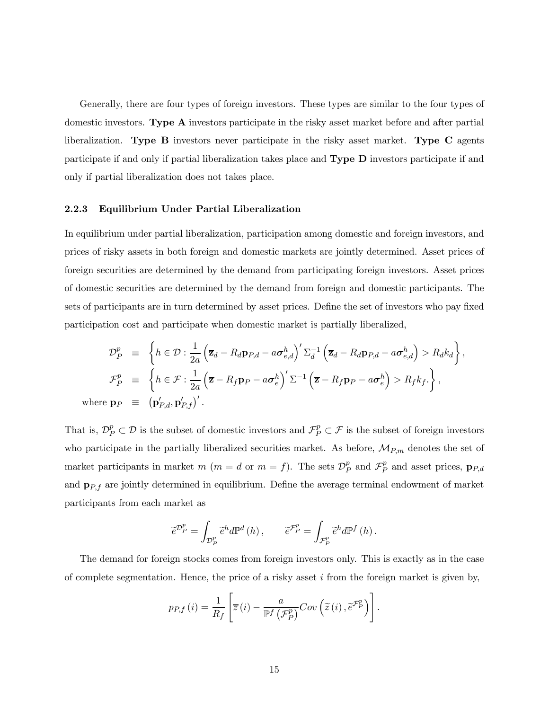Generally, there are four types of foreign investors. These types are similar to the four types of domestic investors. Type A investors participate in the risky asset market before and after partial liberalization. Type B investors never participate in the risky asset market. Type C agents participate if and only if partial liberalization takes place and Type D investors participate if and only if partial liberalization does not takes place.

#### 2.2.3 Equilibrium Under Partial Liberalization

In equilibrium under partial liberalization, participation among domestic and foreign investors, and prices of risky assets in both foreign and domestic markets are jointly determined. Asset prices of foreign securities are determined by the demand from participating foreign investors. Asset prices of domestic securities are determined by the demand from foreign and domestic participants. The sets of participants are in turn determined by asset prices. Define the set of investors who pay fixed participation cost and participate when domestic market is partially liberalized,

$$
\mathcal{D}_P^p \equiv \left\{ h \in \mathcal{D} : \frac{1}{2a} \left( \overline{\mathbf{z}}_d - R_d \mathbf{p}_{P,d} - a \sigma_{e,d}^h \right)' \Sigma_d^{-1} \left( \overline{\mathbf{z}}_d - R_d \mathbf{p}_{P,d} - a \sigma_{e,d}^h \right) > R_d k_d \right\},
$$
\n
$$
\mathcal{F}_P^p \equiv \left\{ h \in \mathcal{F} : \frac{1}{2a} \left( \overline{\mathbf{z}} - R_f \mathbf{p}_P - a \sigma_e^h \right)' \Sigma^{-1} \left( \overline{\mathbf{z}} - R_f \mathbf{p}_P - a \sigma_e^h \right) > R_f k_f. \right\},
$$
\nwhere  $\mathbf{p}_P \equiv (\mathbf{p}'_{P,d}, \mathbf{p}'_{P,f})'$ .

That is,  $\mathcal{D}_P^p \subset \mathcal{D}$  is the subset of domestic investors and  $\mathcal{F}_P^p \subset \mathcal{F}$  is the subset of foreign investors who participate in the partially liberalized securities market. As before,  $\mathcal{M}_{P,m}$  denotes the set of market participants in market  $m (m = d \text{ or } m = f)$ . The sets  $\mathcal{D}_P^p$  and  $\mathcal{F}_P^p$  and asset prices,  $\mathbf{p}_{P,d}$ and  $\mathbf{p}_{P,f}$  are jointly determined in equilibrium. Define the average terminal endowment of market participants from each market as

$$
\tilde{e}^{\mathcal{D}_{P}^{p}}=\int_{\mathcal{D}_{P}^{p}}\tilde{e}^{h}d\mathbb{P}^{d}\left(h\right),\qquad\tilde{e}^{\mathcal{F}_{P}^{p}}=\int_{\mathcal{F}_{P}^{p}}\tilde{e}^{h}d\mathbb{P}^{f}\left(h\right).
$$

The demand for foreign stocks comes from foreign investors only. This is exactly as in the case of complete segmentation. Hence, the price of a risky asset  $i$  from the foreign market is given by,

$$
p_{P,f}(i) = \frac{1}{R_f} \left[ \overline{z}(i) - \frac{a}{\mathbb{P}^f(\mathcal{F}_P^p)} Cov\left(\widetilde{z}(i), \widetilde{e}^{\mathcal{F}_P^p}\right) \right].
$$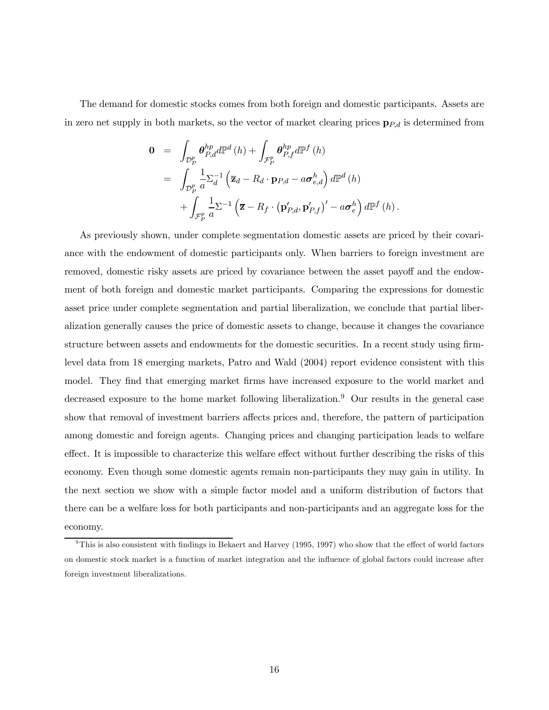The demand for domestic stocks comes from both foreign and domestic participants. Assets are in zero net supply in both markets, so the vector of market clearing prices  $\mathbf{p}_{P,d}$  is determined from

$$
0 = \int_{\mathcal{D}_P^p} \theta_{P,d}^{hp} d\mathbb{P}^d(h) + \int_{\mathcal{F}_P^p} \theta_{P,f}^{hp} d\mathbb{P}^f(h)
$$
  
= 
$$
\int_{\mathcal{D}_P^p} \frac{1}{a} \Sigma_d^{-1} (\overline{\mathbf{z}}_d - R_d \cdot \mathbf{p}_{P,d} - a \sigma_{e,d}^h) d\mathbb{P}^d(h)
$$
  
+ 
$$
\int_{\mathcal{F}_P^p} \frac{1}{a} \Sigma^{-1} (\overline{\mathbf{z}} - R_f \cdot (\mathbf{p}_{P,d}', \mathbf{p}_{P,f}')' - a \sigma_e^h) d\mathbb{P}^f(h).
$$

As previously shown, under complete segmentation domestic assets are priced by their covariance with the endowment of domestic participants only. When barriers to foreign investment are removed, domestic risky assets are priced by covariance between the asset payoff and the endowment of both foreign and domestic market participants. Comparing the expressions for domestic asset price under complete segmentation and partial liberalization, we conclude that partial liberalization generally causes the price of domestic assets to change, because it changes the covariance structure between assets and endowments for the domestic securities. In a recent study using firmlevel data from 18 emerging markets, Patro and Wald (2004) report evidence consistent with this model. They find that emerging market firms have increased exposure to the world market and decreased exposure to the home market following liberalization.<sup>9</sup> Our results in the general case show that removal of investment barriers affects prices and, therefore, the pattern of participation among domestic and foreign agents. Changing prices and changing participation leads to welfare effect. It is impossible to characterize this welfare effect without further describing the risks of this economy. Even though some domestic agents remain non-participants they may gain in utility. In the next section we show with a simple factor model and a uniform distribution of factors that there can be a welfare loss for both participants and non-participants and an aggregate loss for the economy.

 $9$ This is also consistent with findings in Bekaert and Harvey (1995, 1997) who show that the effect of world factors on domestic stock market is a function of market integration and the influence of global factors could increase after foreign investment liberalizations.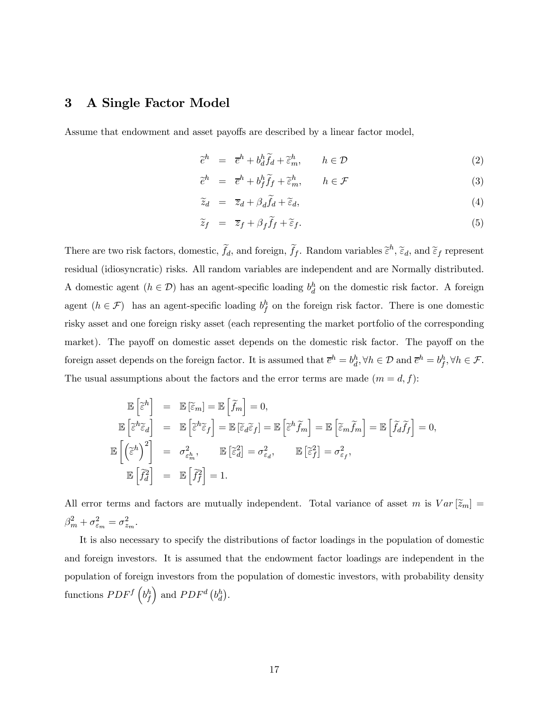# 3 A Single Factor Model

Assume that endowment and asset payoffs are described by a linear factor model,

$$
\tilde{e}^h = \overline{e}^h + b_d^h \tilde{f}_d + \tilde{\varepsilon}_m^h, \qquad h \in \mathcal{D}
$$
\n<sup>(2)</sup>

$$
\tilde{e}^h = \overline{e}^h + b_f^h \tilde{f}_f + \tilde{\varepsilon}_m^h, \qquad h \in \mathcal{F}
$$
\n(3)

$$
\widetilde{z}_d = \overline{z}_d + \beta_d \widetilde{f}_d + \widetilde{\varepsilon}_d,\tag{4}
$$

$$
\widetilde{z}_f = \overline{z}_f + \beta_f \widetilde{f}_f + \widetilde{\varepsilon}_f. \tag{5}
$$

There are two risk factors, domestic,  $\tilde{f}_d$ , and foreign,  $\tilde{f}_f$ . Random variables  $\tilde{\epsilon}^h$ ,  $\tilde{\epsilon}_d$ , and  $\tilde{\epsilon}_f$  represent residual (idiosyncratic) risks. All random variables are independent and are Normally distributed. A domestic agent  $(h \in \mathcal{D})$  has an agent-specific loading  $b_d^h$  on the domestic risk factor. A foreign agent  $(h \in \mathcal{F})$  has an agent-specific loading  $b_f^h$  on the foreign risk factor. There is one domestic risky asset and one foreign risky asset (each representing the market portfolio of the corresponding market). The payoff on domestic asset depends on the domestic risk factor. The payoff on the foreign asset depends on the foreign factor. It is assumed that  $\overline{e}^h = b_d^h, \forall h \in \mathcal{D}$  and  $\overline{e}^h = b_f^h, \forall h \in \mathcal{F}$ . The usual assumptions about the factors and the error terms are made  $(m = d, f)$ :

$$
\mathbb{E}\left[\tilde{\varepsilon}^h\right] = \mathbb{E}\left[\tilde{\varepsilon}^m\right] = \mathbb{E}\left[\tilde{f}_m\right] = 0,
$$
\n
$$
\mathbb{E}\left[\tilde{\varepsilon}^h \tilde{\varepsilon}_d\right] = \mathbb{E}\left[\tilde{\varepsilon}^h \tilde{\varepsilon}_f\right] = \mathbb{E}\left[\tilde{\varepsilon}_d \tilde{\varepsilon}_f\right] = \mathbb{E}\left[\tilde{\varepsilon}^h \tilde{f}_m\right] = \mathbb{E}\left[\tilde{\varepsilon}_m \tilde{f}_m\right] = \mathbb{E}\left[\tilde{f}_d \tilde{f}_f\right] = 0,
$$
\n
$$
\mathbb{E}\left[\left(\tilde{\varepsilon}^h\right)^2\right] = \sigma_{\varepsilon_m}^2, \qquad \mathbb{E}\left[\tilde{\varepsilon}_d^2\right] = \sigma_{\varepsilon_d}^2, \qquad \mathbb{E}\left[\tilde{\varepsilon}_f^2\right] = \sigma_{\varepsilon_f}^2,
$$
\n
$$
\mathbb{E}\left[\tilde{f}_d^2\right] = \mathbb{E}\left[\tilde{f}_f^2\right] = 1.
$$

All error terms and factors are mutually independent. Total variance of asset m is  $Var\left[\tilde{z}_m\right]$  $\beta_m^2 + \sigma_{\varepsilon_m}^2 = \sigma_{z_m}^2$ .

It is also necessary to specify the distributions of factor loadings in the population of domestic and foreign investors. It is assumed that the endowment factor loadings are independent in the population of foreign investors from the population of domestic investors, with probability density functions  $PDF^{f} (b_{f}^{h})$ ) and  $PDF<sup>d</sup> (b<sub>d</sub><sup>h</sup>)$ .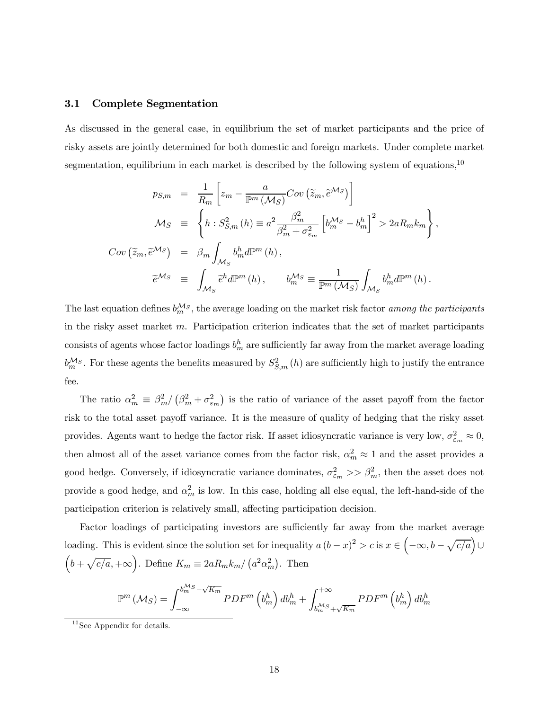#### 3.1 Complete Segmentation

As discussed in the general case, in equilibrium the set of market participants and the price of risky assets are jointly determined for both domestic and foreign markets. Under complete market segmentation, equilibrium in each market is described by the following system of equations,  $10$ 

$$
p_{S,m} = \frac{1}{R_m} \left[ \overline{z}_m - \frac{a}{\mathbb{P}^m \left( \mathcal{M}_S \right)} Cov \left( \tilde{z}_m, \tilde{e}^{\mathcal{M}_S} \right) \right]
$$
  

$$
\mathcal{M}_S = \left\{ h : S_{S,m}^2(h) \equiv a^2 \frac{\beta_m^2}{\beta_m^2 + \sigma_{\varepsilon_m}^2} \left[ b_m^{\mathcal{M}_S} - b_m^h \right]^2 > 2aR_m k_m \right\},
$$
  

$$
Cov \left( \tilde{z}_m, \tilde{e}^{\mathcal{M}_S} \right) = \beta_m \int_{\mathcal{M}_S} b_m^h d\mathbb{P}^m(h),
$$
  

$$
\tilde{e}^{\mathcal{M}_S} \equiv \int_{\mathcal{M}_S} \tilde{e}^h d\mathbb{P}^m(h), \qquad b_m^{\mathcal{M}_S} \equiv \frac{1}{\mathbb{P}^m \left( \mathcal{M}_S \right)} \int_{\mathcal{M}_S} b_m^h d\mathbb{P}^m(h).
$$

The last equation defines  $b_m^{\mathcal{M}_S}$ , the average loading on the market risk factor among the participants in the risky asset market m. Participation criterion indicates that the set of market participants consists of agents whose factor loadings  $b_m^h$  are sufficiently far away from the market average loading  $b_m^{\mathcal{M}_S}$ . For these agents the benefits measured by  $S_{S,m}^2(h)$  are sufficiently high to justify the entrance fee.

The ratio  $\alpha_m^2 \equiv \beta_m^2 / (\beta_m^2 + \sigma_{\epsilon_m}^2)$  is the ratio of variance of the asset payoff from the factor risk to the total asset payoff variance. It is the measure of quality of hedging that the risky asset provides. Agents want to hedge the factor risk. If asset idiosyncratic variance is very low,  $\sigma_{\varepsilon_m}^2 \approx 0$ , then almost all of the asset variance comes from the factor risk,  $\alpha_m^2 \approx 1$  and the asset provides a good hedge. Conversely, if idiosyncratic variance dominates,  $\sigma_{\varepsilon_m}^2 >> \beta_m^2$ , then the asset does not provide a good hedge, and  $\alpha_m^2$  is low. In this case, holding all else equal, the left-hand-side of the participation criterion is relatively small, affecting participation decision.

Factor loadings of participating investors are sufficiently far away from the market average loading. This is evident since the solution set for inequality  $a (b - x)^2 > c$  is  $x \in \left(-\infty, b - \sqrt{c/a}\right) \cup$  $\left(b+\sqrt{c/a},+\infty\right)$ . Define  $K_m \equiv 2aR_m k_m/\left(a^2\alpha_m^2\right)$ . Then

$$
\mathbb{P}^{m}\left(\mathcal{M}_{S}\right) = \int_{-\infty}^{b_{m}^{\mathcal{M}_{S}} - \sqrt{K_{m}}} PDF^{m}\left(b_{m}^{h}\right) db_{m}^{h} + \int_{b_{m}^{\mathcal{M}_{S}} + \sqrt{K_{m}}}^{+\infty} PDF^{m}\left(b_{m}^{h}\right) db_{m}^{h}
$$

 $10$  See Appendix for details.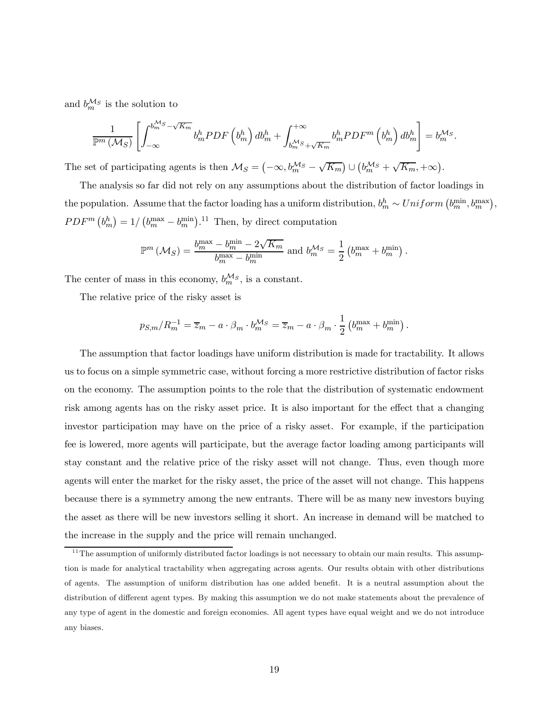and  $b_m^{\mathcal{M}_S}$  is the solution to

$$
\frac{1}{\mathbb{P}^m\left(\mathcal{M}_S\right)}\left[\int_{-\infty}^{b_m^{\mathcal{M}_S}-\sqrt{K_m}}b_m^h PDF\left(b_m^h\right)db_m^h+\int_{b_m^{\mathcal{M}_S}+\sqrt{K_m}}^{+\infty}b_m^h PDF^m\left(b_m^h\right)db_m^h\right]=b_m^{\mathcal{M}_S}.
$$

The set of participating agents is then  $\mathcal{M}_S = \left(-\infty, b_m^{\mathcal{M}_S} - \sqrt{K_m}\right) \cup \left(b_m^{\mathcal{M}_S} + \sqrt{K_m}, +\infty\right)$ .

The analysis so far did not rely on any assumptions about the distribution of factor loadings in the population. Assume that the factor loading has a uniform distribution,  $b_m^h \sim Uniform\left(b_m^{\min}, b_m^{\max}\right),$  $PDF^{m} (b_{m}^{h}) = 1/(b_{m}^{\max} - b_{m}^{\min}).^{11}$  Then, by direct computation

$$
\mathbb{P}^m\left(\mathcal{M}_S\right) = \frac{b_m^{\max} - b_m^{\min} - 2\sqrt{K_m}}{b_m^{\max} - b_m^{\min}} \text{ and } b_m^{\mathcal{M}_S} = \frac{1}{2} \left( b_m^{\max} + b_m^{\min} \right).
$$

The center of mass in this economy,  $b^{\mathcal{M}_S}_m,$  is a constant.

The relative price of the risky asset is

$$
p_{S,m}/R_m^{-1} = \overline{z}_m - a \cdot \beta_m \cdot b_m^{\mathcal{M}_S} = \overline{z}_m - a \cdot \beta_m \cdot \frac{1}{2} \left( b_m^{\max} + b_m^{\min} \right).
$$

The assumption that factor loadings have uniform distribution is made for tractability. It allows us to focus on a simple symmetric case, without forcing a more restrictive distribution of factor risks on the economy. The assumption points to the role that the distribution of systematic endowment risk among agents has on the risky asset price. It is also important for the effect that a changing investor participation may have on the price of a risky asset. For example, if the participation fee is lowered, more agents will participate, but the average factor loading among participants will stay constant and the relative price of the risky asset will not change. Thus, even though more agents will enter the market for the risky asset, the price of the asset will not change. This happens because there is a symmetry among the new entrants. There will be as many new investors buying the asset as there will be new investors selling it short. An increase in demand will be matched to the increase in the supply and the price will remain unchanged.

<sup>&</sup>lt;sup>11</sup>The assumption of uniformly distributed factor loadings is not necessary to obtain our main results. This assumption is made for analytical tractability when aggregating across agents. Our results obtain with other distributions of agents. The assumption of uniform distribution has one added benefit. It is a neutral assumption about the distribution of different agent types. By making this assumption we do not make statements about the prevalence of any type of agent in the domestic and foreign economies. All agent types have equal weight and we do not introduce any biases.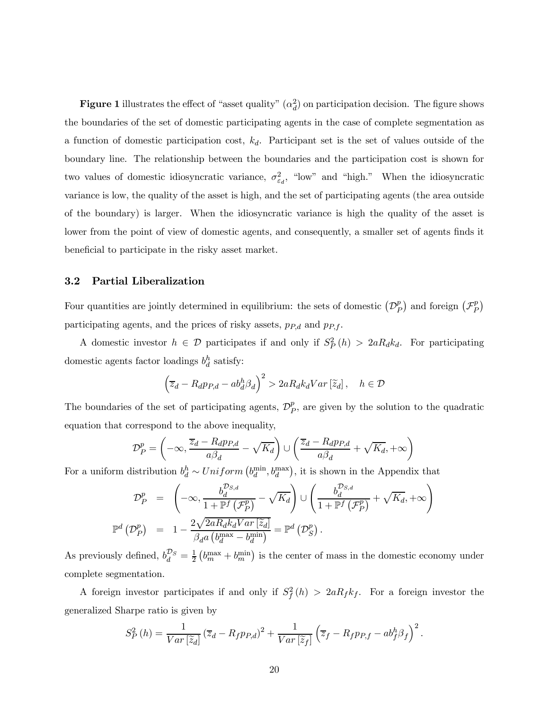**Figure 1** illustrates the effect of "asset quality"  $(\alpha_d^2)$  on participation decision. The figure shows the boundaries of the set of domestic participating agents in the case of complete segmentation as a function of domestic participation cost,  $k_d$ . Participant set is the set of values outside of the boundary line. The relationship between the boundaries and the participation cost is shown for two values of domestic idiosyncratic variance,  $\sigma_{\varepsilon_d}^2$ , "low" and "high." When the idiosyncratic variance is low, the quality of the asset is high, and the set of participating agents (the area outside of the boundary) is larger. When the idiosyncratic variance is high the quality of the asset is lower from the point of view of domestic agents, and consequently, a smaller set of agents finds it beneficial to participate in the risky asset market.

#### 3.2 Partial Liberalization

Four quantities are jointly determined in equilibrium: the sets of domestic  $(\mathcal{D}_P^p)$  and foreign  $(\mathcal{F}_P^p)$ participating agents, and the prices of risky assets,  $p_{P,d}$  and  $p_{P,f}$ .

A domestic investor  $h \in \mathcal{D}$  participates if and only if  $S_P^2(h) > 2aR_d k_d$ . For participating domestic agents factor loadings  $b_d^h$  satisfy:

$$
\left(\overline{z}_d - R_d p_{P,d} - ab_d^h \beta_d\right)^2 > 2aR_d k_d Var\left[\widetilde{z}_d\right], \quad h \in \mathcal{D}
$$

The boundaries of the set of participating agents,  $\mathcal{D}_P^p$ , are given by the solution to the quadratic equation that correspond to the above inequality,

$$
\mathcal{D}_P^p = \left(-\infty, \frac{\overline{z}_d - R_d p_{P,d}}{a\beta_d} - \sqrt{K_d}\right) \cup \left(\frac{\overline{z}_d - R_d p_{P,d}}{a\beta_d} + \sqrt{K_d}, +\infty\right)
$$

For a uniform distribution  $b_d^h \sim Uniform\left(b_d^{\min}, b_d^{\max}\right)$ , it is shown in the Appendix that

$$
\mathcal{D}_P^p = \left(-\infty, \frac{b_d^{\mathcal{D}_{S,d}}}{1 + \mathbb{P}^f(\mathcal{F}_P^p)} - \sqrt{K_d}\right) \cup \left(\frac{b_d^{\mathcal{D}_{S,d}}}{1 + \mathbb{P}^f(\mathcal{F}_P^p)} + \sqrt{K_d}, +\infty\right)
$$

$$
\mathbb{P}^d\left(\mathcal{D}_P^p\right) = 1 - \frac{2\sqrt{2aR_dk_dVar\left[\widetilde{z}_d\right]}}{\beta_d a\left(b_d^{\max} - b_d^{\min}\right)} = \mathbb{P}^d\left(\mathcal{D}_S^p\right).
$$

As previously defined,  $b_d^{\mathcal{D}_S} = \frac{1}{2} \left( b_m^{\max} + b_m^{\min} \right)$  is the center of mass in the domestic economy under complete segmentation.

A foreign investor participates if and only if  $S_f^2(h) > 2aR_f k_f$ . For a foreign investor the generalized Sharpe ratio is given by

$$
S_P^2(h) = \frac{1}{Var\left[\widetilde{z}_d\right]} \left(\overline{z}_d - R_f p_{P,d}\right)^2 + \frac{1}{Var\left[\widetilde{z}_f\right]} \left(\overline{z}_f - R_f p_{P,f} - ab_f^h \beta_f\right)^2.
$$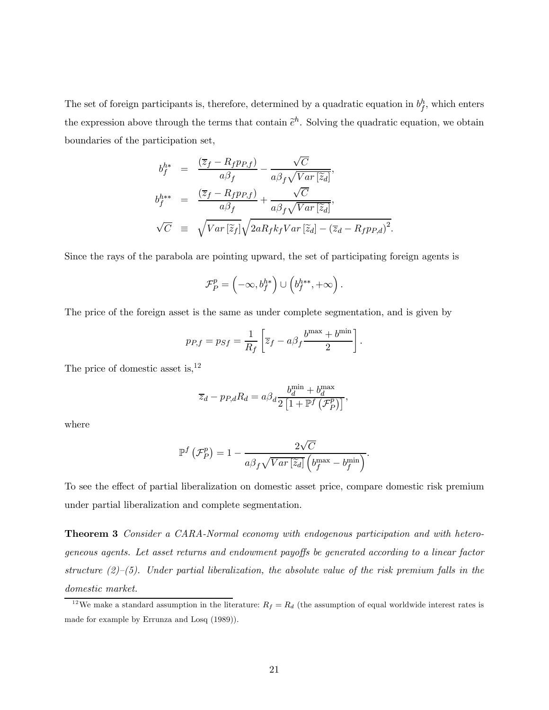The set of foreign participants is, therefore, determined by a quadratic equation in  $b_f^h$ , which enters the expression above through the terms that contain  $\tilde{e}^h$ . Solving the quadratic equation, we obtain boundaries of the participation set,

$$
b_f^{h*} = \frac{(\overline{z}_f - R_f p_{P,f})}{a\beta_f} - \frac{\sqrt{C}}{a\beta_f\sqrt{Var\left[\widetilde{z}_d\right]}},
$$
  
\n
$$
b_f^{h**} = \frac{(\overline{z}_f - R_f p_{P,f})}{a\beta_f} + \frac{\sqrt{C}}{a\beta_f\sqrt{Var\left[\widetilde{z}_d\right]}},
$$
  
\n
$$
\sqrt{C} \equiv \sqrt{Var\left[\widetilde{z}_f\right]}\sqrt{2aR_f k_f Var\left[\widetilde{z}_d\right] - (\overline{z}_d - R_f p_{P,d})^2}.
$$

Since the rays of the parabola are pointing upward, the set of participating foreign agents is

$$
\mathcal{F}_P^p = \left(-\infty, b_f^{h*}\right) \cup \left(b_f^{h**}, +\infty\right).
$$

The price of the foreign asset is the same as under complete segmentation, and is given by

$$
p_{P,f} = p_{Sf} = \frac{1}{R_f} \left[ \overline{z}_f - a\beta_f \frac{b^{\max} + b^{\min}}{2} \right].
$$

The price of domestic asset is, $^{12}$ 

$$
\overline{z}_d - p_{P,d} R_d = a \beta_d \frac{b_d^{\min} + b_d^{\max}}{2\left[1 + \mathbb{P}^f\left(\mathcal{F}_P^p\right)\right]},
$$

where

$$
\mathbb{P}^f\left(\mathcal{F}_P^p\right) = 1 - \frac{2\sqrt{C}}{a\beta_f\sqrt{Var\left[\widetilde{z}_d\right]}\left(b_f^{\max} - b_f^{\min}\right)}.
$$

To see the effect of partial liberalization on domestic asset price, compare domestic risk premium under partial liberalization and complete segmentation.

Theorem 3 Consider a CARA-Normal economy with endogenous participation and with heterogeneous agents. Let asset returns and endowment payoffs be generated according to a linear factor structure  $(2)-(5)$ . Under partial liberalization, the absolute value of the risk premium falls in the domestic market.

<sup>&</sup>lt;sup>12</sup>We make a standard assumption in the literature:  $R_f = R_d$  (the assumption of equal worldwide interest rates is made for example by Errunza and Losq (1989)).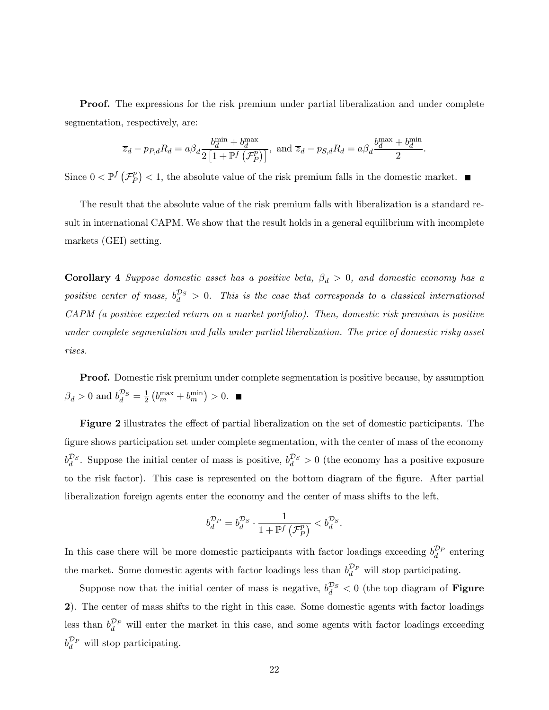Proof. The expressions for the risk premium under partial liberalization and under complete segmentation, respectively, are:

$$
\overline{z}_d - p_{P,d}R_d = a\beta_d \frac{b_d^{\min} + b_d^{\max}}{2\left[1 + \mathbb{P}^f\left(\mathcal{F}_P^p\right)\right]}, \text{ and } \overline{z}_d - p_{S,d}R_d = a\beta_d \frac{b_d^{\max} + b_d^{\min}}{2}.
$$

Since  $0 < \mathbb{P}^f \left( \mathcal{F}_P^p \right) < 1$ , the absolute value of the risk premium falls in the domestic market.

The result that the absolute value of the risk premium falls with liberalization is a standard result in international CAPM. We show that the result holds in a general equilibrium with incomplete markets (GEI) setting.

Corollary 4 Suppose domestic asset has a positive beta,  $\beta_d > 0$ , and domestic economy has a positive center of mass,  $b_d^{DS} > 0$ . This is the case that corresponds to a classical international CAPM (a positive expected return on a market portfolio). Then, domestic risk premium is positive under complete segmentation and falls under partial liberalization. The price of domestic risky asset rises.

Proof. Domestic risk premium under complete segmentation is positive because, by assumption  $\beta_d > 0$  and  $b_d^{\mathcal{D}_S} = \frac{1}{2} \left( b_m^{\text{max}} + b_m^{\text{min}} \right) > 0.$ 

Figure 2 illustrates the effect of partial liberalization on the set of domestic participants. The figure shows participation set under complete segmentation, with the center of mass of the economy  $b_d^{D_S}$ . Suppose the initial center of mass is positive,  $b_d^{D_S} > 0$  (the economy has a positive exposure to the risk factor). This case is represented on the bottom diagram of the figure. After partial liberalization foreign agents enter the economy and the center of mass shifts to the left,

$$
b_d^{\mathcal{D}_P} = b_d^{\mathcal{D}_S} \cdot \frac{1}{1+\mathbb{P}^f\left(\mathcal{F}_P^p\right)} < b_d^{\mathcal{D}_S}.
$$

In this case there will be more domestic participants with factor loadings exceeding  $b_d^{D_P}$  entering the market. Some domestic agents with factor loadings less than  $b_d^{D_P}$  will stop participating.

Suppose now that the initial center of mass is negative,  $b_d^{DS} < 0$  (the top diagram of **Figure** 2). The center of mass shifts to the right in this case. Some domestic agents with factor loadings less than  $b_d^{D_P}$  will enter the market in this case, and some agents with factor loadings exceeding  $b_d^{DP}$  will stop participating.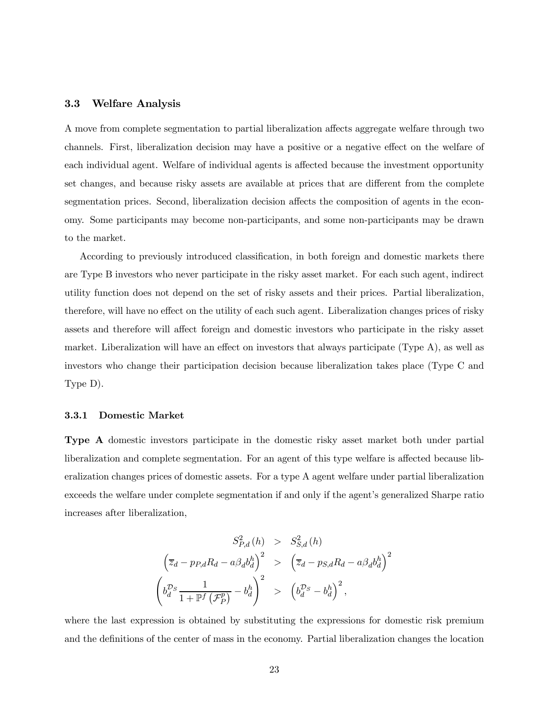#### 3.3 Welfare Analysis

A move from complete segmentation to partial liberalization affects aggregate welfare through two channels. First, liberalization decision may have a positive or a negative effect on the welfare of each individual agent. Welfare of individual agents is affected because the investment opportunity set changes, and because risky assets are available at prices that are different from the complete segmentation prices. Second, liberalization decision affects the composition of agents in the economy. Some participants may become non-participants, and some non-participants may be drawn to the market.

According to previously introduced classification, in both foreign and domestic markets there are Type B investors who never participate in the risky asset market. For each such agent, indirect utility function does not depend on the set of risky assets and their prices. Partial liberalization, therefore, will have no effect on the utility of each such agent. Liberalization changes prices of risky assets and therefore will affect foreign and domestic investors who participate in the risky asset market. Liberalization will have an effect on investors that always participate (Type A), as well as investors who change their participation decision because liberalization takes place (Type C and Type D).

#### 3.3.1 Domestic Market

Type A domestic investors participate in the domestic risky asset market both under partial liberalization and complete segmentation. For an agent of this type welfare is affected because liberalization changes prices of domestic assets. For a type A agent welfare under partial liberalization exceeds the welfare under complete segmentation if and only if the agent's generalized Sharpe ratio increases after liberalization,

$$
S_{P,d}^{2}(h) > S_{S,d}^{2}(h)
$$

$$
\left(\overline{z}_{d} - p_{P,d}R_{d} - a\beta_{d}b_{d}^{h}\right)^{2} > \left(\overline{z}_{d} - p_{S,d}R_{d} - a\beta_{d}b_{d}^{h}\right)^{2}
$$

$$
\left(b_{d}^{Ds}\frac{1}{1 + \mathbb{P}^{f}\left(\mathcal{F}_{P}^{p}\right)} - b_{d}^{h}\right)^{2} > \left(b_{d}^{Ds} - b_{d}^{h}\right)^{2},
$$

where the last expression is obtained by substituting the expressions for domestic risk premium and the definitions of the center of mass in the economy. Partial liberalization changes the location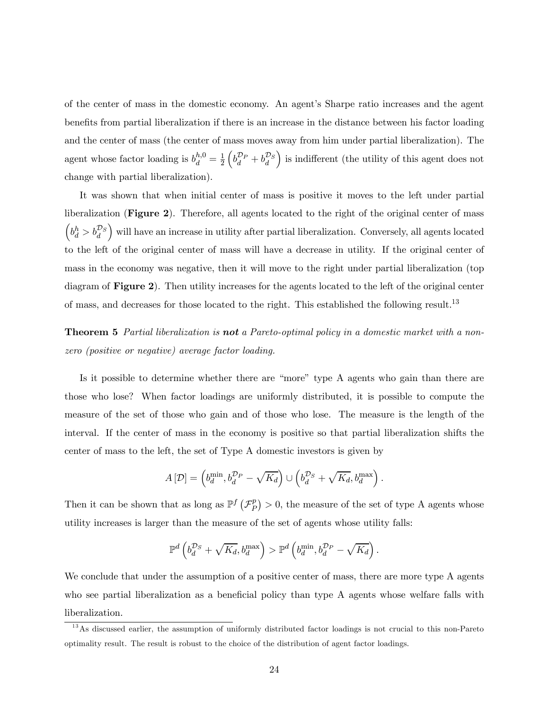of the center of mass in the domestic economy. An agent's Sharpe ratio increases and the agent benefits from partial liberalization if there is an increase in the distance between his factor loading and the center of mass (the center of mass moves away from him under partial liberalization). The agent whose factor loading is  $b_d^{h,0} = \frac{1}{2}$  $\left(b_d^{\mathcal{D}_P}+b_d^{\mathcal{D}_S}\right)$ ) is indifferent (the utility of this agent does not change with partial liberalization).

It was shown that when initial center of mass is positive it moves to the left under partial liberalization (**Figure 2**). Therefore, all agents located to the right of the original center of mass  $\left(b_d^h > b_d^{\mathcal{D}_S}\right)$ ´ will have an increase in utility after partial liberalization. Conversely, all agents located to the left of the original center of mass will have a decrease in utility. If the original center of mass in the economy was negative, then it will move to the right under partial liberalization (top diagram of Figure 2). Then utility increases for the agents located to the left of the original center of mass, and decreases for those located to the right. This established the following result.<sup>13</sup>

**Theorem 5** Partial liberalization is **not** a Pareto-optimal policy in a domestic market with a nonzero (positive or negative) average factor loading.

Is it possible to determine whether there are "more" type A agents who gain than there are those who lose? When factor loadings are uniformly distributed, it is possible to compute the measure of the set of those who gain and of those who lose. The measure is the length of the interval. If the center of mass in the economy is positive so that partial liberalization shifts the center of mass to the left, the set of Type A domestic investors is given by

$$
A[\mathcal{D}] = \left(b_d^{\min}, b_d^{\mathcal{D}_P} - \sqrt{K_d}\right) \cup \left(b_d^{\mathcal{D}_S} + \sqrt{K_d}, b_d^{\max}\right).
$$

Then it can be shown that as long as  $\mathbb{P}^f(\mathcal{F}_P^p) > 0$ , the measure of the set of type A agents whose utility increases is larger than the measure of the set of agents whose utility falls:

$$
\mathbb{P}^d\left(b_d^{\mathcal{D}_S} + \sqrt{K_d}, b_d^{\max}\right) > \mathbb{P}^d\left(b_d^{\min}, b_d^{\mathcal{D}_P} - \sqrt{K_d}\right).
$$

We conclude that under the assumption of a positive center of mass, there are more type A agents who see partial liberalization as a beneficial policy than type A agents whose welfare falls with liberalization.

<sup>&</sup>lt;sup>13</sup>As discussed earlier, the assumption of uniformly distributed factor loadings is not crucial to this non-Pareto optimality result. The result is robust to the choice of the distribution of agent factor loadings.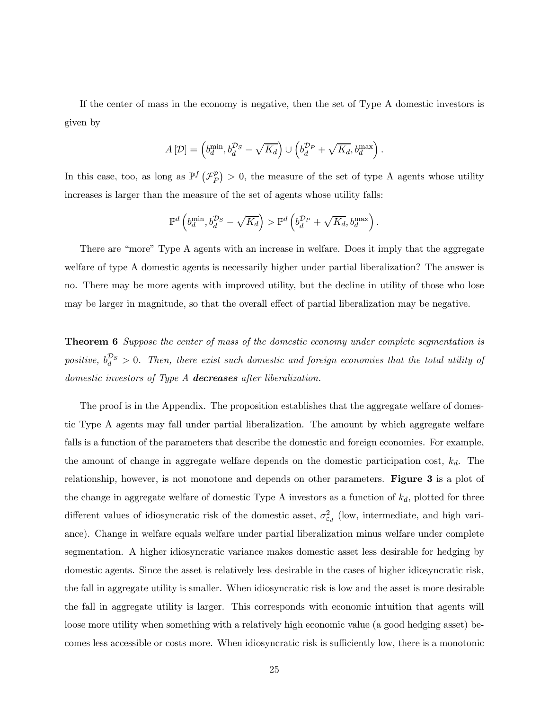If the center of mass in the economy is negative, then the set of Type A domestic investors is given by

$$
A[\mathcal{D}] = \left(b_d^{\min}, b_d^{\mathcal{D}_S} - \sqrt{K_d}\right) \cup \left(b_d^{\mathcal{D}_P} + \sqrt{K_d}, b_d^{\max}\right).
$$

In this case, too, as long as  $\mathbb{P}^f(\mathcal{F}_P^p) > 0$ , the measure of the set of type A agents whose utility increases is larger than the measure of the set of agents whose utility falls:

$$
\mathbb{P}^d\left(b_d^{\min}, b_d^{\mathcal{D}_S} - \sqrt{K_d}\right) > \mathbb{P}^d\left(b_d^{\mathcal{D}_P} + \sqrt{K_d}, b_d^{\max}\right).
$$

There are "more" Type A agents with an increase in welfare. Does it imply that the aggregate welfare of type A domestic agents is necessarily higher under partial liberalization? The answer is no. There may be more agents with improved utility, but the decline in utility of those who lose may be larger in magnitude, so that the overall effect of partial liberalization may be negative.

**Theorem 6** Suppose the center of mass of the domestic economy under complete segmentation is positive,  $b_d^{DS} > 0$ . Then, there exist such domestic and foreign economies that the total utility of domestic investors of Type A **decreases** after liberalization.

The proof is in the Appendix. The proposition establishes that the aggregate welfare of domestic Type A agents may fall under partial liberalization. The amount by which aggregate welfare falls is a function of the parameters that describe the domestic and foreign economies. For example, the amount of change in aggregate welfare depends on the domestic participation cost,  $k_d$ . The relationship, however, is not monotone and depends on other parameters. Figure 3 is a plot of the change in aggregate welfare of domestic Type A investors as a function of  $k_d$ , plotted for three different values of idiosyncratic risk of the domestic asset,  $\sigma_{\varepsilon_d}^2$  (low, intermediate, and high variance). Change in welfare equals welfare under partial liberalization minus welfare under complete segmentation. A higher idiosyncratic variance makes domestic asset less desirable for hedging by domestic agents. Since the asset is relatively less desirable in the cases of higher idiosyncratic risk, the fall in aggregate utility is smaller. When idiosyncratic risk is low and the asset is more desirable the fall in aggregate utility is larger. This corresponds with economic intuition that agents will loose more utility when something with a relatively high economic value (a good hedging asset) becomes less accessible or costs more. When idiosyncratic risk is sufficiently low, there is a monotonic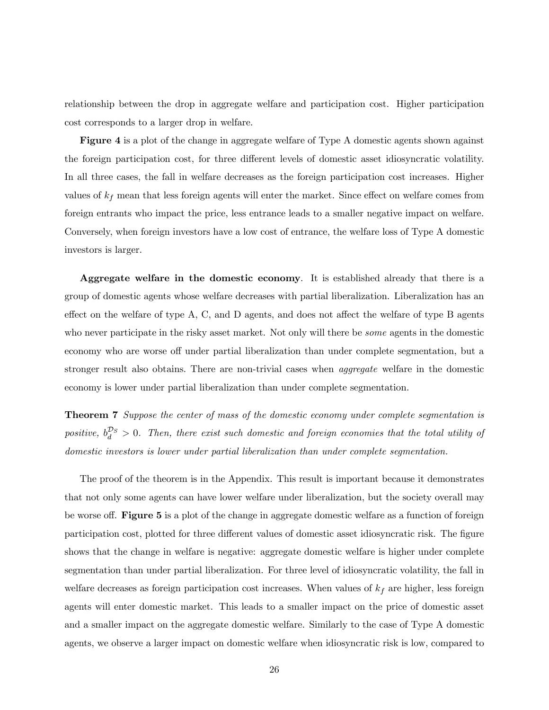relationship between the drop in aggregate welfare and participation cost. Higher participation cost corresponds to a larger drop in welfare.

Figure 4 is a plot of the change in aggregate welfare of Type A domestic agents shown against the foreign participation cost, for three different levels of domestic asset idiosyncratic volatility. In all three cases, the fall in welfare decreases as the foreign participation cost increases. Higher values of  $k_f$  mean that less foreign agents will enter the market. Since effect on welfare comes from foreign entrants who impact the price, less entrance leads to a smaller negative impact on welfare. Conversely, when foreign investors have a low cost of entrance, the welfare loss of Type A domestic investors is larger.

Aggregate welfare in the domestic economy. It is established already that there is a group of domestic agents whose welfare decreases with partial liberalization. Liberalization has an effect on the welfare of type A, C, and D agents, and does not affect the welfare of type B agents who never participate in the risky asset market. Not only will there be *some* agents in the domestic economy who are worse off under partial liberalization than under complete segmentation, but a stronger result also obtains. There are non-trivial cases when aggregate welfare in the domestic economy is lower under partial liberalization than under complete segmentation.

**Theorem 7** Suppose the center of mass of the domestic economy under complete segmentation is positive,  $b_d^{DS} > 0$ . Then, there exist such domestic and foreign economies that the total utility of domestic investors is lower under partial liberalization than under complete segmentation.

The proof of the theorem is in the Appendix. This result is important because it demonstrates that not only some agents can have lower welfare under liberalization, but the society overall may be worse off. Figure 5 is a plot of the change in aggregate domestic welfare as a function of foreign participation cost, plotted for three different values of domestic asset idiosyncratic risk. The figure shows that the change in welfare is negative: aggregate domestic welfare is higher under complete segmentation than under partial liberalization. For three level of idiosyncratic volatility, the fall in welfare decreases as foreign participation cost increases. When values of  $k_f$  are higher, less foreign agents will enter domestic market. This leads to a smaller impact on the price of domestic asset and a smaller impact on the aggregate domestic welfare. Similarly to the case of Type A domestic agents, we observe a larger impact on domestic welfare when idiosyncratic risk is low, compared to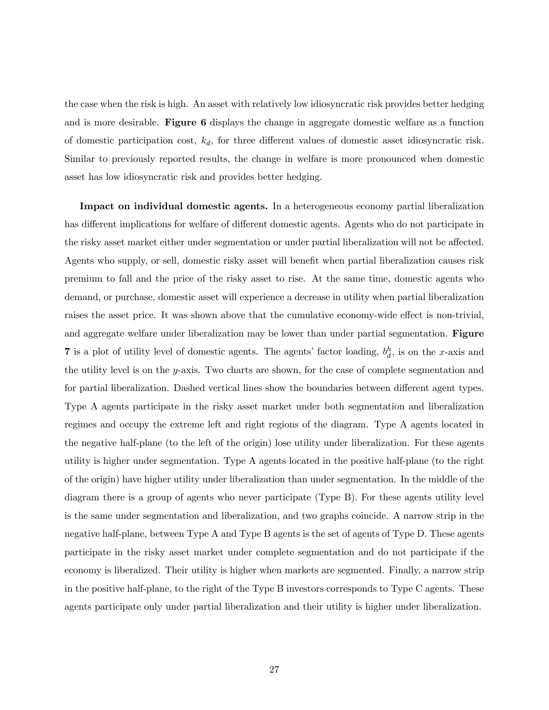the case when the risk is high. An asset with relatively low idiosyncratic risk provides better hedging and is more desirable. Figure 6 displays the change in aggregate domestic welfare as a function of domestic participation cost,  $k_d$ , for three different values of domestic asset idiosyncratic risk. Similar to previously reported results, the change in welfare is more pronounced when domestic asset has low idiosyncratic risk and provides better hedging.

Impact on individual domestic agents. In a heterogeneous economy partial liberalization has different implications for welfare of different domestic agents. Agents who do not participate in the risky asset market either under segmentation or under partial liberalization will not be affected. Agents who supply, or sell, domestic risky asset will benefit when partial liberalization causes risk premium to fall and the price of the risky asset to rise. At the same time, domestic agents who demand, or purchase, domestic asset will experience a decrease in utility when partial liberalization raises the asset price. It was shown above that the cumulative economy-wide effect is non-trivial, and aggregate welfare under liberalization may be lower than under partial segmentation. Figure **7** is a plot of utility level of domestic agents. The agents' factor loading,  $b_d^h$ , is on the x-axis and the utility level is on the y-axis. Two charts are shown, for the case of complete segmentation and for partial liberalization. Dashed vertical lines show the boundaries between different agent types. Type A agents participate in the risky asset market under both segmentation and liberalization regimes and occupy the extreme left and right regions of the diagram. Type A agents located in the negative half-plane (to the left of the origin) lose utility under liberalization. For these agents utility is higher under segmentation. Type A agents located in the positive half-plane (to the right of the origin) have higher utility under liberalization than under segmentation. In the middle of the diagram there is a group of agents who never participate (Type B). For these agents utility level is the same under segmentation and liberalization, and two graphs coincide. A narrow strip in the negative half-plane, between Type A and Type B agents is the set of agents of Type D. These agents participate in the risky asset market under complete segmentation and do not participate if the economy is liberalized. Their utility is higher when markets are segmented. Finally, a narrow strip in the positive half-plane, to the right of the Type B investors corresponds to Type C agents. These agents participate only under partial liberalization and their utility is higher under liberalization.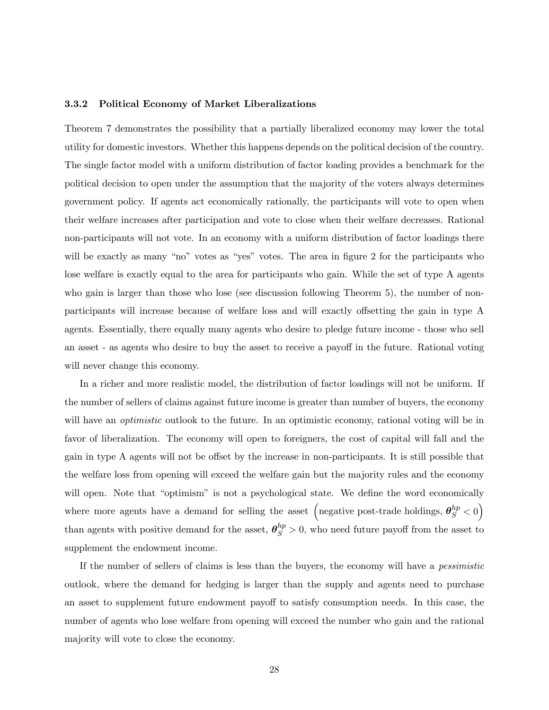#### 3.3.2 Political Economy of Market Liberalizations

Theorem 7 demonstrates the possibility that a partially liberalized economy may lower the total utility for domestic investors. Whether this happens depends on the political decision of the country. The single factor model with a uniform distribution of factor loading provides a benchmark for the political decision to open under the assumption that the majority of the voters always determines government policy. If agents act economically rationally, the participants will vote to open when their welfare increases after participation and vote to close when their welfare decreases. Rational non-participants will not vote. In an economy with a uniform distribution of factor loadings there will be exactly as many "no" votes as "yes" votes. The area in figure 2 for the participants who lose welfare is exactly equal to the area for participants who gain. While the set of type A agents who gain is larger than those who lose (see discussion following Theorem 5), the number of nonparticipants will increase because of welfare loss and will exactly offsetting the gain in type A agents. Essentially, there equally many agents who desire to pledge future income - those who sell an asset - as agents who desire to buy the asset to receive a payoff in the future. Rational voting will never change this economy.

In a richer and more realistic model, the distribution of factor loadings will not be uniform. If the number of sellers of claims against future income is greater than number of buyers, the economy will have an *optimistic* outlook to the future. In an optimistic economy, rational voting will be in favor of liberalization. The economy will open to foreigners, the cost of capital will fall and the gain in type A agents will not be offset by the increase in non-participants. It is still possible that the welfare loss from opening will exceed the welfare gain but the majority rules and the economy will open. Note that "optimism" is not a psychological state. We define the word economically where more agents have a demand for selling the asset (negative post-trade holdings,  $\theta_S^{hp} < 0$ ) than agents with positive demand for the asset,  $\theta_S^{hp} > 0$ , who need future payoff from the asset to supplement the endowment income.

If the number of sellers of claims is less than the buyers, the economy will have a pessimistic outlook, where the demand for hedging is larger than the supply and agents need to purchase an asset to supplement future endowment payoff to satisfy consumption needs. In this case, the number of agents who lose welfare from opening will exceed the number who gain and the rational majority will vote to close the economy.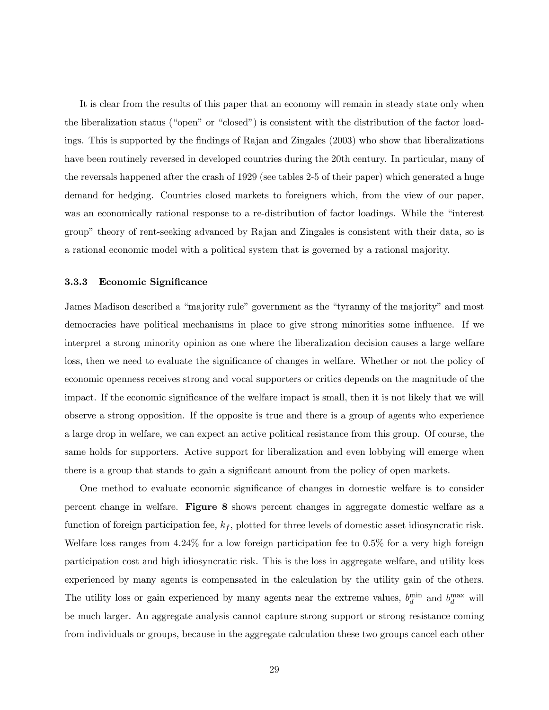It is clear from the results of this paper that an economy will remain in steady state only when the liberalization status ("open" or "closed") is consistent with the distribution of the factor loadings. This is supported by the findings of Rajan and Zingales (2003) who show that liberalizations have been routinely reversed in developed countries during the 20th century. In particular, many of the reversals happened after the crash of 1929 (see tables 2-5 of their paper) which generated a huge demand for hedging. Countries closed markets to foreigners which, from the view of our paper, was an economically rational response to a re-distribution of factor loadings. While the "interest group" theory of rent-seeking advanced by Rajan and Zingales is consistent with their data, so is a rational economic model with a political system that is governed by a rational majority.

#### 3.3.3 Economic Significance

James Madison described a "majority rule" government as the "tyranny of the majority" and most democracies have political mechanisms in place to give strong minorities some influence. If we interpret a strong minority opinion as one where the liberalization decision causes a large welfare loss, then we need to evaluate the significance of changes in welfare. Whether or not the policy of economic openness receives strong and vocal supporters or critics depends on the magnitude of the impact. If the economic significance of the welfare impact is small, then it is not likely that we will observe a strong opposition. If the opposite is true and there is a group of agents who experience a large drop in welfare, we can expect an active political resistance from this group. Of course, the same holds for supporters. Active support for liberalization and even lobbying will emerge when there is a group that stands to gain a significant amount from the policy of open markets.

One method to evaluate economic significance of changes in domestic welfare is to consider percent change in welfare. Figure 8 shows percent changes in aggregate domestic welfare as a function of foreign participation fee,  $k_f$ , plotted for three levels of domestic asset idiosyncratic risk. Welfare loss ranges from  $4.24\%$  for a low foreign participation fee to 0.5% for a very high foreign participation cost and high idiosyncratic risk. This is the loss in aggregate welfare, and utility loss experienced by many agents is compensated in the calculation by the utility gain of the others. The utility loss or gain experienced by many agents near the extreme values,  $b_d^{\min}$  and  $b_d^{\max}$  will be much larger. An aggregate analysis cannot capture strong support or strong resistance coming from individuals or groups, because in the aggregate calculation these two groups cancel each other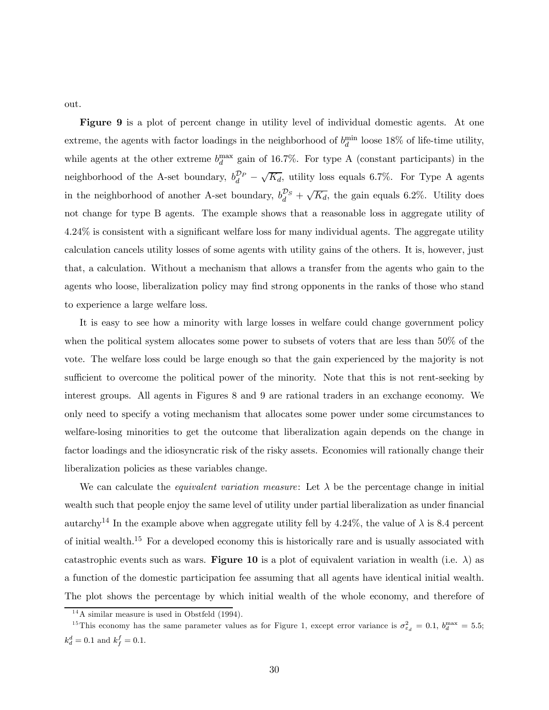out.

Figure 9 is a plot of percent change in utility level of individual domestic agents. At one extreme, the agents with factor loadings in the neighborhood of  $b_d^{\text{min}}$  loose 18% of life-time utility, while agents at the other extreme  $b_d^{\text{max}}$  gain of 16.7%. For type A (constant participants) in the neighborhood of the A-set boundary,  $b_d^{\mathcal{D}_P} - \sqrt{K_d}$ , utility loss equals 6.7%. For Type A agents in the neighborhood of another A-set boundary,  $b_d^{\mathcal{D}_S} + \sqrt{K_d}$ , the gain equals 6.2%. Utility does not change for type B agents. The example shows that a reasonable loss in aggregate utility of 4.24% is consistent with a significant welfare loss for many individual agents. The aggregate utility calculation cancels utility losses of some agents with utility gains of the others. It is, however, just that, a calculation. Without a mechanism that allows a transfer from the agents who gain to the agents who loose, liberalization policy may find strong opponents in the ranks of those who stand to experience a large welfare loss.

It is easy to see how a minority with large losses in welfare could change government policy when the political system allocates some power to subsets of voters that are less than 50% of the vote. The welfare loss could be large enough so that the gain experienced by the majority is not sufficient to overcome the political power of the minority. Note that this is not rent-seeking by interest groups. All agents in Figures 8 and 9 are rational traders in an exchange economy. We only need to specify a voting mechanism that allocates some power under some circumstances to welfare-losing minorities to get the outcome that liberalization again depends on the change in factor loadings and the idiosyncratic risk of the risky assets. Economies will rationally change their liberalization policies as these variables change.

We can calculate the *equivalent variation measure*: Let  $\lambda$  be the percentage change in initial wealth such that people enjoy the same level of utility under partial liberalization as under financial autarchy<sup>14</sup> In the example above when aggregate utility fell by 4.24%, the value of  $\lambda$  is 8.4 percent of initial wealth.15 For a developed economy this is historically rare and is usually associated with catastrophic events such as wars. **Figure 10** is a plot of equivalent variation in wealth (i.e.  $\lambda$ ) as a function of the domestic participation fee assuming that all agents have identical initial wealth. The plot shows the percentage by which initial wealth of the whole economy, and therefore of

 $14$ A similar measure is used in Obstfeld (1994).

<sup>&</sup>lt;sup>15</sup>This economy has the same parameter values as for Figure 1, except error variance is  $\sigma_{\varepsilon_d}^2 = 0.1$ ,  $b_d^{\max} = 5.5$ ;  $k_d^d = 0.1$  and  $k_f^f = 0.1$ .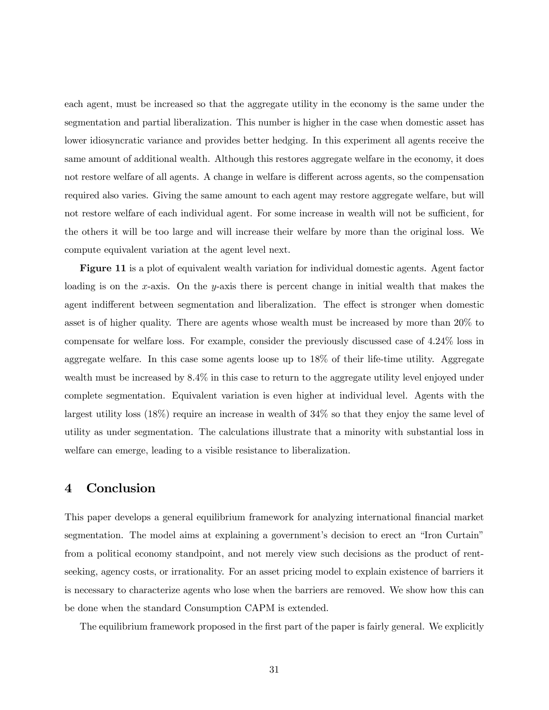each agent, must be increased so that the aggregate utility in the economy is the same under the segmentation and partial liberalization. This number is higher in the case when domestic asset has lower idiosyncratic variance and provides better hedging. In this experiment all agents receive the same amount of additional wealth. Although this restores aggregate welfare in the economy, it does not restore welfare of all agents. A change in welfare is different across agents, so the compensation required also varies. Giving the same amount to each agent may restore aggregate welfare, but will not restore welfare of each individual agent. For some increase in wealth will not be sufficient, for the others it will be too large and will increase their welfare by more than the original loss. We compute equivalent variation at the agent level next.

Figure 11 is a plot of equivalent wealth variation for individual domestic agents. Agent factor loading is on the x-axis. On the y-axis there is percent change in initial wealth that makes the agent indifferent between segmentation and liberalization. The effect is stronger when domestic asset is of higher quality. There are agents whose wealth must be increased by more than 20% to compensate for welfare loss. For example, consider the previously discussed case of 4.24% loss in aggregate welfare. In this case some agents loose up to 18% of their life-time utility. Aggregate wealth must be increased by  $8.4\%$  in this case to return to the aggregate utility level enjoyed under complete segmentation. Equivalent variation is even higher at individual level. Agents with the largest utility loss (18%) require an increase in wealth of 34% so that they enjoy the same level of utility as under segmentation. The calculations illustrate that a minority with substantial loss in welfare can emerge, leading to a visible resistance to liberalization.

## 4 Conclusion

This paper develops a general equilibrium framework for analyzing international financial market segmentation. The model aims at explaining a government's decision to erect an "Iron Curtain" from a political economy standpoint, and not merely view such decisions as the product of rentseeking, agency costs, or irrationality. For an asset pricing model to explain existence of barriers it is necessary to characterize agents who lose when the barriers are removed. We show how this can be done when the standard Consumption CAPM is extended.

The equilibrium framework proposed in the first part of the paper is fairly general. We explicitly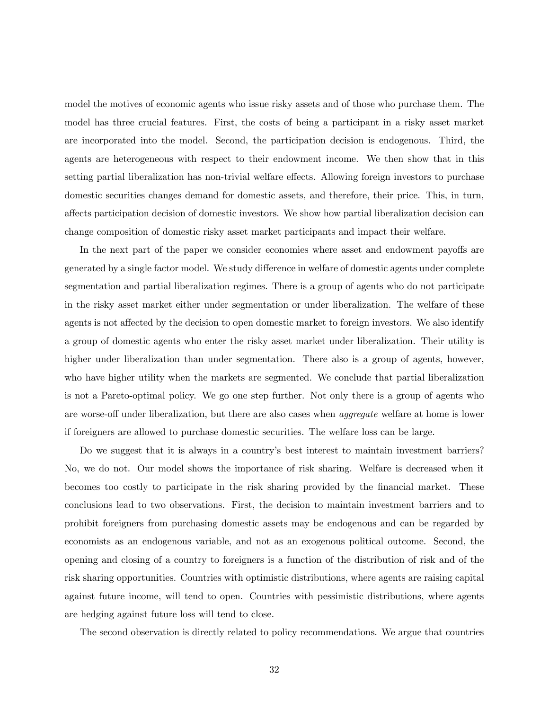model the motives of economic agents who issue risky assets and of those who purchase them. The model has three crucial features. First, the costs of being a participant in a risky asset market are incorporated into the model. Second, the participation decision is endogenous. Third, the agents are heterogeneous with respect to their endowment income. We then show that in this setting partial liberalization has non-trivial welfare effects. Allowing foreign investors to purchase domestic securities changes demand for domestic assets, and therefore, their price. This, in turn, affects participation decision of domestic investors. We show how partial liberalization decision can change composition of domestic risky asset market participants and impact their welfare.

In the next part of the paper we consider economies where asset and endowment payoffs are generated by a single factor model. We study difference in welfare of domestic agents under complete segmentation and partial liberalization regimes. There is a group of agents who do not participate in the risky asset market either under segmentation or under liberalization. The welfare of these agents is not affected by the decision to open domestic market to foreign investors. We also identify a group of domestic agents who enter the risky asset market under liberalization. Their utility is higher under liberalization than under segmentation. There also is a group of agents, however, who have higher utility when the markets are segmented. We conclude that partial liberalization is not a Pareto-optimal policy. We go one step further. Not only there is a group of agents who are worse-off under liberalization, but there are also cases when aggregate welfare at home is lower if foreigners are allowed to purchase domestic securities. The welfare loss can be large.

Do we suggest that it is always in a country's best interest to maintain investment barriers? No, we do not. Our model shows the importance of risk sharing. Welfare is decreased when it becomes too costly to participate in the risk sharing provided by the financial market. These conclusions lead to two observations. First, the decision to maintain investment barriers and to prohibit foreigners from purchasing domestic assets may be endogenous and can be regarded by economists as an endogenous variable, and not as an exogenous political outcome. Second, the opening and closing of a country to foreigners is a function of the distribution of risk and of the risk sharing opportunities. Countries with optimistic distributions, where agents are raising capital against future income, will tend to open. Countries with pessimistic distributions, where agents are hedging against future loss will tend to close.

The second observation is directly related to policy recommendations. We argue that countries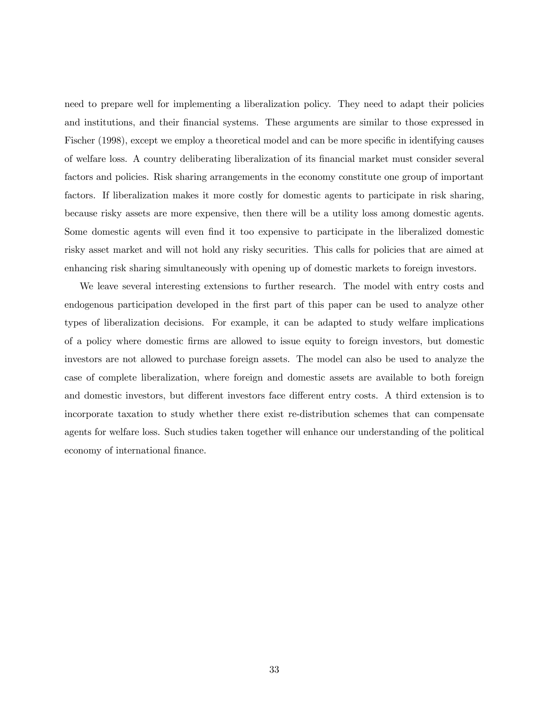need to prepare well for implementing a liberalization policy. They need to adapt their policies and institutions, and their financial systems. These arguments are similar to those expressed in Fischer (1998), except we employ a theoretical model and can be more specific in identifying causes of welfare loss. A country deliberating liberalization of its financial market must consider several factors and policies. Risk sharing arrangements in the economy constitute one group of important factors. If liberalization makes it more costly for domestic agents to participate in risk sharing, because risky assets are more expensive, then there will be a utility loss among domestic agents. Some domestic agents will even find it too expensive to participate in the liberalized domestic risky asset market and will not hold any risky securities. This calls for policies that are aimed at enhancing risk sharing simultaneously with opening up of domestic markets to foreign investors.

We leave several interesting extensions to further research. The model with entry costs and endogenous participation developed in the first part of this paper can be used to analyze other types of liberalization decisions. For example, it can be adapted to study welfare implications of a policy where domestic firms are allowed to issue equity to foreign investors, but domestic investors are not allowed to purchase foreign assets. The model can also be used to analyze the case of complete liberalization, where foreign and domestic assets are available to both foreign and domestic investors, but different investors face different entry costs. A third extension is to incorporate taxation to study whether there exist re-distribution schemes that can compensate agents for welfare loss. Such studies taken together will enhance our understanding of the political economy of international finance.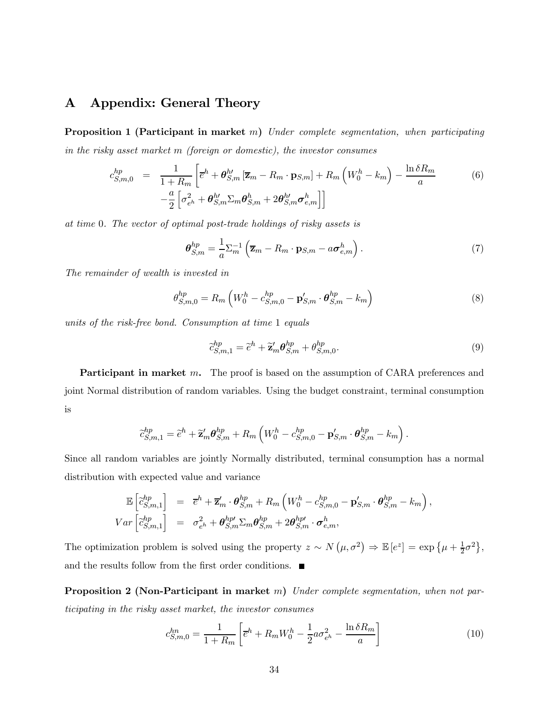# A Appendix: General Theory

Proposition 1 (Participant in market m) Under complete segmentation, when participating in the risky asset market m (foreign or domestic), the investor consumes

$$
c_{S,m,0}^{hp} = \frac{1}{1+R_m} \left[ \overline{e}^h + \theta_{S,m}^{h'} \left[ \overline{\mathbf{z}}_m - R_m \cdot \mathbf{p}_{S,m} \right] + R_m \left( W_0^h - k_m \right) - \frac{\ln \delta R_m}{a} \right]
$$
  

$$
- \frac{a}{2} \left[ \sigma_{e^h}^2 + \theta_{S,m}^{h'} \Sigma_m \theta_{S,m}^h + 2\theta_{S,m}^{h'} \sigma_{e,m}^h \right]
$$
 (6)

at time 0. The vector of optimal post-trade holdings of risky assets is

$$
\boldsymbol{\theta}_{S,m}^{hp} = \frac{1}{a} \Sigma_m^{-1} \left( \overline{\mathbf{z}}_m - R_m \cdot \mathbf{p}_{S,m} - a \boldsymbol{\sigma}_{e,m}^h \right). \tag{7}
$$

The remainder of wealth is invested in

$$
\theta_{S,m,0}^{hp} = R_m \left( W_0^h - c_{S,m,0}^{hp} - \mathbf{p}'_{S,m} \cdot \theta_{S,m}^{hp} - k_m \right)
$$
 (8)

units of the risk-free bond. Consumption at time 1 equals

$$
\tilde{c}_{S,m,1}^{hp} = \tilde{e}^h + \tilde{\mathbf{z}}_m' \boldsymbol{\theta}_{S,m}^{hp} + \theta_{S,m,0}^{hp}.
$$
\n(9)

**Participant in market m.** The proof is based on the assumption of CARA preferences and joint Normal distribution of random variables. Using the budget constraint, terminal consumption is

$$
\tilde{c}_{S,m,1}^{hp} = \tilde{e}^h + \tilde{\mathbf{z}}_m^{\prime} \boldsymbol{\theta}_{S,m}^{hp} + R_m \left( W_0^h - c_{S,m,0}^{hp} - \mathbf{p}_{S,m}^{\prime} \cdot \boldsymbol{\theta}_{S,m}^{hp} - k_m \right).
$$

Since all random variables are jointly Normally distributed, terminal consumption has a normal distribution with expected value and variance

$$
\mathbb{E}\begin{bmatrix} \tilde{c}_{S,m,1}^{hp} \end{bmatrix} = \bar{e}^h + \overline{\mathbf{z}}_m' \cdot \boldsymbol{\theta}_{S,m}^{hp} + R_m \left( W_0^h - c_{S,m,0}^{hp} - \mathbf{p}_{S,m}' \cdot \boldsymbol{\theta}_{S,m}^{hp} - k_m \right),
$$
  
\n
$$
Var\begin{bmatrix} \tilde{c}_{S,m,1}^{hp} \end{bmatrix} = \sigma_{e^h}^2 + \boldsymbol{\theta}_{S,m}^{hp} \Sigma_m \boldsymbol{\theta}_{S,m}^{hp} + 2\boldsymbol{\theta}_{S,m}^{hp'} \cdot \boldsymbol{\sigma}_{e,m}^h,
$$

The optimization problem is solved using the property  $z \sim N(\mu, \sigma^2) \Rightarrow \mathbb{E}[e^z] = \exp\{\mu + \frac{1}{2}\sigma^2\},\$ and the results follow from the first order conditions.  $\blacksquare$ 

Proposition 2 (Non-Participant in market m) Under complete segmentation, when not participating in the risky asset market, the investor consumes

$$
c_{S,m,0}^{hn} = \frac{1}{1 + R_m} \left[ \overline{e}^h + R_m W_0^h - \frac{1}{2} a \sigma_{e^h}^2 - \frac{\ln \delta R_m}{a} \right]
$$
 (10)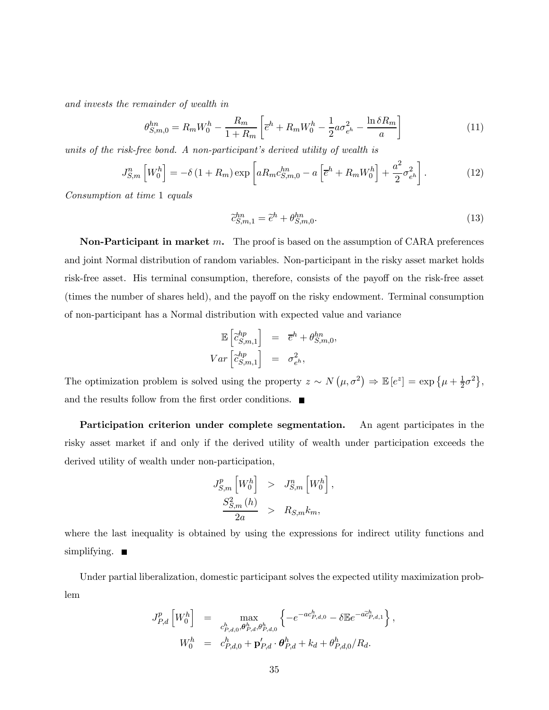and invests the remainder of wealth in

$$
\theta_{S,m,0}^{hn} = R_m W_0^h - \frac{R_m}{1 + R_m} \left[ \overline{e}^h + R_m W_0^h - \frac{1}{2} a \sigma_{e^h}^2 - \frac{\ln \delta R_m}{a} \right] \tag{11}
$$

units of the risk-free bond. A non-participant's derived utility of wealth is

$$
J_{S,m}^{n}\left[W_{0}^{h}\right] = -\delta\left(1 + R_{m}\right)\exp\left[aR_{m}c_{S,m,0}^{h n} - a\left[\overline{e}^{h} + R_{m}W_{0}^{h}\right] + \frac{a^{2}}{2}\sigma_{e^{h}}^{2}\right].
$$
 (12)

Consumption at time 1 equals

$$
\tilde{c}_{S,m,1}^{hn} = \tilde{e}^h + \theta_{S,m,0}^{hn}.
$$
\n(13)

Non-Participant in market m. The proof is based on the assumption of CARA preferences and joint Normal distribution of random variables. Non-participant in the risky asset market holds risk-free asset. His terminal consumption, therefore, consists of the payoff on the risk-free asset (times the number of shares held), and the payoff on the risky endowment. Terminal consumption of non-participant has a Normal distribution with expected value and variance

$$
\mathbb{E}\begin{bmatrix} \bar{c}_{S,m,1}^{hp} \end{bmatrix} = \bar{e}^h + \theta_{S,m,0}^{hn},
$$
  

$$
Var\begin{bmatrix} \bar{c}_{S,m,1}^{hp} \end{bmatrix} = \sigma_{e^h}^2,
$$

The optimization problem is solved using the property  $z \sim N(\mu, \sigma^2) \Rightarrow \mathbb{E}[e^z] = \exp\{\mu + \frac{1}{2}\sigma^2\},\$ and the results follow from the first order conditions.  $\quadblacksquare$ 

Participation criterion under complete segmentation. An agent participates in the risky asset market if and only if the derived utility of wealth under participation exceeds the derived utility of wealth under non-participation,

$$
J_{S,m}^p \left[W_0^h\right] > J_{S,m}^n \left[W_0^h\right]
$$
  

$$
\frac{S_{S,m}^2(h)}{2a} > R_{S,m}k_m,
$$

,

where the last inequality is obtained by using the expressions for indirect utility functions and simplifying.  $\blacksquare$ 

Under partial liberalization, domestic participant solves the expected utility maximization problem

$$
J_{P,d}^{p} \left[ W_{0}^{h} \right] = \max_{c_{P,d,0}^{h}, \theta_{P,d}^{h}, \theta_{P,d,0}^{h}} \left\{ -e^{-ac_{P,d,0}^{h}} - \delta \mathbb{E} e^{-a\tilde{c}_{P,d,1}^{h}} \right\},
$$
  

$$
W_{0}^{h} = c_{P,d,0}^{h} + \mathbf{p}_{P,d}' \cdot \theta_{P,d}^{h} + k_{d} + \theta_{P,d,0}^{h}/R_{d}.
$$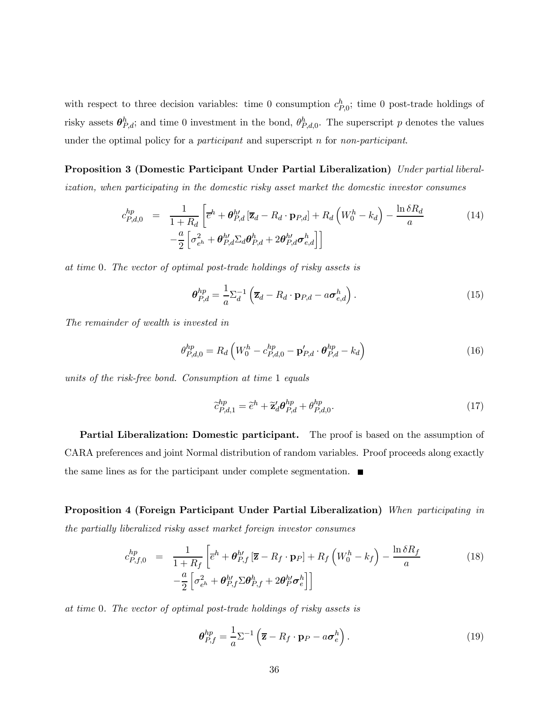with respect to three decision variables: time 0 consumption  $c_{P,0}^h$ ; time 0 post-trade holdings of risky assets  $\theta_{P,d}^h$ ; and time 0 investment in the bond,  $\theta_{P,d,0}^h$ . The superscript p denotes the values under the optimal policy for a *participant* and superscript  $n$  for *non-participant*.

Proposition 3 (Domestic Participant Under Partial Liberalization) Under partial liberalization, when participating in the domestic risky asset market the domestic investor consumes

$$
c_{P,d,0}^{hp} = \frac{1}{1+R_d} \left[ \overline{e}^h + \theta_{P,d}^{h'} \left[ \overline{\mathbf{z}}_d - R_d \cdot \mathbf{p}_{P,d} \right] + R_d \left( W_0^h - k_d \right) - \frac{\ln \delta R_d}{a} - \frac{a}{2} \left[ \sigma_{e^h}^2 + \theta_{P,d}^{h'} \Sigma_d \theta_{P,d}^h + 2\theta_{P,d}^{h'} \sigma_{e,d}^h \right] \right]
$$
(14)

at time 0. The vector of optimal post-trade holdings of risky assets is

$$
\boldsymbol{\theta}_{P,d}^{hp} = \frac{1}{a} \Sigma_d^{-1} \left( \overline{\mathbf{z}}_d - R_d \cdot \mathbf{p}_{P,d} - a \boldsymbol{\sigma}_{e,d}^h \right). \tag{15}
$$

The remainder of wealth is invested in

$$
\theta_{P,d,0}^{hp} = R_d \left( W_0^h - c_{P,d,0}^{hp} - \mathbf{p}_{P,d}' \cdot \theta_{P,d}^{hp} - k_d \right)
$$
 (16)

units of the risk-free bond. Consumption at time 1 equals

$$
\tilde{c}_{P,d,1}^{hp} = \tilde{e}^h + \tilde{\mathbf{z}}_d' \boldsymbol{\theta}_{P,d}^{hp} + \theta_{P,d,0}^{hp}.
$$
\n(17)

Partial Liberalization: Domestic participant. The proof is based on the assumption of CARA preferences and joint Normal distribution of random variables. Proof proceeds along exactly the same lines as for the participant under complete segmentation.  $\blacksquare$ 

Proposition 4 (Foreign Participant Under Partial Liberalization) When participating in the partially liberalized risky asset market foreign investor consumes

$$
c_{P,f,0}^{hp} = \frac{1}{1+R_f} \left[ \overline{e}^h + \theta_{P,f}^{hJ} \left[ \overline{\mathbf{z}} - R_f \cdot \mathbf{p}_P \right] + R_f \left( W_0^h - k_f \right) - \frac{\ln \delta R_f}{a} \right]
$$
\n
$$
- \frac{a}{2} \left[ \sigma_{e^h}^2 + \theta_{P,f}^{hJ} \Sigma \theta_{P,f}^h + 2\theta_P^{hJ} \sigma_e^h \right]
$$
\n(18)

at time 0. The vector of optimal post-trade holdings of risky assets is

$$
\boldsymbol{\theta}_{P,f}^{hp} = \frac{1}{a} \Sigma^{-1} \left( \overline{\mathbf{z}} - R_f \cdot \mathbf{p}_P - a \boldsymbol{\sigma}_e^h \right). \tag{19}
$$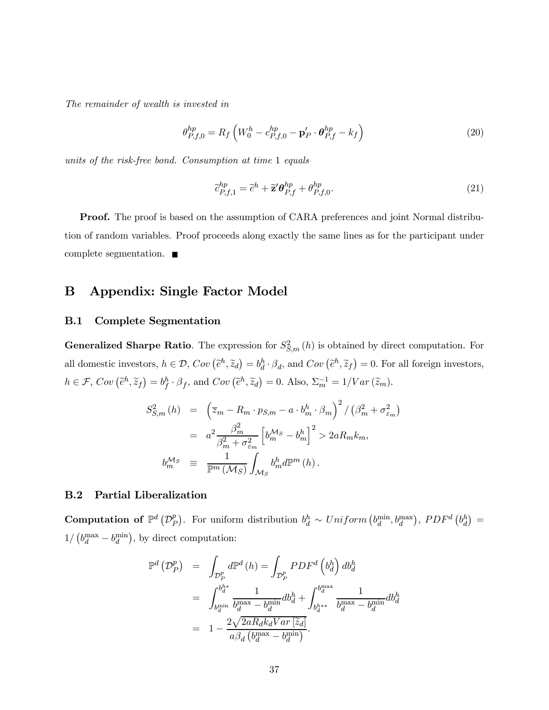The remainder of wealth is invested in

$$
\theta_{P,f,0}^{hp} = R_f \left( W_0^h - c_{P,f,0}^{hp} - \mathbf{p}'_P \cdot \theta_{P,f}^{hp} - k_f \right)
$$
 (20)

units of the risk-free bond. Consumption at time 1 equals

$$
\tilde{c}_{P,f,1}^{hp} = \tilde{e}^h + \tilde{\mathbf{z}}' \boldsymbol{\theta}_{P,f}^{hp} + \theta_{P,f,0}^{hp}.
$$
\n(21)

Proof. The proof is based on the assumption of CARA preferences and joint Normal distribution of random variables. Proof proceeds along exactly the same lines as for the participant under complete segmentation.

## B Appendix: Single Factor Model

### B.1 Complete Segmentation

**Generalized Sharpe Ratio**. The expression for  $S_{S,m}^2(h)$  is obtained by direct computation. For all domestic investors,  $h \in \mathcal{D}$ ,  $Cov\left(\tilde{e}^h, \tilde{z}_d\right) = b_d^h \cdot \beta_d$ , and  $Cov\left(\tilde{e}^h, \tilde{z}_f\right) = 0$ . For all foreign investors,  $h \in \mathcal{F}, Cov\left(\tilde{e}^{h}, \tilde{z}_{f}\right) = b_{f}^{h} \cdot \beta_{f}, \text{ and } Cov\left(\tilde{e}^{h}, \tilde{z}_{d}\right) = 0. \text{ Also, } \Sigma_{m}^{-1} = 1/Var\left(\tilde{z}_{m}\right).$ 

$$
S_{S,m}^{2}(h) = \left(\overline{z}_{m} - R_{m} \cdot p_{S,m} - a \cdot b_{m}^{h} \cdot \beta_{m}\right)^{2} / \left(\beta_{m}^{2} + \sigma_{\varepsilon_{m}}^{2}\right)
$$

$$
= a^{2} \frac{\beta_{m}^{2}}{\beta_{m}^{2} + \sigma_{\varepsilon_{m}}^{2}} \left[b_{m}^{\mathcal{M}_{S}} - b_{m}^{h}\right]^{2} > 2aR_{m}k_{m},
$$

$$
b_{m}^{\mathcal{M}_{S}} \equiv \frac{1}{\mathbb{P}^{m}(\mathcal{M}_{S})} \int_{\mathcal{M}_{S}} b_{m}^{h} d\mathbb{P}^{m}(h).
$$

#### B.2 Partial Liberalization

**Computation of**  $\mathbb{P}^d$   $(\mathcal{D}_P^p)$ . For uniform distribution  $b_d^h \sim Uniform\left(b_d^{\min}, b_d^{\max}\right),$   $PDF^d\left(b_d^h\right)$  =  $1/\left(b_d^{\text{max}}-b_d^{\text{min}}\right)$ , by direct computation:

$$
\mathbb{P}^{d}(\mathcal{D}_{P}^{p}) = \int_{\mathcal{D}_{P}^{p}} d\mathbb{P}^{d}(h) = \int_{\mathcal{D}_{P}^{p}} PDF^{d}(\left\{b_{d}^{h}\right) db_{d}^{h}
$$
\n
$$
= \int_{b_{d}^{\min}}^{b_{d}^{h*}} \frac{1}{b_{d}^{\max} - b_{d}^{\min}} db_{d}^{h} + \int_{b_{d}^{h*}}^{b_{d}^{\max}} \frac{1}{b_{d}^{\max} - b_{d}^{\min}} db_{d}^{h}
$$
\n
$$
= 1 - \frac{2\sqrt{2aR_{d}k_{d}Var\left[\tilde{z}_{d}\right]}}{a\beta_{d}\left(b_{d}^{\max} - b_{d}^{\min}\right)}.
$$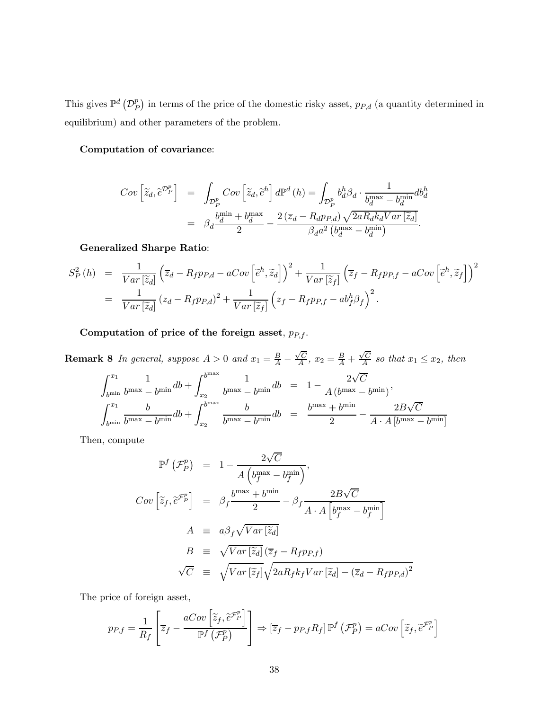This gives  $\mathbb{P}^d$  ( $\mathcal{D}_P^p$ ) in terms of the price of the domestic risky asset,  $p_{P,d}$  (a quantity determined in equilibrium) and other parameters of the problem.

#### Computation of covariance:

$$
Cov\left[\tilde{z}_d, \tilde{e}^{\mathcal{D}_P^p}\right] = \int_{\mathcal{D}_P^p} Cov\left[\tilde{z}_d, \tilde{e}^h\right] d\mathbb{P}^d(h) = \int_{\mathcal{D}_P^p} b_d^h \beta_d \cdot \frac{1}{b_d^{\max} - b_d^{\min}} db_d^h
$$

$$
= \beta_d \frac{b_d^{\min} + b_d^{\max}}{2} - \frac{2\left(\overline{z}_d - R_d p_{P,d}\right) \sqrt{2aR_d k_d Var\left[\widetilde{z}_d\right]}}{\beta_d a^2 \left(b_d^{\max} - b_d^{\min}\right)}.
$$

Generalized Sharpe Ratio:

$$
S_P^2(h) = \frac{1}{Var[\tilde{z}_d]} (\overline{z}_d - R_f p_{P,d} - aCov \left[\tilde{e}^h, \tilde{z}_d\right])^2 + \frac{1}{Var[\tilde{z}_f]} (\overline{z}_f - R_f p_{P,f} - aCov \left[\tilde{e}^h, \tilde{z}_f\right])^2
$$
  
= 
$$
\frac{1}{Var[\tilde{z}_d]} (\overline{z}_d - R_f p_{P,d})^2 + \frac{1}{Var[\tilde{z}_f]} (\overline{z}_f - R_f p_{P,f} - ab_f^h \beta_f)^2.
$$

Computation of price of the foreign asset,  $p_{P,f}$ .

**Remark 8** In general, suppose  $A > 0$  and  $x_1 = \frac{B}{A}$  $\frac{\sqrt{C}}{A}$ ,  $x_2 = \frac{B}{A} + \frac{\sqrt{C}}{A}$  so that  $x_1 \le x_2$ , then  $\int_0^x$  $b^{\min}$  $\frac{1}{b^{\max}-b^{\min}}db +$  $\int_0^{b^{\max}}$  $\overline{x_2}$  $\frac{1}{b^{\max}-b^{\min}}db = 1 - \frac{2\sqrt{C}}{A(b^{\max}-b^{\max})}$  $\frac{2\sqrt{c}}{A(b^{\max}-b^{\min})},$  $\int^{x_1}$  $b^{\min}$  $\frac{b}{b^{\max}-b^{\min}}db +$  $\int_0^{b^{\max}}$  $\overline{x_2}$  $rac{b}{b^{\max} - b^{\min}}db = \frac{b^{\max} + b^{\min}}{2} - \frac{2B\sqrt{C}}{A \cdot A \left[b^{\max} - b^{\min}\right]}$  $A \cdot A \left[ b^{\text{max}} - b^{\text{min}} \right]$ 

Then, compute

$$
\mathbb{P}^{f}(\mathcal{F}_{P}^{p}) = 1 - \frac{2\sqrt{C}}{A\left(b_{f}^{\max} - b_{f}^{\min}\right)},
$$
  
\n
$$
Cov\left[\tilde{z}_{f}, \tilde{e}^{\mathcal{F}_{P}^{p}}\right] = \beta_{f} \frac{b^{\max} + b^{\min}}{2} - \beta_{f} \frac{2B\sqrt{C}}{A \cdot A\left[b_{f}^{\max} - b_{f}^{\min}\right]}
$$
  
\n
$$
A \equiv a\beta_{f} \sqrt{Var\left[\tilde{z}_{d}\right]}
$$
  
\n
$$
B \equiv \sqrt{Var\left[\tilde{z}_{d}\right]} \left(\overline{z}_{f} - R_{f}p_{P,f}\right)
$$
  
\n
$$
\sqrt{C} \equiv \sqrt{Var\left[\tilde{z}_{f}\right]} \sqrt{2aR_{f}k_{f}Var\left[\tilde{z}_{d}\right] - \left(\overline{z}_{d} - R_{f}p_{P,d}\right)^{2}}
$$

The price of foreign asset,

$$
p_{P,f} = \frac{1}{R_f} \left[ \overline{z}_f - \frac{aCov \left[ \widetilde{z}_f, \widetilde{e}^{\mathcal{F}_P^p} \right]}{\mathbb{P}^f \left( \mathcal{F}_P^p \right)} \right] \Rightarrow \left[ \overline{z}_f - p_{P,f} R_f \right] \mathbb{P}^f \left( \mathcal{F}_P^p \right) = aCov \left[ \widetilde{z}_f, \widetilde{e}^{\mathcal{F}_P^p} \right]
$$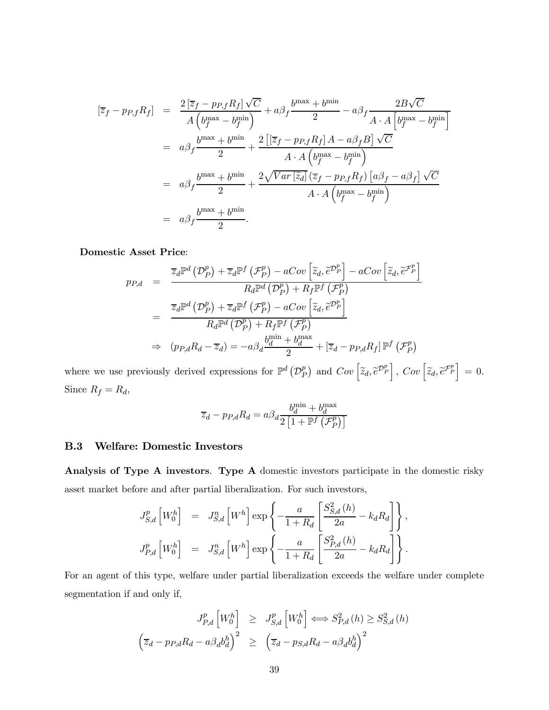$$
[\overline{z}_f - p_{P,f}R_f] = \frac{2[\overline{z}_f - p_{P,f}R_f]\sqrt{C}}{A\left(b_f^{\max} - b_f^{\min}\right)} + a\beta_f \frac{b^{\max} + b^{\min}}{2} - a\beta_f \frac{2B\sqrt{C}}{A \cdot A\left[b_f^{\max} - b_f^{\min}\right]}
$$
  

$$
= a\beta_f \frac{b^{\max} + b^{\min}}{2} + \frac{2\left[[\overline{z}_f - p_{P,f}R_f]A - a\beta_f B\right]\sqrt{C}}{A \cdot A\left(b_f^{\max} - b_f^{\min}\right)}
$$
  

$$
= a\beta_f \frac{b^{\max} + b^{\min}}{2} + \frac{2\sqrt{Var\left[\widetilde{z}_d\right]}\left(\overline{z}_f - p_{P,f}R_f\right)\left[a\beta_f - a\beta_f\right]\sqrt{C}}{A \cdot A\left(b_f^{\max} - b_f^{\min}\right)}
$$
  

$$
= a\beta_f \frac{b^{\max} + b^{\min}}{2}.
$$

### Domestic Asset Price:

$$
p_{P,d} = \frac{\overline{z}_{d} \mathbb{P}^{d} \left( \mathcal{D}_{P}^{p} \right) + \overline{z}_{d} \mathbb{P}^{f} \left( \mathcal{F}_{P}^{p} \right) - aCov \left[ \widetilde{z}_{d}, \widetilde{e}^{\mathcal{D}_{P}^{p}} \right] - aCov \left[ \widetilde{z}_{d}, \widetilde{e}^{\mathcal{F}_{P}^{p}} \right]}{R_{d} \mathbb{P}^{d} \left( \mathcal{D}_{P}^{p} \right) + R_{f} \mathbb{P}^{f} \left( \mathcal{F}_{P}^{p} \right)}
$$
\n
$$
= \frac{\overline{z}_{d} \mathbb{P}^{d} \left( \mathcal{D}_{P}^{p} \right) + \overline{z}_{d} \mathbb{P}^{f} \left( \mathcal{F}_{P}^{p} \right) - aCov \left[ \widetilde{z}_{d}, \widetilde{e}^{\mathcal{D}_{P}^{p}} \right]}{R_{d} \mathbb{P}^{d} \left( \mathcal{D}_{P}^{p} \right) + R_{f} \mathbb{P}^{f} \left( \mathcal{F}_{P}^{p} \right)}
$$
\n
$$
\Rightarrow (p_{P,d} R_{d} - \overline{z}_{d}) = -a \beta_{d} \frac{b_{d}^{\min} + b_{d}^{\max}}{2} + \left[ \overline{z}_{d} - p_{P,d} R_{f} \right] \mathbb{P}^{f} \left( \mathcal{F}_{P}^{p} \right)
$$

where we use previously derived expressions for  $\mathbb{P}^d(\mathcal{D}_P^p)$  and  $Cov\left[\tilde{z}_d, \tilde{e}^{\mathcal{D}_P^p}\right]$ ,  $Cov\left[\tilde{z}_d, \tilde{e}^{\mathcal{F}_P^p}\right] = 0$ . Since  $R_f = R_d$ ,

$$
\overline{z}_d - p_{P,d} R_d = a \beta_d \frac{b_d^{\min} + b_d^{\max}}{2 \left[ 1 + \mathbb{P}^f \left( \mathcal{F}_P^p \right) \right]}
$$

### B.3 Welfare: Domestic Investors

Analysis of Type A investors. Type A domestic investors participate in the domestic risky asset market before and after partial liberalization. For such investors,

$$
J_{S,d}^p \left[W_0^h\right] = J_{S,d}^n \left[W^h\right] \exp\left\{-\frac{a}{1+R_d} \left[\frac{S_{S,d}^2(h)}{2a} - k_d R_d\right]\right\},
$$
  

$$
J_{P,d}^p \left[W_0^h\right] = J_{S,d}^n \left[W^h\right] \exp\left\{-\frac{a}{1+R_d} \left[\frac{S_{P,d}^2(h)}{2a} - k_d R_d\right]\right\}.
$$

For an agent of this type, welfare under partial liberalization exceeds the welfare under complete segmentation if and only if,

$$
J_{P,d}^{p} \left[ W_0^h \right] \geq J_{S,d}^{p} \left[ W_0^h \right] \Longleftrightarrow S_{P,d}^{2}(h) \geq S_{S,d}^{2}(h)
$$

$$
\left( \overline{z}_d - p_{P,d} R_d - a \beta_d b_d^h \right)^2 \geq \left( \overline{z}_d - p_{S,d} R_d - a \beta_d b_d^h \right)^2
$$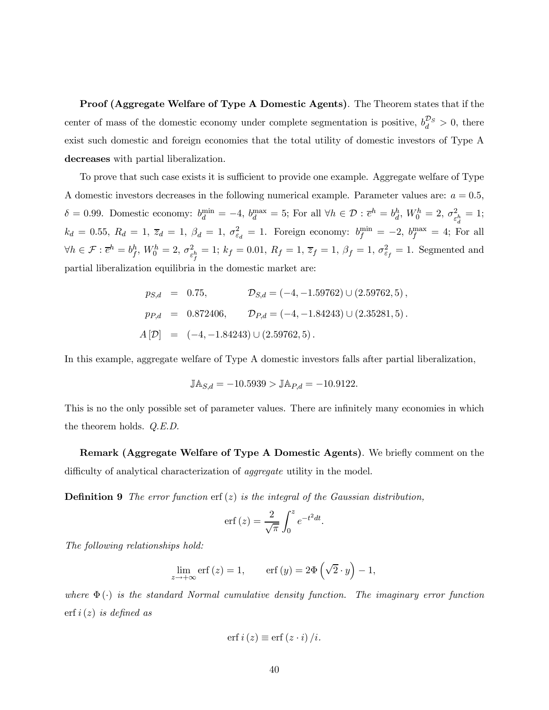Proof (Aggregate Welfare of Type A Domestic Agents). The Theorem states that if the center of mass of the domestic economy under complete segmentation is positive,  $b_d^{DS} > 0$ , there exist such domestic and foreign economies that the total utility of domestic investors of Type A decreases with partial liberalization.

To prove that such case exists it is sufficient to provide one example. Aggregate welfare of Type A domestic investors decreases in the following numerical example. Parameter values are:  $a = 0.5$ ,  $\delta = 0.99$ . Domestic economy:  $b_d^{\min} = -4$ ,  $b_d^{\max} = 5$ ; For all  $\forall h \in \mathcal{D} : \overline{e}^h = b_d^h$ ,  $W_0^h = 2$ ,  $\sigma_{\varepsilon_d^h}^2 = 1$ ;  $k_d = 0.55$ ,  $R_d = 1$ ,  $\overline{z}_d = 1$ ,  $\beta_d = 1$ ,  $\sigma_{\varepsilon_d}^2 = 1$ . Foreign economy:  $b_f^{\min} = -2$ ,  $b_f^{\max} = 4$ ; For all  $\forall h \in \mathcal{F} : \overline{e}^h = b_f^h$ ,  $W_0^h = 2$ ,  $\sigma_{\varepsilon_f^h}^2 = 1$ ;  $k_f = 0.01$ ,  $R_f = 1$ ,  $\overline{z}_f = 1$ ,  $\beta_f = 1$ ,  $\sigma_{\varepsilon_f}^2 = 1$ . Segmented and partial liberalization equilibria in the domestic market are:

$$
p_{S,d} = 0.75, \t D_{S,d} = (-4, -1.59762) \cup (2.59762, 5),
$$
  
\n
$$
p_{P,d} = 0.872406, \t D_{P,d} = (-4, -1.84243) \cup (2.35281, 5).
$$
  
\n
$$
A[\mathcal{D}] = (-4, -1.84243) \cup (2.59762, 5).
$$

In this example, aggregate welfare of Type A domestic investors falls after partial liberalization,

$$
\mathbb{J}\mathbb{A}_{S,d} = -10.5939 > \mathbb{J}\mathbb{A}_{P,d} = -10.9122.
$$

This is no the only possible set of parameter values. There are infinitely many economies in which the theorem holds. Q.E.D.

Remark (Aggregate Welfare of Type A Domestic Agents). We briefly comment on the difficulty of analytical characterization of *aggregate* utility in the model.

**Definition 9** The error function erf  $(z)$  is the integral of the Gaussian distribution,

$$
\operatorname{erf}(z) = \frac{2}{\sqrt{\pi}} \int_0^z e^{-t^2} dt.
$$

The following relationships hold:

$$
\lim_{z \to +\infty} \operatorname{erf}(z) = 1, \qquad \operatorname{erf}(y) = 2\Phi\left(\sqrt{2} \cdot y\right) - 1,
$$

where  $\Phi(\cdot)$  is the standard Normal cumulative density function. The imaginary error function erf  $i(z)$  is defined as

$$
\operatorname{erf} i(z) \equiv \operatorname{erf} (z \cdot i) / i.
$$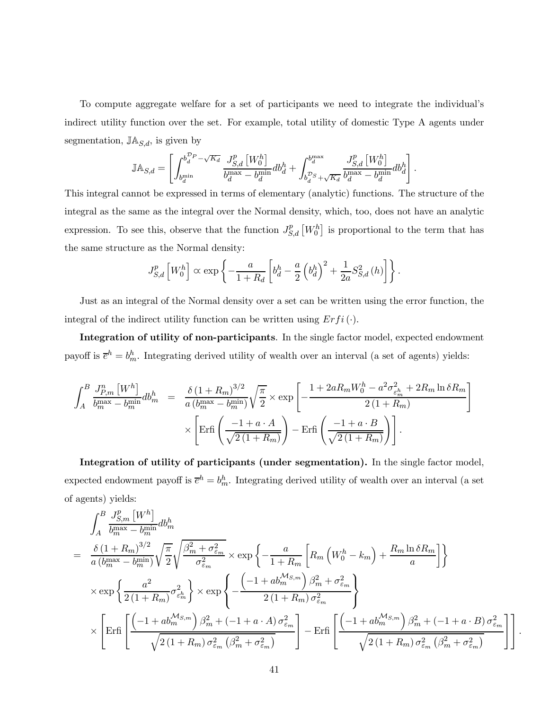To compute aggregate welfare for a set of participants we need to integrate the individual's indirect utility function over the set. For example, total utility of domestic Type A agents under segmentation,  $\mathbb{J}\mathbb{A}_{S,d}$ , is given by

$$
\mathbb{J}\mathbb{A}_{S,d} = \left[ \int_{b_d^{\min}}^{b_d^{D_P} - \sqrt{K_d}} \frac{J_{S,d}^p \left[ W_0^h \right]}{b_d^{\max} - b_d^{\min}} db_d^h + \int_{b_d^{D_S} + \sqrt{K_d}}^{b_d^{\max}} \frac{J_{S,d}^p \left[ W_0^h \right]}{b_d^{\max} - b_d^{\min}} db_d^h \right].
$$

This integral cannot be expressed in terms of elementary (analytic) functions. The structure of the integral as the same as the integral over the Normal density, which, too, does not have an analytic expression. To see this, observe that the function  $J_{S,d}^p \left[W_0^h\right]$  is proportional to the term that has the same structure as the Normal density:

$$
J_{S,d}^p \left[ W_0^h \right] \propto \exp \left\{ -\frac{a}{1+R_d} \left[ b_d^h - \frac{a}{2} \left( b_d^h \right)^2 + \frac{1}{2a} S_{S,d}^2 \left( h \right) \right] \right\}.
$$

Just as an integral of the Normal density over a set can be written using the error function, the integral of the indirect utility function can be written using  $Erfi(\cdot)$ .

Integration of utility of non-participants. In the single factor model, expected endowment payoff is  $\bar{e}^h = b_m^h$ . Integrating derived utility of wealth over an interval (a set of agents) yields:

$$
\int_{A}^{B} \frac{J_{P,m}^{n}\left[W^{h}\right]}{b_{m}^{\max} - b_{m}^{\min}} db_{m}^{h} = \frac{\delta \left(1 + R_{m}\right)^{3/2}}{a\left(b_{m}^{\max} - b_{m}^{\min}\right)} \sqrt{\frac{\pi}{2}} \times \exp\left[-\frac{1 + 2aR_{m}W_{0}^{h} - a^{2}\sigma_{\varepsilon_{m}^{h}}^{2} + 2R_{m}\ln\delta R_{m}}{2\left(1 + R_{m}\right)}\right] \times \left[\text{Erfi}\left(\frac{-1 + a \cdot A}{\sqrt{2\left(1 + R_{m}\right)}}\right) - \text{Erfi}\left(\frac{-1 + a \cdot B}{\sqrt{2\left(1 + R_{m}\right)}}\right)\right].
$$

Integration of utility of participants (under segmentation). In the single factor model, expected endowment payoff is  $\bar{e}^h = b_m^h$ . Integrating derived utility of wealth over an interval (a set of agents) yields:

$$
\int_{A}^{B} \frac{J_{S,m}^{p} \left[W^{h}\right]}{b_{m}^{\max} - b_{m}^{\min}} db_{m}^{h}
$$
\n
$$
= \frac{\delta \left(1 + R_{m}\right)^{3/2}}{a \left(b_{m}^{\max} - b_{m}^{\min}\right)} \sqrt{\frac{\pi}{2}} \sqrt{\frac{\beta_{m}^{2} + \sigma_{\varepsilon_{m}}^{2}}{\sigma_{\varepsilon_{m}}^{2}}} \times \exp\left\{-\frac{a}{1 + R_{m}} \left[R_{m} \left(W_{0}^{h} - k_{m}\right) + \frac{R_{m} \ln \delta R_{m}}{a}\right]\right\}
$$
\n
$$
\times \exp\left\{\frac{a^{2}}{2 \left(1 + R_{m}\right)} \sigma_{\varepsilon_{m}^{h}}^{2}\right\} \times \exp\left\{-\frac{\left(-1 + ab_{m}^{\mathcal{M}_{S,m}}\right) \beta_{m}^{2} + \sigma_{\varepsilon_{m}}^{2}}{2 \left(1 + R_{m}\right) \sigma_{\varepsilon_{m}}^{2}}\right\}
$$
\n
$$
\times \left[\text{Erfi}\left[\frac{\left(-1 + ab_{m}^{\mathcal{M}_{S,m}}\right) \beta_{m}^{2} + \left(-1 + a \cdot A\right) \sigma_{\varepsilon_{m}^{h}}^{2}}{\sqrt{2 \left(1 + R_{m}\right) \sigma_{\varepsilon_{m}}^{2} \left(\beta_{m}^{2} + \sigma_{\varepsilon_{m}^{h}}^{2}\right)}}\right] - \text{Erfi}\left[\frac{\left(-1 + ab_{m}^{\mathcal{M}_{S,m}}\right) \beta_{m}^{2} + \left(-1 + a \cdot B\right) \sigma_{\varepsilon_{m}^{h}}^{2}}{\sqrt{2 \left(1 + R_{m}\right) \sigma_{\varepsilon_{m}^{h}}^{2} \left(\beta_{m}^{2} + \sigma_{\varepsilon_{m}^{h}}^{2}\right)}}\right]
$$

⎤  $\vert \cdot$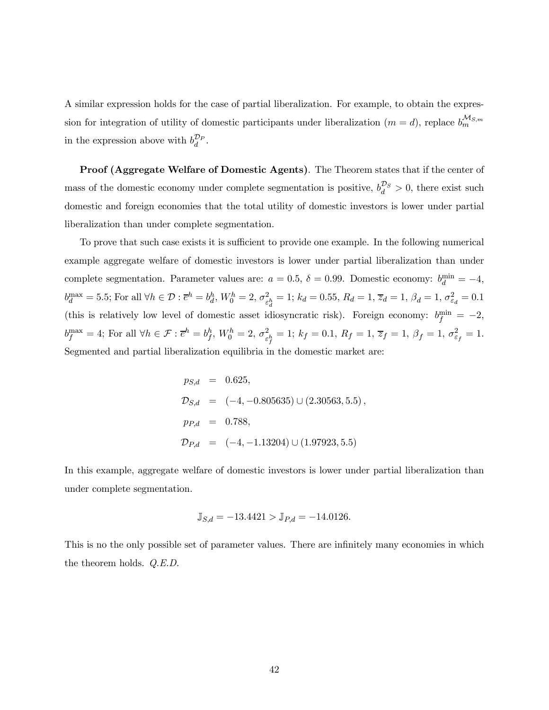A similar expression holds for the case of partial liberalization. For example, to obtain the expression for integration of utility of domestic participants under liberalization  $(m = d)$ , replace  $b_m^{\mathcal{M}_{S,m}}$ in the expression above with  $b_d^{DP}$ .

Proof (Aggregate Welfare of Domestic Agents). The Theorem states that if the center of mass of the domestic economy under complete segmentation is positive,  $b_d^{DS} > 0$ , there exist such domestic and foreign economies that the total utility of domestic investors is lower under partial liberalization than under complete segmentation.

To prove that such case exists it is sufficient to provide one example. In the following numerical example aggregate welfare of domestic investors is lower under partial liberalization than under complete segmentation. Parameter values are:  $a = 0.5$ ,  $\delta = 0.99$ . Domestic economy:  $b_d^{\min} = -4$ ,  $b_d^{\max} = 5.5$ ; For all  $\forall h \in \mathcal{D} : \overline{e}^h = b_d^h$ ,  $W_0^h = 2$ ,  $\sigma_{\varepsilon_d^h}^2 = 1$ ;  $k_d = 0.55$ ,  $R_d = 1$ ,  $\overline{z}_d = 1$ ,  $\beta_d = 1$ ,  $\sigma_{\varepsilon_d^2}^2 = 0.1$ (this is relatively low level of domestic asset idiosyncratic risk). Foreign economy:  $b_f^{\min} = -2$ ,  $b_f^{\max} = 4$ ; For all  $\forall h \in \mathcal{F} : \overline{e}^h = b_f^h$ ,  $W_0^h = 2$ ,  $\sigma_{\varepsilon_f^h}^2 = 1$ ;  $k_f = 0.1$ ,  $R_f = 1$ ,  $\overline{z}_f = 1$ ,  $\beta_f = 1$ ,  $\sigma_{\varepsilon_f^h}^2 = 1$ . Segmented and partial liberalization equilibria in the domestic market are:

$$
p_{S,d} = 0.625,
$$
  
\n
$$
\mathcal{D}_{S,d} = (-4, -0.805635) \cup (2.30563, 5.5),
$$
  
\n
$$
p_{P,d} = 0.788,
$$
  
\n
$$
\mathcal{D}_{P,d} = (-4, -1.13204) \cup (1.97923, 5.5)
$$

In this example, aggregate welfare of domestic investors is lower under partial liberalization than under complete segmentation.

$$
\mathbb{J}_{S,d} = -13.4421 > \mathbb{J}_{P,d} = -14.0126.
$$

This is no the only possible set of parameter values. There are infinitely many economies in which the theorem holds. Q.E.D.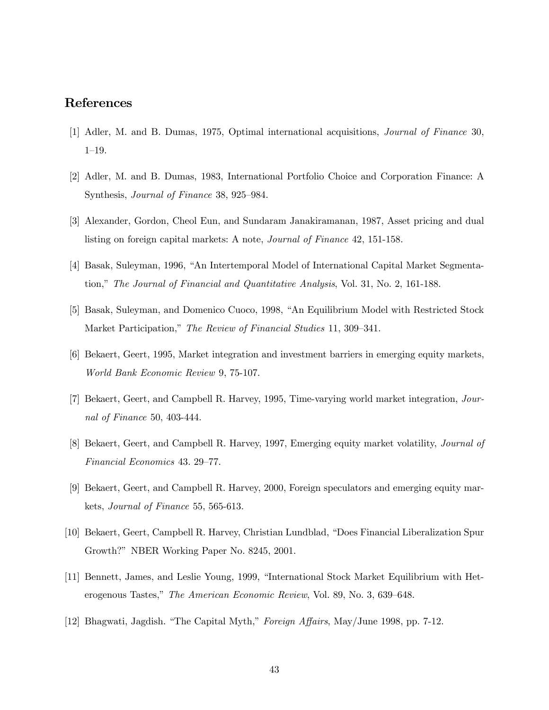# References

- [1] Adler, M. and B. Dumas, 1975, Optimal international acquisitions, Journal of Finance 30, 1—19.
- [2] Adler, M. and B. Dumas, 1983, International Portfolio Choice and Corporation Finance: A Synthesis, Journal of Finance 38, 925—984.
- [3] Alexander, Gordon, Cheol Eun, and Sundaram Janakiramanan, 1987, Asset pricing and dual listing on foreign capital markets: A note, Journal of Finance 42, 151-158.
- [4] Basak, Suleyman, 1996, "An Intertemporal Model of International Capital Market Segmentation," The Journal of Financial and Quantitative Analysis, Vol. 31, No. 2, 161-188.
- [5] Basak, Suleyman, and Domenico Cuoco, 1998, "An Equilibrium Model with Restricted Stock Market Participation," The Review of Financial Studies 11, 309—341.
- [6] Bekaert, Geert, 1995, Market integration and investment barriers in emerging equity markets, World Bank Economic Review 9, 75-107.
- [7] Bekaert, Geert, and Campbell R. Harvey, 1995, Time-varying world market integration, Journal of Finance 50, 403-444.
- [8] Bekaert, Geert, and Campbell R. Harvey, 1997, Emerging equity market volatility, Journal of Financial Economics 43. 29—77.
- [9] Bekaert, Geert, and Campbell R. Harvey, 2000, Foreign speculators and emerging equity markets, Journal of Finance 55, 565-613.
- [10] Bekaert, Geert, Campbell R. Harvey, Christian Lundblad, "Does Financial Liberalization Spur Growth?" NBER Working Paper No. 8245, 2001.
- [11] Bennett, James, and Leslie Young, 1999, "International Stock Market Equilibrium with Heterogenous Tastes," The American Economic Review, Vol. 89, No. 3, 639—648.
- [12] Bhagwati, Jagdish. "The Capital Myth," Foreign Affairs, May/June 1998, pp. 7-12.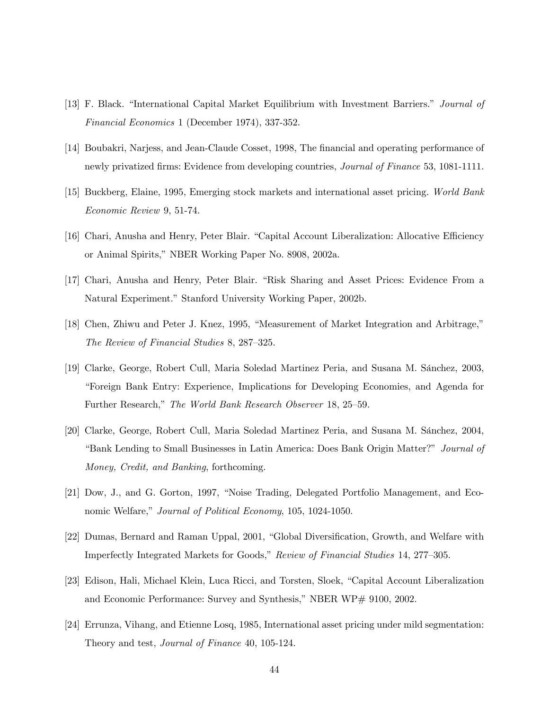- [13] F. Black. "International Capital Market Equilibrium with Investment Barriers." Journal of Financial Economics 1 (December 1974), 337-352.
- [14] Boubakri, Narjess, and Jean-Claude Cosset, 1998, The financial and operating performance of newly privatized firms: Evidence from developing countries, Journal of Finance 53, 1081-1111.
- [15] Buckberg, Elaine, 1995, Emerging stock markets and international asset pricing. World Bank Economic Review 9, 51-74.
- [16] Chari, Anusha and Henry, Peter Blair. "Capital Account Liberalization: Allocative Efficiency or Animal Spirits," NBER Working Paper No. 8908, 2002a.
- [17] Chari, Anusha and Henry, Peter Blair. "Risk Sharing and Asset Prices: Evidence From a Natural Experiment." Stanford University Working Paper, 2002b.
- [18] Chen, Zhiwu and Peter J. Knez, 1995, "Measurement of Market Integration and Arbitrage," The Review of Financial Studies 8, 287—325.
- [19] Clarke, George, Robert Cull, Maria Soledad Martinez Peria, and Susana M. Sánchez, 2003, "Foreign Bank Entry: Experience, Implications for Developing Economies, and Agenda for Further Research," The World Bank Research Observer 18, 25—59.
- [20] Clarke, George, Robert Cull, Maria Soledad Martinez Peria, and Susana M. Sánchez, 2004, "Bank Lending to Small Businesses in Latin America: Does Bank Origin Matter?" Journal of Money, Credit, and Banking, forthcoming.
- [21] Dow, J., and G. Gorton, 1997, "Noise Trading, Delegated Portfolio Management, and Economic Welfare," Journal of Political Economy, 105, 1024-1050.
- [22] Dumas, Bernard and Raman Uppal, 2001, "Global Diversification, Growth, and Welfare with Imperfectly Integrated Markets for Goods," Review of Financial Studies 14, 277—305.
- [23] Edison, Hali, Michael Klein, Luca Ricci, and Torsten, Sloek, "Capital Account Liberalization and Economic Performance: Survey and Synthesis," NBER WP# 9100, 2002.
- [24] Errunza, Vihang, and Etienne Losq, 1985, International asset pricing under mild segmentation: Theory and test, Journal of Finance 40, 105-124.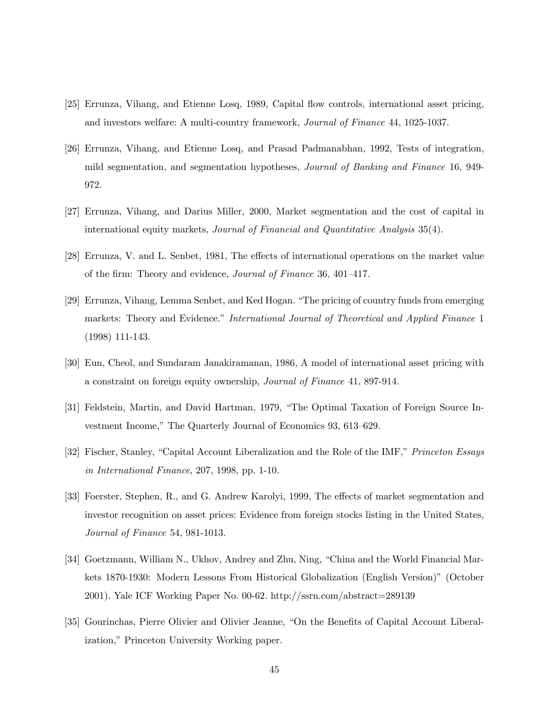- [25] Errunza, Vihang, and Etienne Losq, 1989, Capital flow controls, international asset pricing, and investors welfare: A multi-country framework, Journal of Finance 44, 1025-1037.
- [26] Errunza, Vihang, and Etienne Losq, and Prasad Padmanabhan, 1992, Tests of integration, mild segmentation, and segmentation hypotheses, Journal of Banking and Finance 16, 949- 972.
- [27] Errunza, Vihang, and Darius Miller, 2000, Market segmentation and the cost of capital in international equity markets, Journal of Financial and Quantitative Analysis 35(4).
- [28] Errunza, V. and L. Senbet, 1981, The effects of international operations on the market value of the firm: Theory and evidence, Journal of Finance 36, 401—417.
- [29] Errunza, Vihang, Lemma Senbet, and Ked Hogan. "The pricing of country funds from emerging markets: Theory and Evidence." International Journal of Theoretical and Applied Finance 1 (1998) 111-143.
- [30] Eun, Cheol, and Sundaram Janakiramanan, 1986, A model of international asset pricing with a constraint on foreign equity ownership, Journal of Finance 41, 897-914.
- [31] Feldstein, Martin, and David Hartman, 1979, "The Optimal Taxation of Foreign Source Investment Income," The Quarterly Journal of Economics 93, 613—629.
- [32] Fischer, Stanley, "Capital Account Liberalization and the Role of the IMF," Princeton Essays in International Finance, 207, 1998, pp. 1-10.
- [33] Foerster, Stephen, R., and G. Andrew Karolyi, 1999, The effects of market segmentation and investor recognition on asset prices: Evidence from foreign stocks listing in the United States, Journal of Finance 54, 981-1013.
- [34] Goetzmann, William N., Ukhov, Andrey and Zhu, Ning, "China and the World Financial Markets 1870-1930: Modern Lessons From Historical Globalization (English Version)" (October 2001). Yale ICF Working Paper No. 00-62. http://ssrn.com/abstract=289139
- [35] Gourinchas, Pierre Olivier and Olivier Jeanne, "On the Benefits of Capital Account Liberalization," Princeton University Working paper.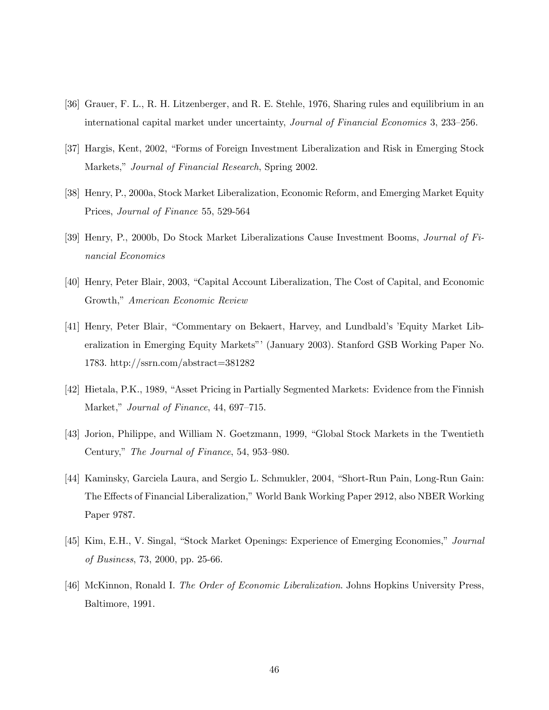- [36] Grauer, F. L., R. H. Litzenberger, and R. E. Stehle, 1976, Sharing rules and equilibrium in an international capital market under uncertainty, Journal of Financial Economics 3, 233—256.
- [37] Hargis, Kent, 2002, "Forms of Foreign Investment Liberalization and Risk in Emerging Stock Markets," Journal of Financial Research, Spring 2002.
- [38] Henry, P., 2000a, Stock Market Liberalization, Economic Reform, and Emerging Market Equity Prices, Journal of Finance 55, 529-564
- [39] Henry, P., 2000b, Do Stock Market Liberalizations Cause Investment Booms, Journal of Financial Economics
- [40] Henry, Peter Blair, 2003, "Capital Account Liberalization, The Cost of Capital, and Economic Growth," American Economic Review
- [41] Henry, Peter Blair, "Commentary on Bekaert, Harvey, and Lundbald's 'Equity Market Liberalization in Emerging Equity Markets"' (January 2003). Stanford GSB Working Paper No. 1783. http://ssrn.com/abstract=381282
- [42] Hietala, P.K., 1989, "Asset Pricing in Partially Segmented Markets: Evidence from the Finnish Market," *Journal of Finance*, 44, 697–715.
- [43] Jorion, Philippe, and William N. Goetzmann, 1999, "Global Stock Markets in the Twentieth Century," The Journal of Finance, 54, 953—980.
- [44] Kaminsky, Garciela Laura, and Sergio L. Schmukler, 2004, "Short-Run Pain, Long-Run Gain: The Effects of Financial Liberalization," World Bank Working Paper 2912, also NBER Working Paper 9787.
- [45] Kim, E.H., V. Singal, "Stock Market Openings: Experience of Emerging Economies," Journal of Business, 73, 2000, pp. 25-66.
- [46] McKinnon, Ronald I. The Order of Economic Liberalization. Johns Hopkins University Press, Baltimore, 1991.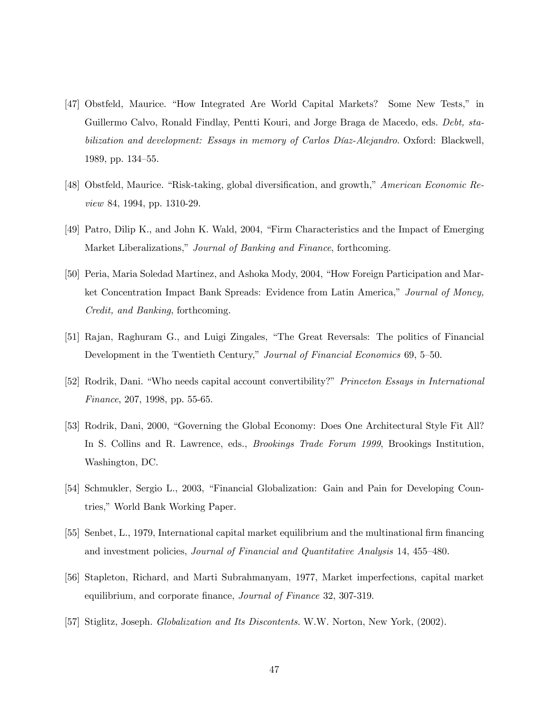- [47] Obstfeld, Maurice. "How Integrated Are World Capital Markets? Some New Tests," in Guillermo Calvo, Ronald Findlay, Pentti Kouri, and Jorge Braga de Macedo, eds. Debt, stabilization and development: Essays in memory of Carlos Díaz-Alejandro. Oxford: Blackwell, 1989, pp. 134—55.
- [48] Obstfeld, Maurice. "Risk-taking, global diversification, and growth," American Economic Review 84, 1994, pp. 1310-29.
- [49] Patro, Dilip K., and John K. Wald, 2004, "Firm Characteristics and the Impact of Emerging Market Liberalizations," Journal of Banking and Finance, forthcoming.
- [50] Peria, Maria Soledad Martinez, and Ashoka Mody, 2004, "How Foreign Participation and Market Concentration Impact Bank Spreads: Evidence from Latin America," Journal of Money, Credit, and Banking, forthcoming.
- [51] Rajan, Raghuram G., and Luigi Zingales, "The Great Reversals: The politics of Financial Development in the Twentieth Century," Journal of Financial Economics 69, 5—50.
- [52] Rodrik, Dani. "Who needs capital account convertibility?" Princeton Essays in International Finance, 207, 1998, pp. 55-65.
- [53] Rodrik, Dani, 2000, "Governing the Global Economy: Does One Architectural Style Fit All? In S. Collins and R. Lawrence, eds., Brookings Trade Forum 1999, Brookings Institution, Washington, DC.
- [54] Schmukler, Sergio L., 2003, "Financial Globalization: Gain and Pain for Developing Countries," World Bank Working Paper.
- [55] Senbet, L., 1979, International capital market equilibrium and the multinational firm financing and investment policies, Journal of Financial and Quantitative Analysis 14, 455—480.
- [56] Stapleton, Richard, and Marti Subrahmanyam, 1977, Market imperfections, capital market equilibrium, and corporate finance, Journal of Finance 32, 307-319.
- [57] Stiglitz, Joseph. Globalization and Its Discontents. W.W. Norton, New York, (2002).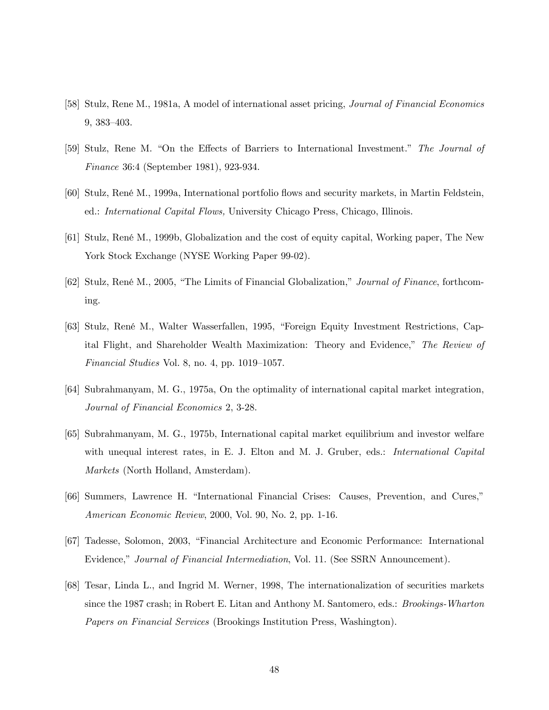- [58] Stulz, Rene M., 1981a, A model of international asset pricing, Journal of Financial Economics 9, 383—403.
- [59] Stulz, Rene M. "On the Effects of Barriers to International Investment." The Journal of Finance 36:4 (September 1981), 923-934.
- [60] Stulz, René M., 1999a, International portfolio flows and security markets, in Martin Feldstein, ed.: International Capital Flows, University Chicago Press, Chicago, Illinois.
- [61] Stulz, René M., 1999b, Globalization and the cost of equity capital, Working paper, The New York Stock Exchange (NYSE Working Paper 99-02).
- [62] Stulz, René M., 2005, "The Limits of Financial Globalization," Journal of Finance, forthcoming.
- [63] Stulz, René M., Walter Wasserfallen, 1995, "Foreign Equity Investment Restrictions, Capital Flight, and Shareholder Wealth Maximization: Theory and Evidence," The Review of Financial Studies Vol. 8, no. 4, pp. 1019—1057.
- [64] Subrahmanyam, M. G., 1975a, On the optimality of international capital market integration, Journal of Financial Economics 2, 3-28.
- [65] Subrahmanyam, M. G., 1975b, International capital market equilibrium and investor welfare with unequal interest rates, in E. J. Elton and M. J. Gruber, eds.: *International Capital* Markets (North Holland, Amsterdam).
- [66] Summers, Lawrence H. "International Financial Crises: Causes, Prevention, and Cures," American Economic Review, 2000, Vol. 90, No. 2, pp. 1-16.
- [67] Tadesse, Solomon, 2003, "Financial Architecture and Economic Performance: International Evidence," Journal of Financial Intermediation, Vol. 11. (See SSRN Announcement).
- [68] Tesar, Linda L., and Ingrid M. Werner, 1998, The internationalization of securities markets since the 1987 crash; in Robert E. Litan and Anthony M. Santomero, eds.: Brookings-Wharton Papers on Financial Services (Brookings Institution Press, Washington).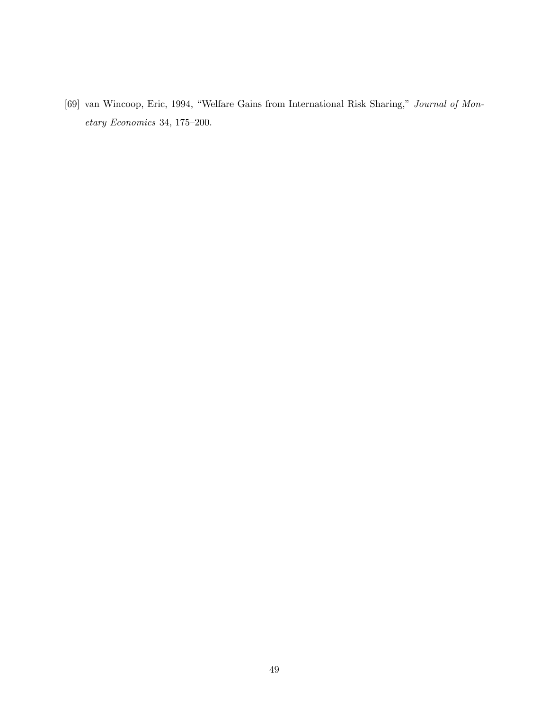[69] van Wincoop, Eric, 1994, "Welfare Gains from International Risk Sharing," Journal of Monetary Economics 34, 175—200.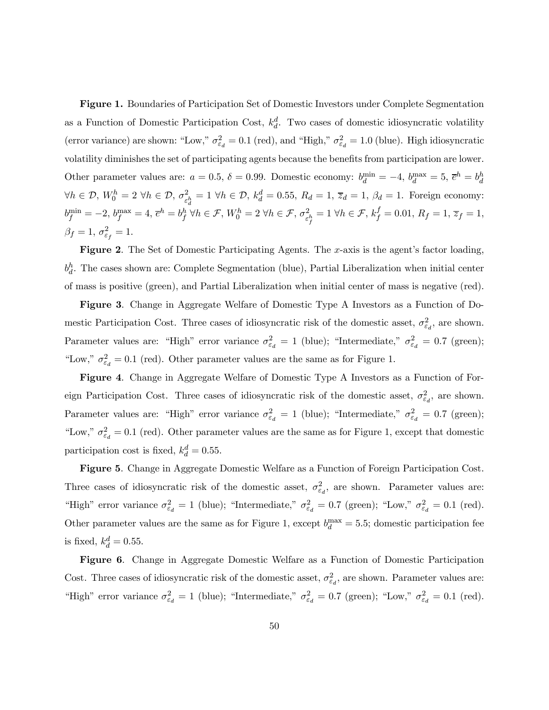Figure 1. Boundaries of Participation Set of Domestic Investors under Complete Segmentation as a Function of Domestic Participation Cost,  $k_d^d$ . Two cases of domestic idiosyncratic volatility (error variance) are shown: "Low,"  $\sigma_{\varepsilon_d}^2 = 0.1$  (red), and "High,"  $\sigma_{\varepsilon_d}^2 = 1.0$  (blue). High idiosyncratic volatility diminishes the set of participating agents because the benefits from participation are lower. Other parameter values are:  $a = 0.5$ ,  $\delta = 0.99$ . Domestic economy:  $b_d^{\min} = -4$ ,  $b_d^{\max} = 5$ ,  $\bar{e}^h = b_d^h$  $\forall h \in \mathcal{D}, W_0^h = 2 \ \forall h \in \mathcal{D}, \ \sigma_{\varepsilon_d^h}^2 = 1 \ \forall h \in \mathcal{D}, \ k_d^d = 0.55, \ R_d = 1, \ \overline{z}_d = 1, \ \beta_d = 1.$  Foreign economy:  $b_f^{\text{min}} = -2, b_f^{\text{max}} = 4, \overline{e}^h = b_f^h \ \forall h \in \mathcal{F}, W_0^h = 2 \ \forall h \in \mathcal{F}, \sigma_{\varepsilon_f^h}^2 = 1 \ \forall h \in \mathcal{F}, k_f^f = 0.01, R_f = 1, \overline{z}_f = 1,$  $\beta_f=1, \sigma_{\varepsilon_f}^2=1.$ 

Figure 2. The Set of Domestic Participating Agents. The x-axis is the agent's factor loading,  $b_d^h$ . The cases shown are: Complete Segmentation (blue), Partial Liberalization when initial center of mass is positive (green), and Partial Liberalization when initial center of mass is negative (red).

Figure 3. Change in Aggregate Welfare of Domestic Type A Investors as a Function of Domestic Participation Cost. Three cases of idiosyncratic risk of the domestic asset,  $\sigma_{\varepsilon_d}^2$ , are shown. Parameter values are: "High" error variance  $\sigma_{\varepsilon_d}^2 = 1$  (blue); "Intermediate,"  $\sigma_{\varepsilon_d}^2 = 0.7$  (green); "Low,"  $\sigma_{\varepsilon_d}^2 = 0.1$  (red). Other parameter values are the same as for Figure 1.

Figure 4. Change in Aggregate Welfare of Domestic Type A Investors as a Function of Foreign Participation Cost. Three cases of idiosyncratic risk of the domestic asset,  $\sigma_{\varepsilon_d}^2$ , are shown. Parameter values are: "High" error variance  $\sigma_{\varepsilon_d}^2 = 1$  (blue); "Intermediate,"  $\sigma_{\varepsilon_d}^2 = 0.7$  (green); "Low,"  $\sigma_{\varepsilon_d}^2 = 0.1$  (red). Other parameter values are the same as for Figure 1, except that domestic participation cost is fixed,  $k_d^d = 0.55$ .

Figure 5. Change in Aggregate Domestic Welfare as a Function of Foreign Participation Cost. Three cases of idiosyncratic risk of the domestic asset,  $\sigma_{\varepsilon_d}^2$ , are shown. Parameter values are: "High" error variance  $\sigma_{\varepsilon_d}^2 = 1$  (blue); "Intermediate,"  $\sigma_{\varepsilon_d}^2 = 0.7$  (green); "Low,"  $\sigma_{\varepsilon_d}^2 = 0.1$  (red). Other parameter values are the same as for Figure 1, except  $b_d^{\text{max}} = 5.5$ ; domestic participation fee is fixed,  $k_d^d = 0.55$ .

Figure 6. Change in Aggregate Domestic Welfare as a Function of Domestic Participation Cost. Three cases of idiosyncratic risk of the domestic asset,  $\sigma_{\varepsilon_d}^2$ , are shown. Parameter values are: "High" error variance  $\sigma_{\varepsilon_d}^2 = 1$  (blue); "Intermediate,"  $\sigma_{\varepsilon_d}^2 = 0.7$  (green); "Low,"  $\sigma_{\varepsilon_d}^2 = 0.1$  (red).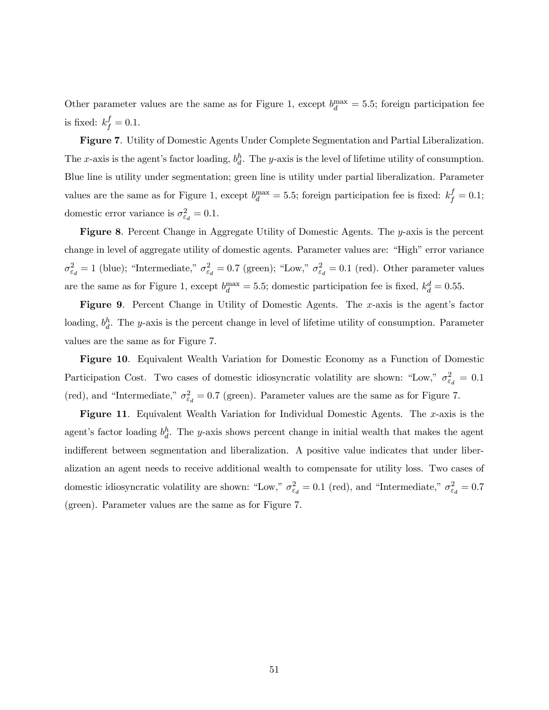Other parameter values are the same as for Figure 1, except  $b_d^{\text{max}} = 5.5$ ; foreign participation fee is fixed:  $k_f^f = 0.1$ .

Figure 7. Utility of Domestic Agents Under Complete Segmentation and Partial Liberalization. The x-axis is the agent's factor loading,  $b_d^h$ . The y-axis is the level of lifetime utility of consumption. Blue line is utility under segmentation; green line is utility under partial liberalization. Parameter values are the same as for Figure 1, except  $b_d^{\text{max}} = 5.5$ ; foreign participation fee is fixed:  $k_f^f = 0.1$ ; domestic error variance is  $\sigma_{\varepsilon_d}^2 = 0.1$ .

Figure 8. Percent Change in Aggregate Utility of Domestic Agents. The y-axis is the percent change in level of aggregate utility of domestic agents. Parameter values are: "High" error variance  $\sigma_{\varepsilon_d}^2 = 1$  (blue); "Intermediate,"  $\sigma_{\varepsilon_d}^2 = 0.7$  (green); "Low,"  $\sigma_{\varepsilon_d}^2 = 0.1$  (red). Other parameter values are the same as for Figure 1, except  $b_d^{\text{max}} = 5.5$ ; domestic participation fee is fixed,  $k_d^d = 0.55$ .

**Figure 9.** Percent Change in Utility of Domestic Agents. The x-axis is the agent's factor loading,  $b_d^h$ . The y-axis is the percent change in level of lifetime utility of consumption. Parameter values are the same as for Figure 7.

Figure 10. Equivalent Wealth Variation for Domestic Economy as a Function of Domestic Participation Cost. Two cases of domestic idiosyncratic volatility are shown: "Low,"  $\sigma_{\varepsilon_d}^2 = 0.1$ (red), and "Intermediate,"  $\sigma_{\varepsilon_d}^2 = 0.7$  (green). Parameter values are the same as for Figure 7.

**Figure 11.** Equivalent Wealth Variation for Individual Domestic Agents. The x-axis is the agent's factor loading  $b_d^h$ . The y-axis shows percent change in initial wealth that makes the agent indifferent between segmentation and liberalization. A positive value indicates that under liberalization an agent needs to receive additional wealth to compensate for utility loss. Two cases of domestic idiosyncratic volatility are shown: "Low,"  $\sigma_{\varepsilon_d}^2 = 0.1$  (red), and "Intermediate,"  $\sigma_{\varepsilon_d}^2 = 0.7$ (green). Parameter values are the same as for Figure 7.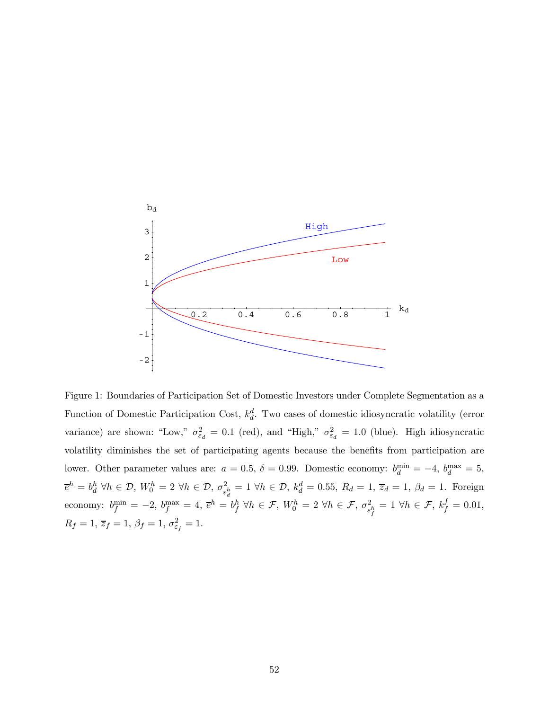

Figure 1: Boundaries of Participation Set of Domestic Investors under Complete Segmentation as a Function of Domestic Participation Cost,  $k_d^d$ . Two cases of domestic idiosyncratic volatility (error variance) are shown: "Low,"  $\sigma_{\varepsilon_d}^2 = 0.1$  (red), and "High,"  $\sigma_{\varepsilon_d}^2 = 1.0$  (blue). High idiosyncratic volatility diminishes the set of participating agents because the benefits from participation are lower. Other parameter values are:  $a = 0.5$ ,  $\delta = 0.99$ . Domestic economy:  $b_d^{\min} = -4$ ,  $b_d^{\max} = 5$ ,  $\overline{e}^h = b_d^h \,\forall h \in \mathcal{D}, \, W_0^h = 2 \,\forall h \in \mathcal{D}, \, \sigma_{\varepsilon_d^h}^2 = 1 \,\forall h \in \mathcal{D}, \, k_d^d = 0.55, \, R_d = 1, \, \overline{z}_d = 1, \, \beta_d = 1.$  Foreign economy:  $b_f^{\min} = -2$ ,  $b_f^{\max} = 4$ ,  $\overline{e}^h = b_f^h \forall h \in \mathcal{F}$ ,  $W_0^h = 2 \forall h \in \mathcal{F}$ ,  $\sigma_{\varepsilon_f^h}^2 = 1 \forall h \in \mathcal{F}$ ,  $k_f^f = 0.01$ ,  $R_f=1,\,\overline{z}_f=1,\,\beta_f=1,\,\sigma^2_{\varepsilon_f}=1.$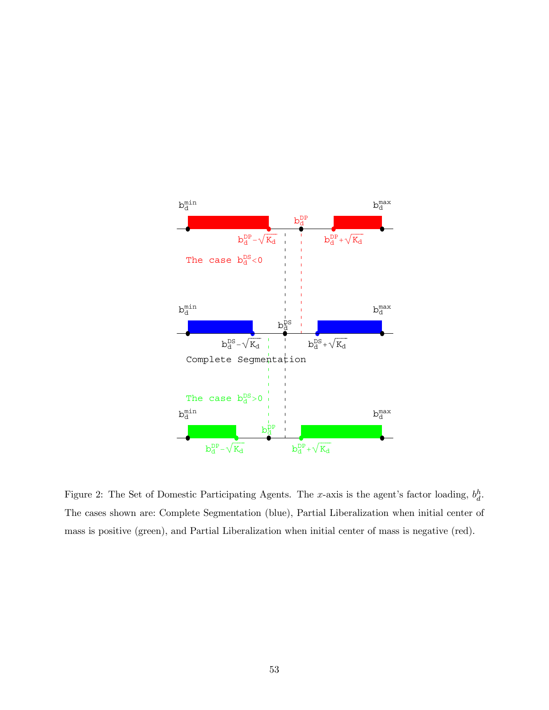

Figure 2: The Set of Domestic Participating Agents. The x-axis is the agent's factor loading,  $b_d^h$ . The cases shown are: Complete Segmentation (blue), Partial Liberalization when initial center of mass is positive (green), and Partial Liberalization when initial center of mass is negative (red).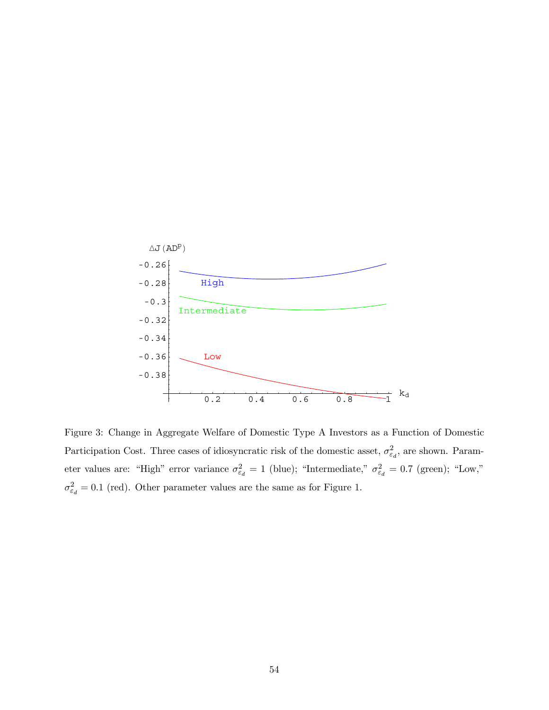

Figure 3: Change in Aggregate Welfare of Domestic Type A Investors as a Function of Domestic Participation Cost. Three cases of idiosyncratic risk of the domestic asset,  $\sigma_{\varepsilon_d}^2$ , are shown. Parameter values are: "High" error variance  $\sigma_{\varepsilon_d}^2 = 1$  (blue); "Intermediate,"  $\sigma_{\varepsilon_d}^2 = 0.7$  (green); "Low,"  $\sigma_{\varepsilon_d}^2 = 0.1$  (red). Other parameter values are the same as for Figure 1.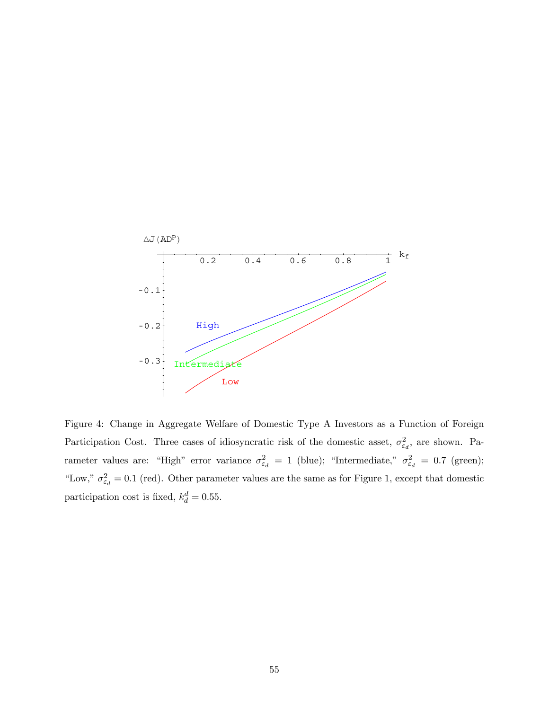

Figure 4: Change in Aggregate Welfare of Domestic Type A Investors as a Function of Foreign Participation Cost. Three cases of idiosyncratic risk of the domestic asset,  $\sigma_{\varepsilon_d}^2$ , are shown. Parameter values are: "High" error variance  $\sigma_{\varepsilon_d}^2 = 1$  (blue); "Intermediate,"  $\sigma_{\varepsilon_d}^2 = 0.7$  (green); "Low,"  $\sigma_{\varepsilon_d}^2 = 0.1$  (red). Other parameter values are the same as for Figure 1, except that domestic participation cost is fixed,  $k_d^d = 0.55$ .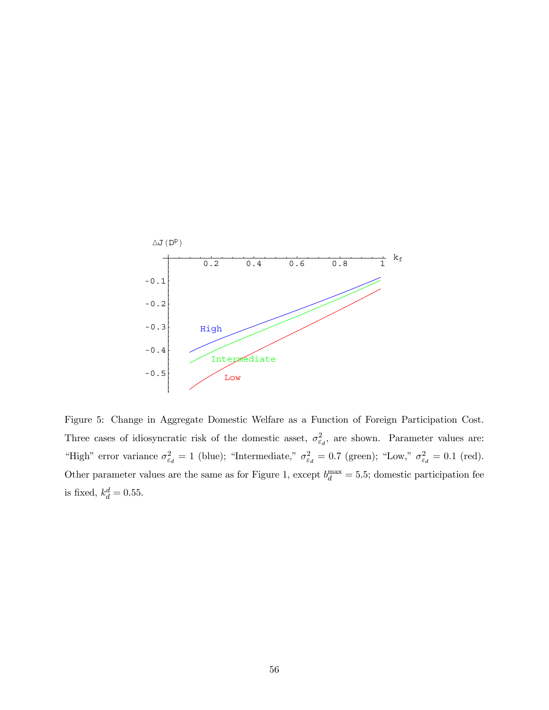

Figure 5: Change in Aggregate Domestic Welfare as a Function of Foreign Participation Cost. Three cases of idiosyncratic risk of the domestic asset,  $\sigma_{\varepsilon_d}^2$ , are shown. Parameter values are: "High" error variance  $\sigma_{\varepsilon_d}^2 = 1$  (blue); "Intermediate,"  $\sigma_{\varepsilon_d}^2 = 0.7$  (green); "Low,"  $\sigma_{\varepsilon_d}^2 = 0.1$  (red). Other parameter values are the same as for Figure 1, except  $b_d^{\text{max}} = 5.5$ ; domestic participation fee is fixed,  $k_d^d = 0.55$ .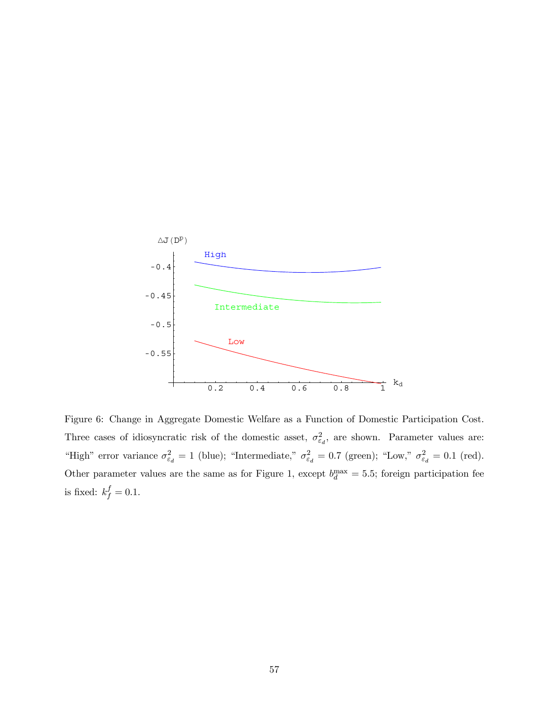

Figure 6: Change in Aggregate Domestic Welfare as a Function of Domestic Participation Cost. Three cases of idiosyncratic risk of the domestic asset,  $\sigma_{\varepsilon_d}^2$ , are shown. Parameter values are: "High" error variance  $\sigma_{\varepsilon_d}^2 = 1$  (blue); "Intermediate,"  $\sigma_{\varepsilon_d}^2 = 0.7$  (green); "Low,"  $\sigma_{\varepsilon_d}^2 = 0.1$  (red). Other parameter values are the same as for Figure 1, except  $b_d^{\text{max}} = 5.5$ ; foreign participation fee is fixed:  $k_f^f = 0.1$ .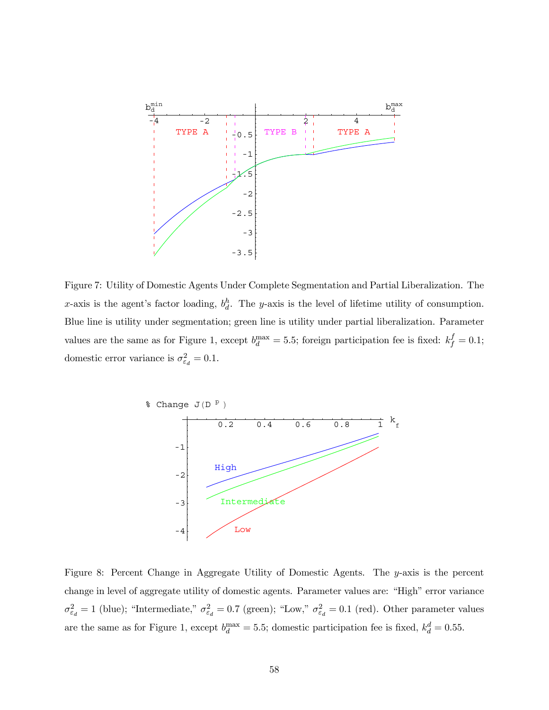

Figure 7: Utility of Domestic Agents Under Complete Segmentation and Partial Liberalization. The x-axis is the agent's factor loading,  $b_d^h$ . The y-axis is the level of lifetime utility of consumption. Blue line is utility under segmentation; green line is utility under partial liberalization. Parameter values are the same as for Figure 1, except  $b_d^{\text{max}} = 5.5$ ; foreign participation fee is fixed:  $k_f^f = 0.1$ ; domestic error variance is  $\sigma_{\varepsilon_d}^2 = 0.1$ .



Figure 8: Percent Change in Aggregate Utility of Domestic Agents. The y-axis is the percent change in level of aggregate utility of domestic agents. Parameter values are: "High" error variance  $\sigma_{\varepsilon_d}^2 = 1$  (blue); "Intermediate,"  $\sigma_{\varepsilon_d}^2 = 0.7$  (green); "Low,"  $\sigma_{\varepsilon_d}^2 = 0.1$  (red). Other parameter values are the same as for Figure 1, except  $b_d^{\text{max}} = 5.5$ ; domestic participation fee is fixed,  $k_d^d = 0.55$ .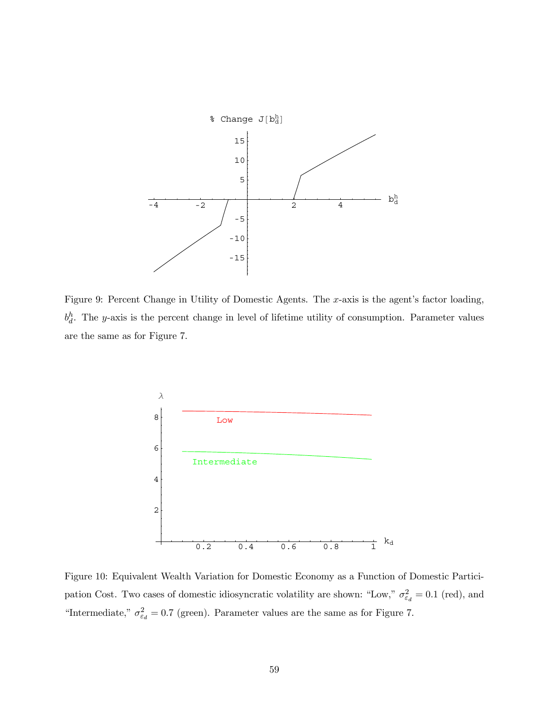

Figure 9: Percent Change in Utility of Domestic Agents. The x-axis is the agent's factor loading,  $b_d^h$ . The y-axis is the percent change in level of lifetime utility of consumption. Parameter values are the same as for Figure 7.



Figure 10: Equivalent Wealth Variation for Domestic Economy as a Function of Domestic Participation Cost. Two cases of domestic idiosyncratic volatility are shown: "Low,"  $\sigma_{\varepsilon_d}^2 = 0.1$  (red), and "Intermediate,"  $\sigma_{\varepsilon_d}^2 = 0.7$  (green). Parameter values are the same as for Figure 7.